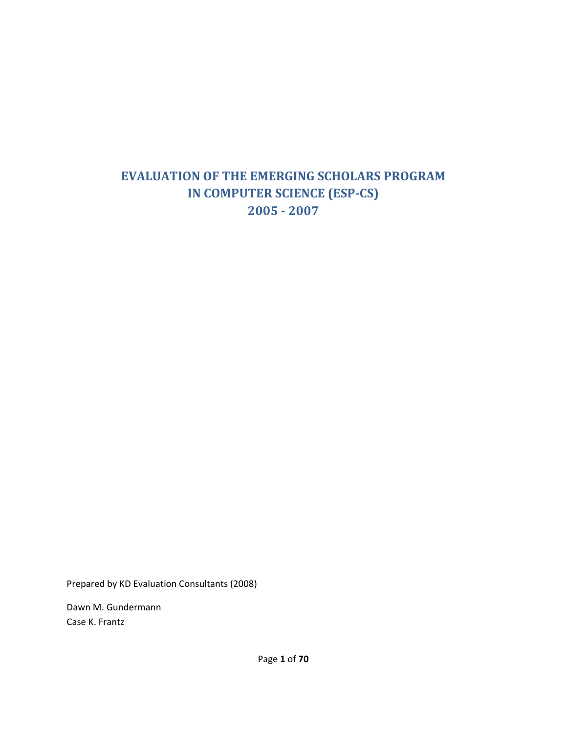# **EVALUATION OF THE EMERGING SCHOLARS PROGRAM IN COMPUTER SCIENCE (ESP-CS) 2005 - 2007**

Prepared by KD Evaluation Consultants (2008)

Dawn M. Gundermann Case K. Frantz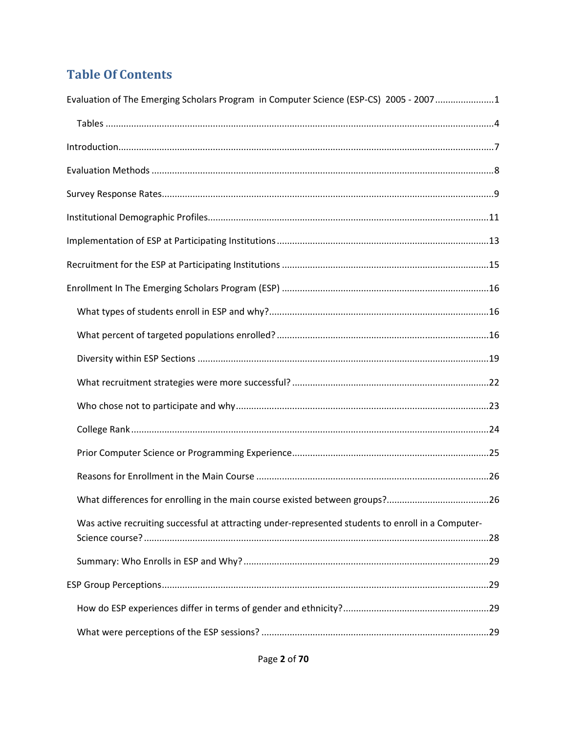# **Table Of Contents**

| Evaluation of The Emerging Scholars Program in Computer Science (ESP-CS) 2005 - 20071              |
|----------------------------------------------------------------------------------------------------|
|                                                                                                    |
|                                                                                                    |
|                                                                                                    |
|                                                                                                    |
|                                                                                                    |
|                                                                                                    |
|                                                                                                    |
|                                                                                                    |
|                                                                                                    |
|                                                                                                    |
|                                                                                                    |
|                                                                                                    |
|                                                                                                    |
|                                                                                                    |
|                                                                                                    |
|                                                                                                    |
|                                                                                                    |
| Was active recruiting successful at attracting under-represented students to enroll in a Computer- |
|                                                                                                    |
|                                                                                                    |
|                                                                                                    |
|                                                                                                    |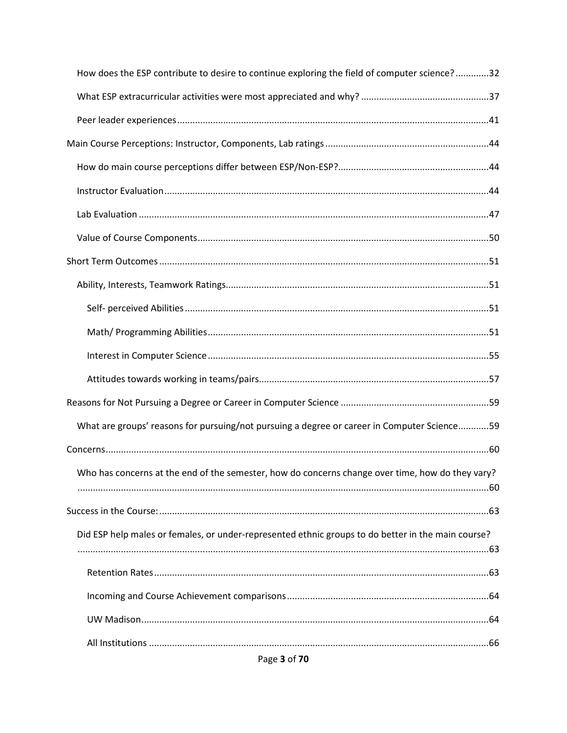| How does the ESP contribute to desire to continue exploring the field of computer science?32       |
|----------------------------------------------------------------------------------------------------|
|                                                                                                    |
|                                                                                                    |
|                                                                                                    |
|                                                                                                    |
|                                                                                                    |
|                                                                                                    |
|                                                                                                    |
|                                                                                                    |
|                                                                                                    |
|                                                                                                    |
|                                                                                                    |
|                                                                                                    |
|                                                                                                    |
|                                                                                                    |
| What are groups' reasons for pursuing/not pursuing a degree or career in Computer Science59        |
|                                                                                                    |
| Who has concerns at the end of the semester, how do concerns change over time, how do they vary?   |
|                                                                                                    |
| Did ESP help males or females, or under-represented ethnic groups to do better in the main course? |
|                                                                                                    |
|                                                                                                    |
|                                                                                                    |
|                                                                                                    |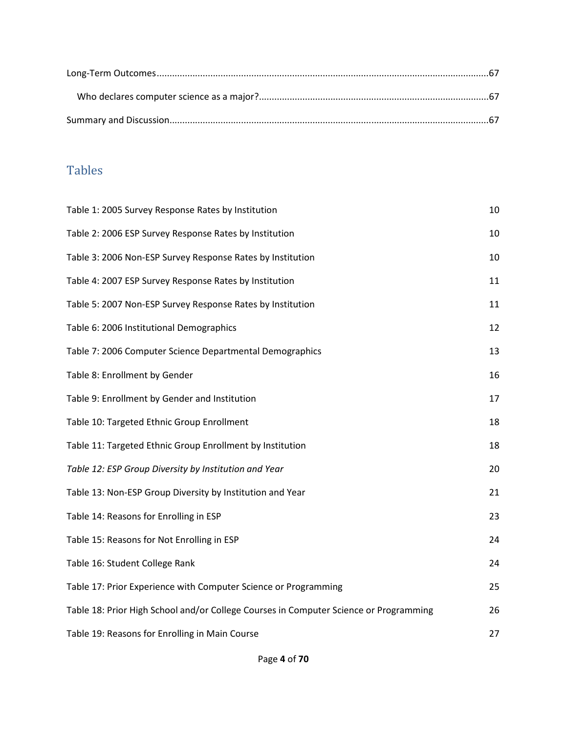# Tables

| Table 1: 2005 Survey Response Rates by Institution                                    | 10 |
|---------------------------------------------------------------------------------------|----|
| Table 2: 2006 ESP Survey Response Rates by Institution                                | 10 |
| Table 3: 2006 Non-ESP Survey Response Rates by Institution                            | 10 |
| Table 4: 2007 ESP Survey Response Rates by Institution                                | 11 |
| Table 5: 2007 Non-ESP Survey Response Rates by Institution                            | 11 |
| Table 6: 2006 Institutional Demographics                                              | 12 |
| Table 7: 2006 Computer Science Departmental Demographics                              | 13 |
| Table 8: Enrollment by Gender                                                         | 16 |
| Table 9: Enrollment by Gender and Institution                                         | 17 |
| Table 10: Targeted Ethnic Group Enrollment                                            | 18 |
| Table 11: Targeted Ethnic Group Enrollment by Institution                             | 18 |
| Table 12: ESP Group Diversity by Institution and Year                                 | 20 |
| Table 13: Non-ESP Group Diversity by Institution and Year                             | 21 |
| Table 14: Reasons for Enrolling in ESP                                                | 23 |
| Table 15: Reasons for Not Enrolling in ESP                                            | 24 |
| Table 16: Student College Rank                                                        | 24 |
| Table 17: Prior Experience with Computer Science or Programming                       | 25 |
| Table 18: Prior High School and/or College Courses in Computer Science or Programming | 26 |
| Table 19: Reasons for Enrolling in Main Course                                        | 27 |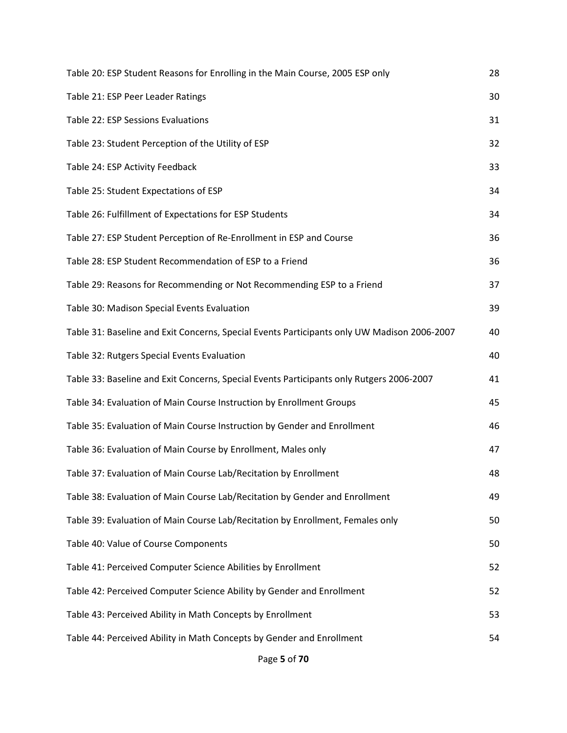| Table 20: ESP Student Reasons for Enrolling in the Main Course, 2005 ESP only               | 28 |
|---------------------------------------------------------------------------------------------|----|
| Table 21: ESP Peer Leader Ratings                                                           | 30 |
| Table 22: ESP Sessions Evaluations                                                          | 31 |
| Table 23: Student Perception of the Utility of ESP                                          | 32 |
| Table 24: ESP Activity Feedback                                                             | 33 |
| Table 25: Student Expectations of ESP                                                       | 34 |
| Table 26: Fulfillment of Expectations for ESP Students                                      | 34 |
| Table 27: ESP Student Perception of Re-Enrollment in ESP and Course                         | 36 |
| Table 28: ESP Student Recommendation of ESP to a Friend                                     | 36 |
| Table 29: Reasons for Recommending or Not Recommending ESP to a Friend                      | 37 |
| Table 30: Madison Special Events Evaluation                                                 | 39 |
| Table 31: Baseline and Exit Concerns, Special Events Participants only UW Madison 2006-2007 | 40 |
| Table 32: Rutgers Special Events Evaluation                                                 | 40 |
| Table 33: Baseline and Exit Concerns, Special Events Participants only Rutgers 2006-2007    | 41 |
| Table 34: Evaluation of Main Course Instruction by Enrollment Groups                        | 45 |
| Table 35: Evaluation of Main Course Instruction by Gender and Enrollment                    | 46 |
| Table 36: Evaluation of Main Course by Enrollment, Males only                               | 47 |
| Table 37: Evaluation of Main Course Lab/Recitation by Enrollment                            | 48 |
| Table 38: Evaluation of Main Course Lab/Recitation by Gender and Enrollment                 | 49 |
| Table 39: Evaluation of Main Course Lab/Recitation by Enrollment, Females only              | 50 |
| Table 40: Value of Course Components                                                        | 50 |
| Table 41: Perceived Computer Science Abilities by Enrollment                                | 52 |
| Table 42: Perceived Computer Science Ability by Gender and Enrollment                       | 52 |
| Table 43: Perceived Ability in Math Concepts by Enrollment                                  | 53 |
| Table 44: Perceived Ability in Math Concepts by Gender and Enrollment                       | 54 |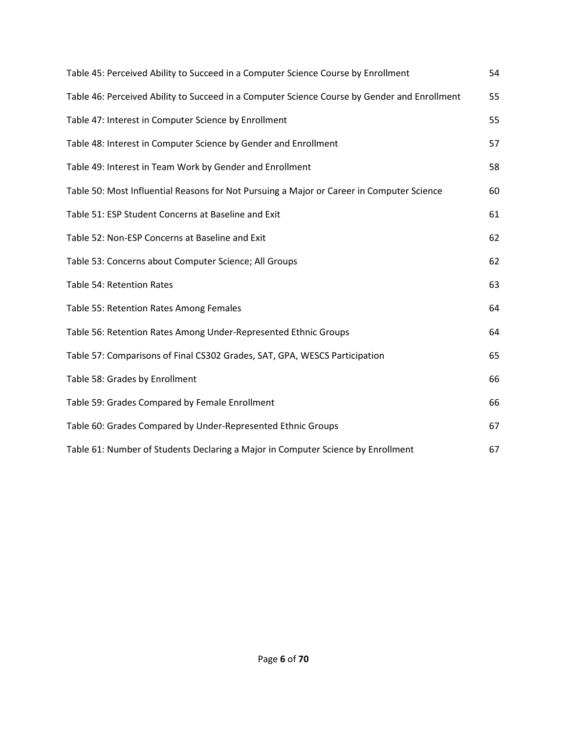| Table 45: Perceived Ability to Succeed in a Computer Science Course by Enrollment            | 54 |
|----------------------------------------------------------------------------------------------|----|
| Table 46: Perceived Ability to Succeed in a Computer Science Course by Gender and Enrollment | 55 |
| Table 47: Interest in Computer Science by Enrollment                                         | 55 |
| Table 48: Interest in Computer Science by Gender and Enrollment                              | 57 |
| Table 49: Interest in Team Work by Gender and Enrollment                                     | 58 |
| Table 50: Most Influential Reasons for Not Pursuing a Major or Career in Computer Science    | 60 |
| Table 51: ESP Student Concerns at Baseline and Exit                                          | 61 |
| Table 52: Non-ESP Concerns at Baseline and Exit                                              | 62 |
| Table 53: Concerns about Computer Science; All Groups                                        | 62 |
| Table 54: Retention Rates                                                                    | 63 |
| Table 55: Retention Rates Among Females                                                      | 64 |
| Table 56: Retention Rates Among Under-Represented Ethnic Groups                              | 64 |
| Table 57: Comparisons of Final CS302 Grades, SAT, GPA, WESCS Participation                   | 65 |
| Table 58: Grades by Enrollment                                                               | 66 |
| Table 59: Grades Compared by Female Enrollment                                               | 66 |
| Table 60: Grades Compared by Under-Represented Ethnic Groups                                 | 67 |
| Table 61: Number of Students Declaring a Major in Computer Science by Enrollment             | 67 |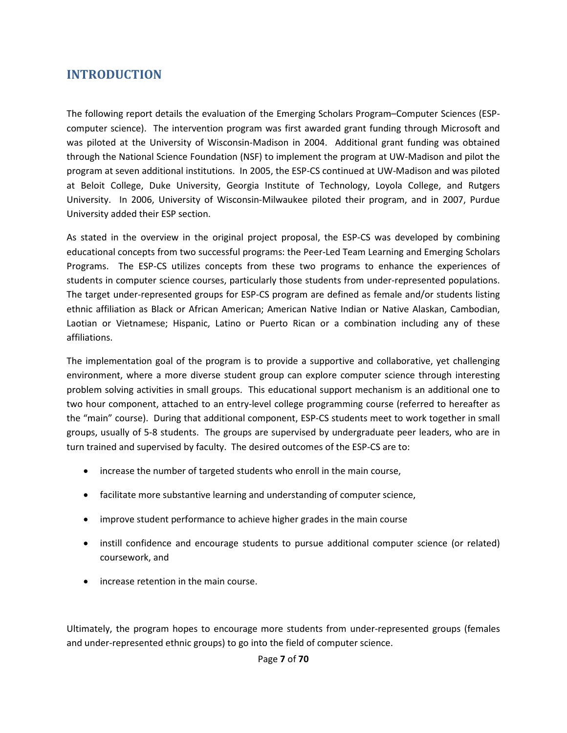# **INTRODUCTION**

The following report details the evaluation of the Emerging Scholars Program–Computer Sciences (ESPcomputer science). The intervention program was first awarded grant funding through Microsoft and was piloted at the University of Wisconsin-Madison in 2004. Additional grant funding was obtained through the National Science Foundation (NSF) to implement the program at UW-Madison and pilot the program at seven additional institutions. In 2005, the ESP-CS continued at UW-Madison and was piloted at Beloit College, Duke University, Georgia Institute of Technology, Loyola College, and Rutgers University. In 2006, University of Wisconsin-Milwaukee piloted their program, and in 2007, Purdue University added their ESP section.

As stated in the overview in the original project proposal, the ESP-CS was developed by combining educational concepts from two successful programs: the Peer-Led Team Learning and Emerging Scholars Programs. The ESP-CS utilizes concepts from these two programs to enhance the experiences of students in computer science courses, particularly those students from under-represented populations. The target under-represented groups for ESP-CS program are defined as female and/or students listing ethnic affiliation as Black or African American; American Native Indian or Native Alaskan, Cambodian, Laotian or Vietnamese; Hispanic, Latino or Puerto Rican or a combination including any of these affiliations.

The implementation goal of the program is to provide a supportive and collaborative, yet challenging environment, where a more diverse student group can explore computer science through interesting problem solving activities in small groups. This educational support mechanism is an additional one to two hour component, attached to an entry-level college programming course (referred to hereafter as the "main" course). During that additional component, ESP-CS students meet to work together in small groups, usually of 5-8 students. The groups are supervised by undergraduate peer leaders, who are in turn trained and supervised by faculty. The desired outcomes of the ESP-CS are to:

- increase the number of targeted students who enroll in the main course,
- facilitate more substantive learning and understanding of computer science,
- improve student performance to achieve higher grades in the main course
- instill confidence and encourage students to pursue additional computer science (or related) coursework, and
- increase retention in the main course.

Ultimately, the program hopes to encourage more students from under-represented groups (females and under-represented ethnic groups) to go into the field of computer science.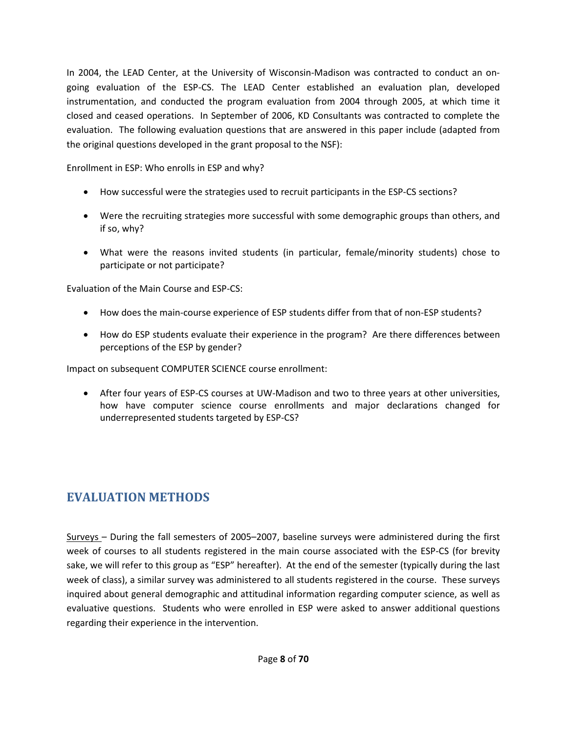In 2004, the LEAD Center, at the University of Wisconsin-Madison was contracted to conduct an ongoing evaluation of the ESP-CS. The LEAD Center established an evaluation plan, developed instrumentation, and conducted the program evaluation from 2004 through 2005, at which time it closed and ceased operations. In September of 2006, KD Consultants was contracted to complete the evaluation. The following evaluation questions that are answered in this paper include (adapted from the original questions developed in the grant proposal to the NSF):

Enrollment in ESP: Who enrolls in ESP and why?

- How successful were the strategies used to recruit participants in the ESP-CS sections?
- Were the recruiting strategies more successful with some demographic groups than others, and if so, why?
- What were the reasons invited students (in particular, female/minority students) chose to participate or not participate?

Evaluation of the Main Course and ESP-CS:

- How does the main-course experience of ESP students differ from that of non-ESP students?
- How do ESP students evaluate their experience in the program? Are there differences between perceptions of the ESP by gender?

Impact on subsequent COMPUTER SCIENCE course enrollment:

• After four years of ESP-CS courses at UW-Madison and two to three years at other universities, how have computer science course enrollments and major declarations changed for underrepresented students targeted by ESP-CS?

# **EVALUATION METHODS**

Surveys – During the fall semesters of 2005–2007, baseline surveys were administered during the first week of courses to all students registered in the main course associated with the ESP-CS (for brevity sake, we will refer to this group as "ESP" hereafter). At the end of the semester (typically during the last week of class), a similar survey was administered to all students registered in the course. These surveys inquired about general demographic and attitudinal information regarding computer science, as well as evaluative questions. Students who were enrolled in ESP were asked to answer additional questions regarding their experience in the intervention.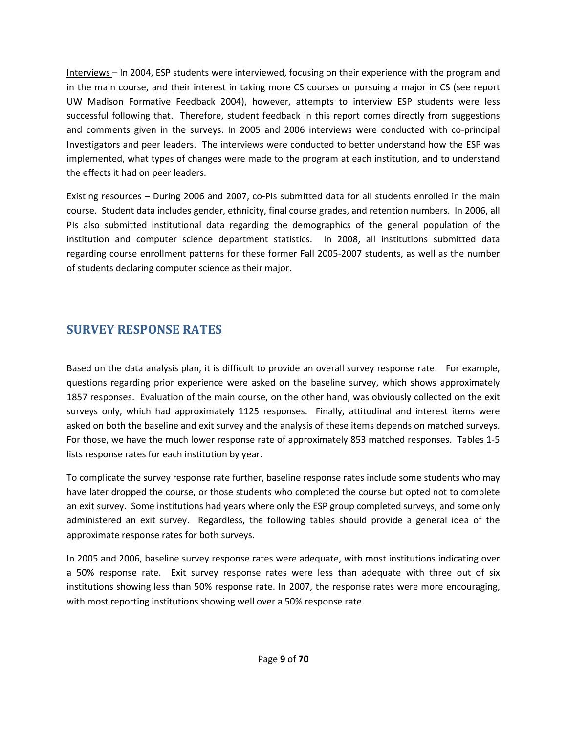Interviews – In 2004, ESP students were interviewed, focusing on their experience with the program and in the main course, and their interest in taking more CS courses or pursuing a major in CS (see report UW Madison Formative Feedback 2004), however, attempts to interview ESP students were less successful following that. Therefore, student feedback in this report comes directly from suggestions and comments given in the surveys. In 2005 and 2006 interviews were conducted with co-principal Investigators and peer leaders. The interviews were conducted to better understand how the ESP was implemented, what types of changes were made to the program at each institution, and to understand the effects it had on peer leaders.

Existing resources – During 2006 and 2007, co-PIs submitted data for all students enrolled in the main course. Student data includes gender, ethnicity, final course grades, and retention numbers. In 2006, all PIs also submitted institutional data regarding the demographics of the general population of the institution and computer science department statistics. In 2008, all institutions submitted data regarding course enrollment patterns for these former Fall 2005-2007 students, as well as the number of students declaring computer science as their major.

# **SURVEY RESPONSE RATES**

Based on the data analysis plan, it is difficult to provide an overall survey response rate. For example, questions regarding prior experience were asked on the baseline survey, which shows approximately 1857 responses. Evaluation of the main course, on the other hand, was obviously collected on the exit surveys only, which had approximately 1125 responses. Finally, attitudinal and interest items were asked on both the baseline and exit survey and the analysis of these items depends on matched surveys. For those, we have the much lower response rate of approximately 853 matched responses. Tables 1-5 lists response rates for each institution by year.

To complicate the survey response rate further, baseline response rates include some students who may have later dropped the course, or those students who completed the course but opted not to complete an exit survey. Some institutions had years where only the ESP group completed surveys, and some only administered an exit survey. Regardless, the following tables should provide a general idea of the approximate response rates for both surveys.

In 2005 and 2006, baseline survey response rates were adequate, with most institutions indicating over a 50% response rate. Exit survey response rates were less than adequate with three out of six institutions showing less than 50% response rate. In 2007, the response rates were more encouraging, with most reporting institutions showing well over a 50% response rate.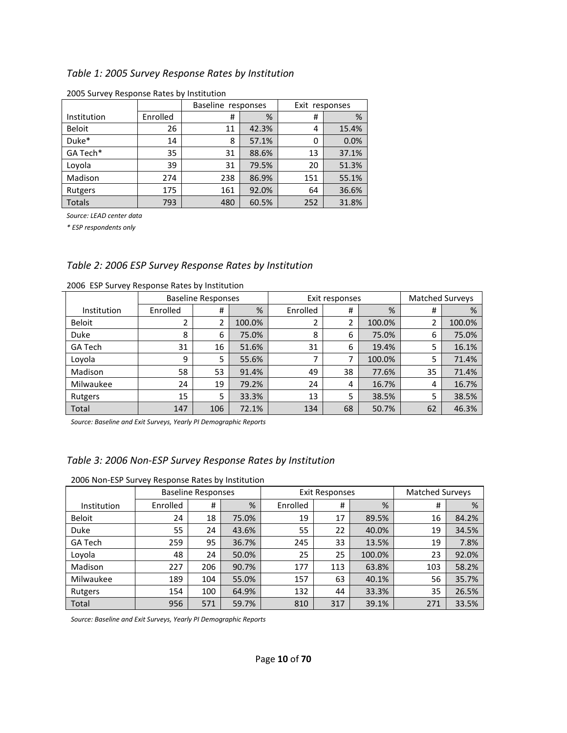#### *Table 1: 2005 Survey Response Rates by Institution*

|               |          | Baseline responses |       | Exit responses |       |
|---------------|----------|--------------------|-------|----------------|-------|
| Institution   | Enrolled | #                  | %     | #              | %     |
| <b>Beloit</b> | 26       | 11                 | 42.3% | 4              | 15.4% |
| Duke*         | 14       | 8                  | 57.1% | 0              | 0.0%  |
| GA Tech*      | 35       | 31                 | 88.6% | 13             | 37.1% |
| Loyola        | 39       | 31                 | 79.5% | 20             | 51.3% |
| Madison       | 274      | 238                | 86.9% | 151            | 55.1% |
| Rutgers       | 175      | 161                | 92.0% | 64             | 36.6% |
| Totals        | 793      | 480                | 60.5% | 252            | 31.8% |

2005 Survey Response Rates by Institution

*Source: LEAD center data* 

*\* ESP respondents only* 

#### *Table 2: 2006 ESP Survey Response Rates by Institution*

|                | <b>Baseline Responses</b> |     |        | Exit responses |    |        | <b>Matched Surveys</b> |        |
|----------------|---------------------------|-----|--------|----------------|----|--------|------------------------|--------|
| Institution    | Enrolled                  | #   | %      | Enrolled       | #  | %      | #                      | %      |
| <b>Beloit</b>  |                           | 2   | 100.0% | 2              | 2  | 100.0% | 2                      | 100.0% |
| Duke           | 8                         | 6   | 75.0%  | 8              | 6  | 75.0%  | 6                      | 75.0%  |
| <b>GA Tech</b> | 31                        | 16  | 51.6%  | 31             | 6  | 19.4%  | 5                      | 16.1%  |
| Loyola         | 9                         | 5   | 55.6%  | 7              |    | 100.0% | 5                      | 71.4%  |
| Madison        | 58                        | 53  | 91.4%  | 49             | 38 | 77.6%  | 35                     | 71.4%  |
| Milwaukee      | 24                        | 19  | 79.2%  | 24             | 4  | 16.7%  | 4                      | 16.7%  |
| Rutgers        | 15                        | 5   | 33.3%  | 13             | 5  | 38.5%  | 5                      | 38.5%  |
| Total          | 147                       | 106 | 72.1%  | 134            | 68 | 50.7%  | 62                     | 46.3%  |

2006 ESP Survey Response Rates by Institution

*Source: Baseline and Exit Surveys, Yearly PI Demographic Reports* 

#### *Table 3: 2006 Non-ESP Survey Response Rates by Institution*

|               | <b>Baseline Responses</b> |     |       |          | <b>Exit Responses</b> | <b>Matched Surveys</b> |     |       |
|---------------|---------------------------|-----|-------|----------|-----------------------|------------------------|-----|-------|
| Institution   | Enrolled                  | #   | %     | Enrolled | #                     | %                      | #   | %     |
| <b>Beloit</b> | 24                        | 18  | 75.0% | 19       | 17                    | 89.5%                  | 16  | 84.2% |
| Duke          | 55                        | 24  | 43.6% | 55       | 22                    | 40.0%                  | 19  | 34.5% |
| GA Tech       | 259                       | 95  | 36.7% | 245      | 33                    | 13.5%                  | 19  | 7.8%  |
| Loyola        | 48                        | 24  | 50.0% | 25       | 25                    | 100.0%                 | 23  | 92.0% |
| Madison       | 227                       | 206 | 90.7% | 177      | 113                   | 63.8%                  | 103 | 58.2% |
| Milwaukee     | 189                       | 104 | 55.0% | 157      | 63                    | 40.1%                  | 56  | 35.7% |
| Rutgers       | 154                       | 100 | 64.9% | 132      | 44                    | 33.3%                  | 35  | 26.5% |
| Total         | 956                       | 571 | 59.7% | 810      | 317                   | 39.1%                  | 271 | 33.5% |

*Source: Baseline and Exit Surveys, Yearly PI Demographic Reports*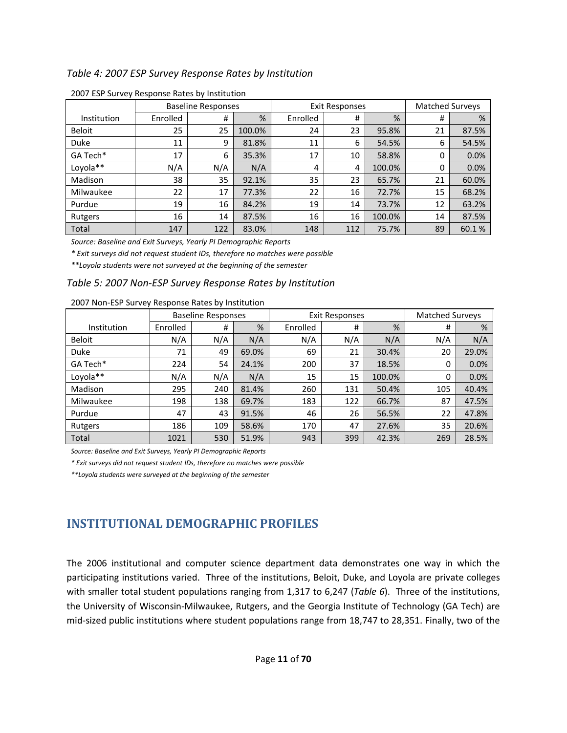#### *Table 4: 2007 ESP Survey Response Rates by Institution*

|               | <b>Baseline Responses</b> |     |        | <b>Exit Responses</b> |     |        | <b>Matched Surveys</b> |       |
|---------------|---------------------------|-----|--------|-----------------------|-----|--------|------------------------|-------|
| Institution   | Enrolled                  | #   | %      | Enrolled              | #   | %      | #                      | %     |
| <b>Beloit</b> | 25                        | 25  | 100.0% | 24                    | 23  | 95.8%  | 21                     | 87.5% |
| Duke          | 11                        | 9   | 81.8%  | 11                    | 6   | 54.5%  | 6                      | 54.5% |
| GA Tech*      | 17                        | 6   | 35.3%  | 17                    | 10  | 58.8%  | 0                      | 0.0%  |
| Loyola**      | N/A                       | N/A | N/A    | 4                     | 4   | 100.0% | 0                      | 0.0%  |
| Madison       | 38                        | 35  | 92.1%  | 35                    | 23  | 65.7%  | 21                     | 60.0% |
| Milwaukee     | 22                        | 17  | 77.3%  | 22                    | 16  | 72.7%  | 15                     | 68.2% |
| Purdue        | 19                        | 16  | 84.2%  | 19                    | 14  | 73.7%  | 12                     | 63.2% |
| Rutgers       | 16                        | 14  | 87.5%  | 16                    | 16  | 100.0% | 14                     | 87.5% |
| Total         | 147                       | 122 | 83.0%  | 148                   | 112 | 75.7%  | 89                     | 60.1% |

2007 ESP Survey Response Rates by Institution

*Source: Baseline and Exit Surveys, Yearly PI Demographic Reports* 

*\* Exit surveys did not request student IDs, therefore no matches were possible* 

*\*\*Loyola students were not surveyed at the beginning of the semester* 

#### *Table 5: 2007 Non-ESP Survey Response Rates by Institution*

|               | <b>Baseline Responses</b> |     |       |          | <b>Exit Responses</b> | <b>Matched Surveys</b> |     |       |
|---------------|---------------------------|-----|-------|----------|-----------------------|------------------------|-----|-------|
| Institution   | Enrolled                  | #   | %     | Enrolled | #                     | %                      | #   | %     |
| <b>Beloit</b> | N/A                       | N/A | N/A   | N/A      | N/A                   | N/A                    | N/A | N/A   |
| <b>Duke</b>   | 71                        | 49  | 69.0% | 69       | 21                    | 30.4%                  | 20  | 29.0% |
| GA Tech*      | 224                       | 54  | 24.1% | 200      | 37                    | 18.5%                  | 0   | 0.0%  |
| Loyola**      | N/A                       | N/A | N/A   | 15       | 15                    | 100.0%                 | 0   | 0.0%  |
| Madison       | 295                       | 240 | 81.4% | 260      | 131                   | 50.4%                  | 105 | 40.4% |
| Milwaukee     | 198                       | 138 | 69.7% | 183      | 122                   | 66.7%                  | 87  | 47.5% |
| Purdue        | 47                        | 43  | 91.5% | 46       | 26                    | 56.5%                  | 22  | 47.8% |
| Rutgers       | 186                       | 109 | 58.6% | 170      | 47                    | 27.6%                  | 35  | 20.6% |
| Total         | 1021                      | 530 | 51.9% | 943      | 399                   | 42.3%                  | 269 | 28.5% |

#### 2007 Non-ESP Survey Response Rates by Institution

*Source: Baseline and Exit Surveys, Yearly PI Demographic Reports* 

*\* Exit surveys did not request student IDs, therefore no matches were possible* 

*\*\*Loyola students were surveyed at the beginning of the semester* 

# **INSTITUTIONAL DEMOGRAPHIC PROFILES**

The 2006 institutional and computer science department data demonstrates one way in which the participating institutions varied. Three of the institutions, Beloit, Duke, and Loyola are private colleges with smaller total student populations ranging from 1,317 to 6,247 (*Table 6*). Three of the institutions, the University of Wisconsin-Milwaukee, Rutgers, and the Georgia Institute of Technology (GA Tech) are mid-sized public institutions where student populations range from 18,747 to 28,351. Finally, two of the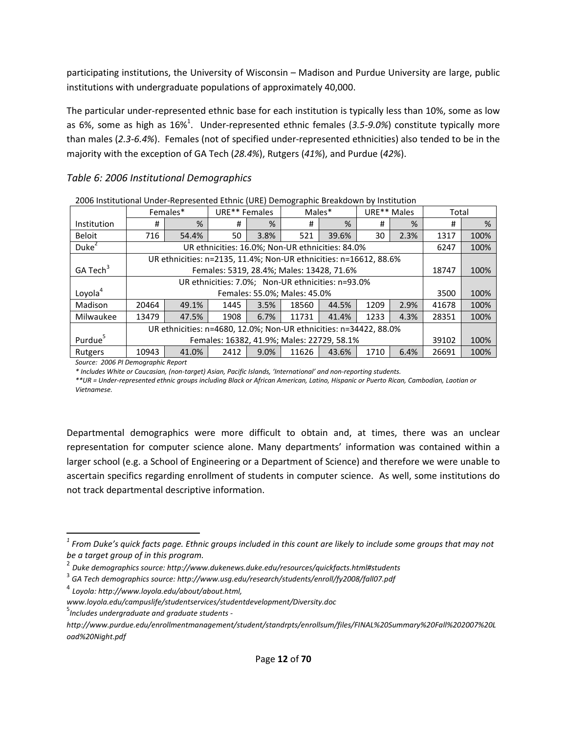participating institutions, the University of Wisconsin – Madison and Purdue University are large, public institutions with undergraduate populations of approximately 40,000.

The particular under-represented ethnic base for each institution is typically less than 10%, some as low as 6%, some as high as 16%<sup>1</sup>. Under-represented ethnic females (3.5-9.0%) constitute typically more than males (*2.3-6.4%*). Females (not of specified under-represented ethnicities) also tended to be in the majority with the exception of GA Tech (*28.4%*), Rutgers (*41%*), and Purdue (*42%*).

## *Table 6: 2006 Institutional Demographics*

|                      |                                                                   | Females*                                                          | URE <sup>**</sup> Females |      | Males*                       |                                           | URE** Males |      | Total |      |  |
|----------------------|-------------------------------------------------------------------|-------------------------------------------------------------------|---------------------------|------|------------------------------|-------------------------------------------|-------------|------|-------|------|--|
| Institution          | #                                                                 | %                                                                 | #                         | %    | #                            | %                                         | #           | %    | #     | %    |  |
| <b>Beloit</b>        | 716                                                               | 54.4%                                                             | 50                        | 3.8% | 521                          | 39.6%                                     | 30          | 2.3% | 1317  | 100% |  |
| Duke <sup>2</sup>    |                                                                   | 6247                                                              | 100%                      |      |                              |                                           |             |      |       |      |  |
|                      |                                                                   | UR ethnicities: n=2135, 11.4%; Non-UR ethnicities: n=16612, 88.6% |                           |      |                              |                                           |             |      |       |      |  |
| GA Tech <sup>3</sup> |                                                                   |                                                                   |                           |      |                              | Females: 5319, 28.4%; Males: 13428, 71.6% |             |      | 18747 | 100% |  |
|                      |                                                                   |                                                                   |                           |      |                              |                                           |             |      |       |      |  |
| Loyola <sup>4</sup>  |                                                                   |                                                                   |                           |      | Females: 55.0%; Males: 45.0% |                                           |             |      | 3500  | 100% |  |
| Madison              | 20464                                                             | 49.1%                                                             | 1445                      | 3.5% | 18560                        | 44.5%                                     | 1209        | 2.9% | 41678 | 100% |  |
| Milwaukee            | 13479                                                             | 47.5%                                                             | 1908                      | 6.7% | 11731                        | 41.4%                                     | 1233        | 4.3% | 28351 | 100% |  |
|                      | UR ethnicities: n=4680, 12.0%; Non-UR ethnicities: n=34422, 88.0% |                                                                   |                           |      |                              |                                           |             |      |       |      |  |
| Purdue               | Females: 16382, 41.9%; Males: 22729, 58.1%                        |                                                                   |                           |      |                              |                                           |             |      |       | 100% |  |
| Rutgers              | 10943                                                             | 41.0%                                                             | 2412                      | 9.0% | 11626                        | 43.6%                                     | 1710        | 6.4% | 26691 | 100% |  |

2006 Institutional Under-Represented Ethnic (URE) Demographic Breakdown by Institution

*Source: 2006 PI Demographic Report*

l

*\* Includes White or Caucasian, (non-target) Asian, Pacific Islands, 'International' and non-reporting students.* 

*\*\*UR = Under-represented ethnic groups including Black or African American, Latino, Hispanic or Puerto Rican, Cambodian, Laotian or Vietnamese.* 

Departmental demographics were more difficult to obtain and, at times, there was an unclear representation for computer science alone. Many departments' information was contained within a larger school (e.g. a School of Engineering or a Department of Science) and therefore we were unable to ascertain specifics regarding enrollment of students in computer science. As well, some institutions do not track departmental descriptive information.

*<sup>1</sup> From Duke's quick facts page. Ethnic groups included in this count are likely to include some groups that may not be a target group of in this program.* 

<sup>2</sup> *Duke demographics source: http://www.dukenews.duke.edu/resources/quickfacts.html#students*

<sup>&</sup>lt;sup>3</sup> GA Tech demographics source: http://www.usg.edu/research/students/enroll/fy2008/fall07.pdf

<sup>4</sup> *Loyola: http://www.loyola.edu/about/about.html,* 

*www.loyola.edu/campuslife/studentservices/studentdevelopment/Diversity.doc*

<sup>5</sup> *Includes undergraduate and graduate students -* 

*http://www.purdue.edu/enrollmentmanagement/student/standrpts/enrollsum/files/FINAL%20Summary%20Fall%202007%20L oad%20Night.pdf*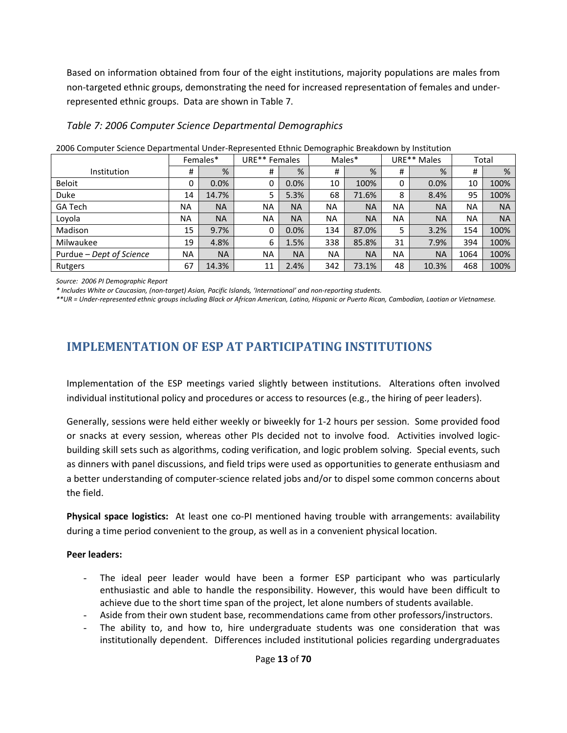Based on information obtained from four of the eight institutions, majority populations are males from non-targeted ethnic groups, demonstrating the need for increased representation of females and underrepresented ethnic groups. Data are shown in Table 7.

### *Table 7: 2006 Computer Science Departmental Demographics*

| Lood compater belence bepartmentar onaer nepresentea Ethino Benrographic Breakao (fili o finstitution |           |           |               |           |           |           |           |             |           |           |  |
|-------------------------------------------------------------------------------------------------------|-----------|-----------|---------------|-----------|-----------|-----------|-----------|-------------|-----------|-----------|--|
|                                                                                                       |           | Females*  | URE** Females |           |           | Males*    |           | URE** Males | Total     |           |  |
| Institution                                                                                           | #         | %         | #             | %         | #         | %         | #         | %           | #         | %         |  |
| <b>Beloit</b>                                                                                         | 0         | 0.0%      | 0             | 0.0%      | 10        | 100%      | 0         | 0.0%        | 10        | 100%      |  |
| <b>Duke</b>                                                                                           | 14        | 14.7%     | 5             | 5.3%      | 68        | 71.6%     | 8         | 8.4%        | 95        | 100%      |  |
| <b>GA Tech</b>                                                                                        | <b>NA</b> | <b>NA</b> | <b>NA</b>     | <b>NA</b> | <b>NA</b> | <b>NA</b> | <b>NA</b> | <b>NA</b>   | <b>NA</b> | <b>NA</b> |  |
| Lovola                                                                                                | <b>NA</b> | <b>NA</b> | <b>NA</b>     | <b>NA</b> | <b>NA</b> | <b>NA</b> | <b>NA</b> | <b>NA</b>   | <b>NA</b> | <b>NA</b> |  |
| Madison                                                                                               | 15        | 9.7%      | 0             | 0.0%      | 134       | 87.0%     | 5         | 3.2%        | 154       | 100%      |  |
| Milwaukee                                                                                             | 19        | 4.8%      | 6             | 1.5%      | 338       | 85.8%     | 31        | 7.9%        | 394       | 100%      |  |
| Purdue - Dept of Science                                                                              | <b>NA</b> | <b>NA</b> | <b>NA</b>     | <b>NA</b> | <b>NA</b> | <b>NA</b> | <b>NA</b> | <b>NA</b>   | 1064      | 100%      |  |
| Rutgers                                                                                               | 67        | 14.3%     | 11            | 2.4%      | 342       | 73.1%     | 48        | 10.3%       | 468       | 100%      |  |

2006 Computer Science Departmental Under-Represented Ethnic Demographic Breakdown by Institution

*Source: 2006 PI Demographic Report* 

*\* Includes White or Caucasian, (non-target) Asian, Pacific Islands, 'International' and non-reporting students.* 

*\*\*UR = Under-represented ethnic groups including Black or African American, Latino, Hispanic or Puerto Rican, Cambodian, Laotian or Vietnamese.* 

# **IMPLEMENTATION OF ESP AT PARTICIPATING INSTITUTIONS**

Implementation of the ESP meetings varied slightly between institutions. Alterations often involved individual institutional policy and procedures or access to resources (e.g., the hiring of peer leaders).

Generally, sessions were held either weekly or biweekly for 1-2 hours per session. Some provided food or snacks at every session, whereas other PIs decided not to involve food. Activities involved logicbuilding skill sets such as algorithms, coding verification, and logic problem solving. Special events, such as dinners with panel discussions, and field trips were used as opportunities to generate enthusiasm and a better understanding of computer-science related jobs and/or to dispel some common concerns about the field.

**Physical space logistics:** At least one co-PI mentioned having trouble with arrangements: availability during a time period convenient to the group, as well as in a convenient physical location.

#### **Peer leaders:**

- The ideal peer leader would have been a former ESP participant who was particularly enthusiastic and able to handle the responsibility. However, this would have been difficult to achieve due to the short time span of the project, let alone numbers of students available.
- Aside from their own student base, recommendations came from other professors/instructors.
- The ability to, and how to, hire undergraduate students was one consideration that was institutionally dependent. Differences included institutional policies regarding undergraduates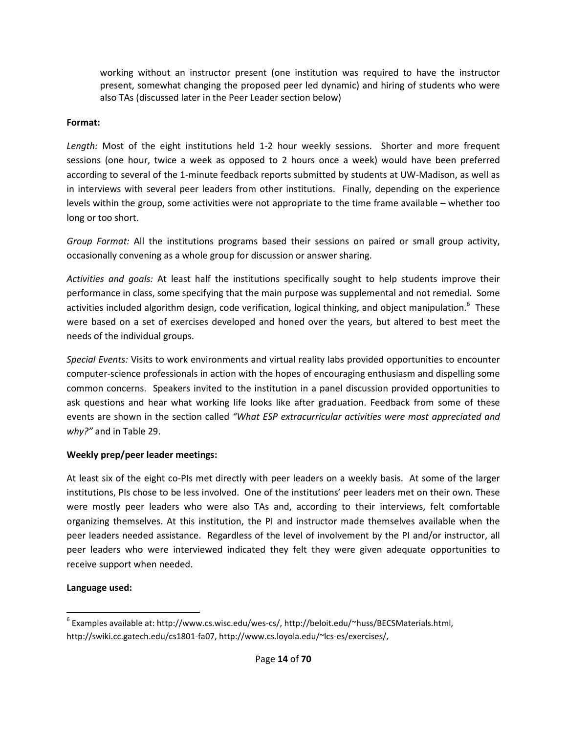working without an instructor present (one institution was required to have the instructor present, somewhat changing the proposed peer led dynamic) and hiring of students who were also TAs (discussed later in the Peer Leader section below)

#### **Format:**

*Length:* Most of the eight institutions held 1-2 hour weekly sessions. Shorter and more frequent sessions (one hour, twice a week as opposed to 2 hours once a week) would have been preferred according to several of the 1-minute feedback reports submitted by students at UW-Madison, as well as in interviews with several peer leaders from other institutions. Finally, depending on the experience levels within the group, some activities were not appropriate to the time frame available – whether too long or too short.

*Group Format:* All the institutions programs based their sessions on paired or small group activity, occasionally convening as a whole group for discussion or answer sharing.

*Activities and goals:* At least half the institutions specifically sought to help students improve their performance in class, some specifying that the main purpose was supplemental and not remedial. Some activities included algorithm design, code verification, logical thinking, and object manipulation.<sup>6</sup> These were based on a set of exercises developed and honed over the years, but altered to best meet the needs of the individual groups.

*Special Events:* Visits to work environments and virtual reality labs provided opportunities to encounter computer-science professionals in action with the hopes of encouraging enthusiasm and dispelling some common concerns. Speakers invited to the institution in a panel discussion provided opportunities to ask questions and hear what working life looks like after graduation. Feedback from some of these events are shown in the section called *"What ESP extracurricular activities were most appreciated and why?"* and in Table 29.

### **Weekly prep/peer leader meetings:**

At least six of the eight co-PIs met directly with peer leaders on a weekly basis. At some of the larger institutions, PIs chose to be less involved. One of the institutions' peer leaders met on their own. These were mostly peer leaders who were also TAs and, according to their interviews, felt comfortable organizing themselves. At this institution, the PI and instructor made themselves available when the peer leaders needed assistance. Regardless of the level of involvement by the PI and/or instructor, all peer leaders who were interviewed indicated they felt they were given adequate opportunities to receive support when needed.

### **Language used:**

l

 $^6$  Examples available at: http://www.cs.wisc.edu/wes-cs/, http://beloit.edu/~huss/BECSMaterials.html, http://swiki.cc.gatech.edu/cs1801-fa07, http://www.cs.loyola.edu/~lcs-es/exercises/,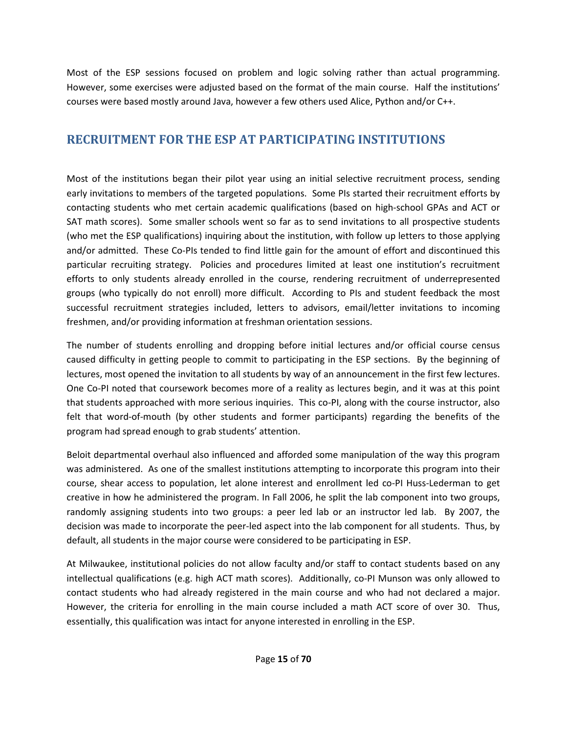Most of the ESP sessions focused on problem and logic solving rather than actual programming. However, some exercises were adjusted based on the format of the main course. Half the institutions' courses were based mostly around Java, however a few others used Alice, Python and/or C++.

# **RECRUITMENT FOR THE ESP AT PARTICIPATING INSTITUTIONS**

Most of the institutions began their pilot year using an initial selective recruitment process, sending early invitations to members of the targeted populations. Some PIs started their recruitment efforts by contacting students who met certain academic qualifications (based on high-school GPAs and ACT or SAT math scores). Some smaller schools went so far as to send invitations to all prospective students (who met the ESP qualifications) inquiring about the institution, with follow up letters to those applying and/or admitted. These Co-PIs tended to find little gain for the amount of effort and discontinued this particular recruiting strategy. Policies and procedures limited at least one institution's recruitment efforts to only students already enrolled in the course, rendering recruitment of underrepresented groups (who typically do not enroll) more difficult. According to PIs and student feedback the most successful recruitment strategies included, letters to advisors, email/letter invitations to incoming freshmen, and/or providing information at freshman orientation sessions.

The number of students enrolling and dropping before initial lectures and/or official course census caused difficulty in getting people to commit to participating in the ESP sections. By the beginning of lectures, most opened the invitation to all students by way of an announcement in the first few lectures. One Co-PI noted that coursework becomes more of a reality as lectures begin, and it was at this point that students approached with more serious inquiries. This co-PI, along with the course instructor, also felt that word-of-mouth (by other students and former participants) regarding the benefits of the program had spread enough to grab students' attention.

Beloit departmental overhaul also influenced and afforded some manipulation of the way this program was administered. As one of the smallest institutions attempting to incorporate this program into their course, shear access to population, let alone interest and enrollment led co-PI Huss-Lederman to get creative in how he administered the program. In Fall 2006, he split the lab component into two groups, randomly assigning students into two groups: a peer led lab or an instructor led lab. By 2007, the decision was made to incorporate the peer-led aspect into the lab component for all students. Thus, by default, all students in the major course were considered to be participating in ESP.

At Milwaukee, institutional policies do not allow faculty and/or staff to contact students based on any intellectual qualifications (e.g. high ACT math scores). Additionally, co-PI Munson was only allowed to contact students who had already registered in the main course and who had not declared a major. However, the criteria for enrolling in the main course included a math ACT score of over 30. Thus, essentially, this qualification was intact for anyone interested in enrolling in the ESP.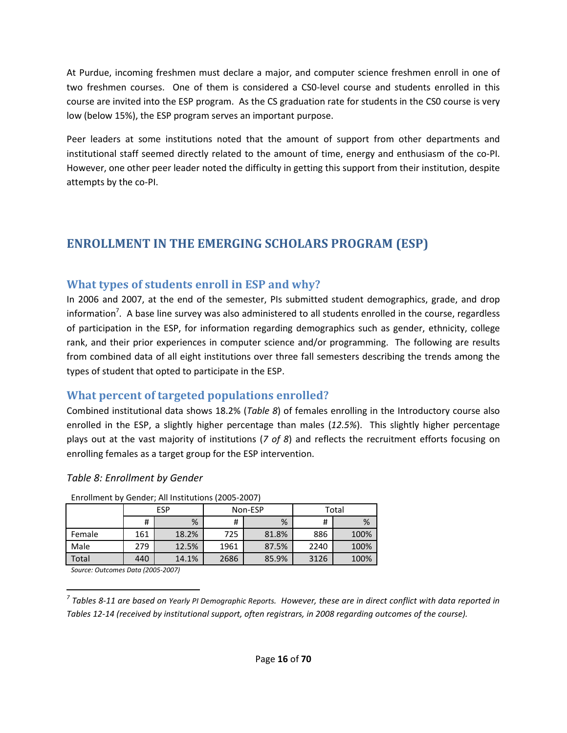At Purdue, incoming freshmen must declare a major, and computer science freshmen enroll in one of two freshmen courses. One of them is considered a CS0-level course and students enrolled in this course are invited into the ESP program. As the CS graduation rate for students in the CS0 course is very low (below 15%), the ESP program serves an important purpose.

Peer leaders at some institutions noted that the amount of support from other departments and institutional staff seemed directly related to the amount of time, energy and enthusiasm of the co-PI. However, one other peer leader noted the difficulty in getting this support from their institution, despite attempts by the co-PI.

# **ENROLLMENT IN THE EMERGING SCHOLARS PROGRAM (ESP)**

# **What types of students enroll in ESP and why?**

In 2006 and 2007, at the end of the semester, PIs submitted student demographics, grade, and drop information<sup>7</sup>. A base line survey was also administered to all students enrolled in the course, regardless of participation in the ESP, for information regarding demographics such as gender, ethnicity, college rank, and their prior experiences in computer science and/or programming. The following are results from combined data of all eight institutions over three fall semesters describing the trends among the types of student that opted to participate in the ESP.

# **What percent of targeted populations enrolled?**

Combined institutional data shows 18.2% (*Table 8*) of females enrolling in the Introductory course also enrolled in the ESP, a slightly higher percentage than males (*12.5%*). This slightly higher percentage plays out at the vast majority of institutions (*7 of 8*) and reflects the recruitment efforts focusing on enrolling females as a target group for the ESP intervention.

| <u>Elliolinelit by Genuer, All Institutions (2005-2007)</u> |     |       |      |         |       |      |  |  |  |  |  |
|-------------------------------------------------------------|-----|-------|------|---------|-------|------|--|--|--|--|--|
|                                                             |     | ESP   |      | Non-ESP | Total |      |  |  |  |  |  |
|                                                             | #   | %     | #    | %       | #     | %    |  |  |  |  |  |
| Female                                                      | 161 | 18.2% | 725  | 81.8%   | 886   | 100% |  |  |  |  |  |
| Male                                                        | 279 | 12.5% | 1961 | 87.5%   | 2240  | 100% |  |  |  |  |  |
| Total                                                       | 440 | 14.1% | 2686 | 85.9%   | 3126  | 100% |  |  |  |  |  |

*Table 8: Enrollment by Gender* 

Enrollment by Gender; All Institutions (2005-2007)

*Source: Outcomes Data (2005-2007)*

 $\overline{\phantom{0}}$ *7 Tables 8-11 are based on Yearly PI Demographic Reports. However, these are in direct conflict with data reported in Tables 12-14 (received by institutional support, often registrars, in 2008 regarding outcomes of the course).*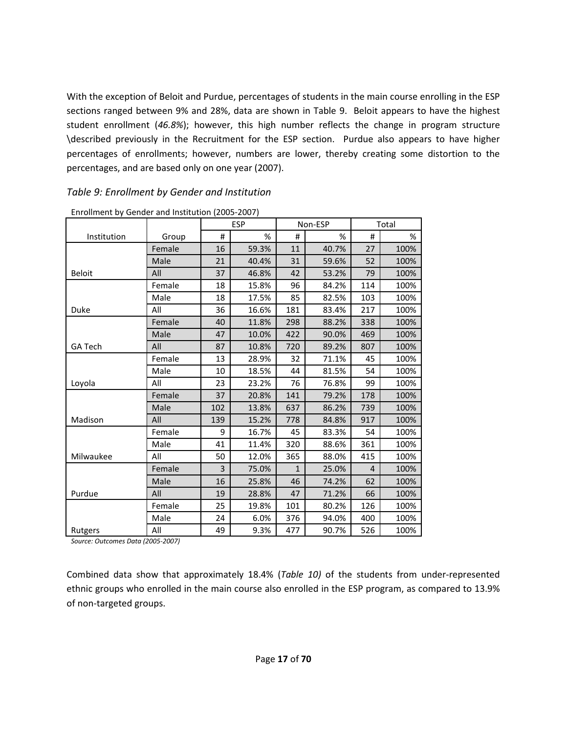With the exception of Beloit and Purdue, percentages of students in the main course enrolling in the ESP sections ranged between 9% and 28%, data are shown in Table 9. Beloit appears to have the highest student enrollment (*46.8%*); however, this high number reflects the change in program structure \described previously in the Recruitment for the ESP section. Purdue also appears to have higher percentages of enrollments; however, numbers are lower, thereby creating some distortion to the percentages, and are based only on one year (2007).

#### *Table 9: Enrollment by Gender and Institution*

|                |        |     | <b>ESP</b> |     | Non-ESP |     | Total |
|----------------|--------|-----|------------|-----|---------|-----|-------|
| Institution    | Group  | #   | %          | #   | %       | #   | %     |
|                | Female | 16  | 59.3%      | 11  | 40.7%   | 27  | 100%  |
|                | Male   | 21  | 40.4%      | 31  | 59.6%   | 52  | 100%  |
| <b>Beloit</b>  | All    | 37  | 46.8%      | 42  | 53.2%   | 79  | 100%  |
|                | Female | 18  | 15.8%      | 96  | 84.2%   | 114 | 100%  |
|                | Male   | 18  | 17.5%      | 85  | 82.5%   | 103 | 100%  |
| Duke           | All    | 36  | 16.6%      | 181 | 83.4%   | 217 | 100%  |
|                | Female | 40  | 11.8%      | 298 | 88.2%   | 338 | 100%  |
|                | Male   | 47  | 10.0%      | 422 | 90.0%   | 469 | 100%  |
| <b>GA Tech</b> | All    | 87  | 10.8%      | 720 | 89.2%   | 807 | 100%  |
|                | Female | 13  | 28.9%      | 32  | 71.1%   | 45  | 100%  |
|                | Male   | 10  | 18.5%      | 44  | 81.5%   | 54  | 100%  |
| Loyola         | All    | 23  | 23.2%      | 76  | 76.8%   | 99  | 100%  |
|                | Female | 37  | 20.8%      | 141 | 79.2%   | 178 | 100%  |
|                | Male   | 102 | 13.8%      | 637 | 86.2%   | 739 | 100%  |
| Madison        | All    | 139 | 15.2%      | 778 | 84.8%   | 917 | 100%  |
|                | Female | 9   | 16.7%      | 45  | 83.3%   | 54  | 100%  |
|                | Male   | 41  | 11.4%      | 320 | 88.6%   | 361 | 100%  |
| Milwaukee      | All    | 50  | 12.0%      | 365 | 88.0%   | 415 | 100%  |
|                | Female | 3   | 75.0%      | 1   | 25.0%   | 4   | 100%  |
|                | Male   | 16  | 25.8%      | 46  | 74.2%   | 62  | 100%  |
| Purdue         | All    | 19  | 28.8%      | 47  | 71.2%   | 66  | 100%  |
|                | Female | 25  | 19.8%      | 101 | 80.2%   | 126 | 100%  |
|                | Male   | 24  | 6.0%       | 376 | 94.0%   | 400 | 100%  |
| Rutgers        | All    | 49  | 9.3%       | 477 | 90.7%   | 526 | 100%  |

Enrollment by Gender and Institution (2005-2007)

*Source: Outcomes Data (2005-2007)*

Combined data show that approximately 18.4% (*Table 10)* of the students from under-represented ethnic groups who enrolled in the main course also enrolled in the ESP program, as compared to 13.9% of non-targeted groups.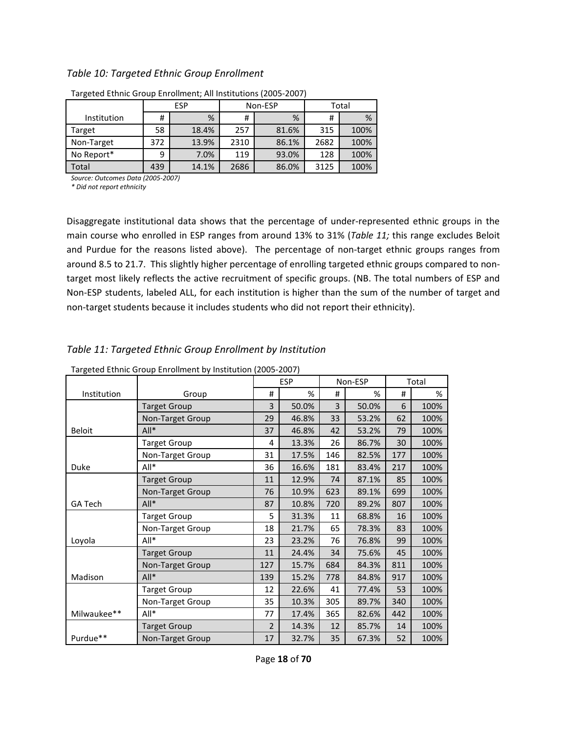#### *Table 10: Targeted Ethnic Group Enrollment*

|             |        | <b>ESP</b> |      | Non-ESP | Total |      |  |
|-------------|--------|------------|------|---------|-------|------|--|
| Institution | %<br># |            | #    | %       | #     | %    |  |
| Target      | 58     | 18.4%      | 257  | 81.6%   | 315   | 100% |  |
| Non-Target  | 372    | 13.9%      | 2310 | 86.1%   | 2682  | 100% |  |
| No Report*  | 9      | 7.0%       | 119  | 93.0%   | 128   | 100% |  |
| Total       | 439    | 14.1%      | 2686 | 86.0%   | 3125  | 100% |  |

Targeted Ethnic Group Enrollment; All Institutions (2005-2007)

*Source: Outcomes Data (2005-2007)*

*\* Did not report ethnicity*

Disaggregate institutional data shows that the percentage of under-represented ethnic groups in the main course who enrolled in ESP ranges from around 13% to 31% (*Table 11;* this range excludes Beloit and Purdue for the reasons listed above). The percentage of non-target ethnic groups ranges from around 8.5 to 21.7. This slightly higher percentage of enrolling targeted ethnic groups compared to nontarget most likely reflects the active recruitment of specific groups. (NB. The total numbers of ESP and Non-ESP students, labeled ALL, for each institution is higher than the sum of the number of target and non-target students because it includes students who did not report their ethnicity).

#### *Table 11: Targeted Ethnic Group Enrollment by Institution*

| Targeted Ethnic Group Enrollment by Institution (2005-2007) |                     |                |            |     |         |     |       |  |  |
|-------------------------------------------------------------|---------------------|----------------|------------|-----|---------|-----|-------|--|--|
|                                                             |                     |                | <b>ESP</b> |     | Non-ESP |     | Total |  |  |
| Institution                                                 | Group               | #              | %          | #   | %       | #   | %     |  |  |
|                                                             | <b>Target Group</b> | 3              | 50.0%      | 3   | 50.0%   | 6   | 100%  |  |  |
|                                                             | Non-Target Group    | 29             | 46.8%      | 33  | 53.2%   | 62  | 100%  |  |  |
| <b>Beloit</b>                                               | $All*$              | 37             | 46.8%      | 42  | 53.2%   | 79  | 100%  |  |  |
|                                                             | <b>Target Group</b> | 4              | 13.3%      | 26  | 86.7%   | 30  | 100%  |  |  |
|                                                             | Non-Target Group    | 31             | 17.5%      | 146 | 82.5%   | 177 | 100%  |  |  |
| Duke                                                        | All*                | 36             | 16.6%      | 181 | 83.4%   | 217 | 100%  |  |  |
|                                                             | <b>Target Group</b> | 11             | 12.9%      | 74  | 87.1%   | 85  | 100%  |  |  |
|                                                             | Non-Target Group    | 76             | 10.9%      | 623 | 89.1%   | 699 | 100%  |  |  |
| <b>GA Tech</b>                                              | $All*$              | 87             | 10.8%      | 720 | 89.2%   | 807 | 100%  |  |  |
|                                                             | <b>Target Group</b> | 5              | 31.3%      | 11  | 68.8%   | 16  | 100%  |  |  |
|                                                             | Non-Target Group    | 18             | 21.7%      | 65  | 78.3%   | 83  | 100%  |  |  |
| Loyola                                                      | All*                | 23             | 23.2%      | 76  | 76.8%   | 99  | 100%  |  |  |
|                                                             | <b>Target Group</b> | 11             | 24.4%      | 34  | 75.6%   | 45  | 100%  |  |  |
|                                                             | Non-Target Group    | 127            | 15.7%      | 684 | 84.3%   | 811 | 100%  |  |  |
| Madison                                                     | $All*$              | 139            | 15.2%      | 778 | 84.8%   | 917 | 100%  |  |  |
|                                                             | <b>Target Group</b> | 12             | 22.6%      | 41  | 77.4%   | 53  | 100%  |  |  |
|                                                             | Non-Target Group    | 35             | 10.3%      | 305 | 89.7%   | 340 | 100%  |  |  |
| Milwaukee**                                                 | All*                | 77             | 17.4%      | 365 | 82.6%   | 442 | 100%  |  |  |
|                                                             | <b>Target Group</b> | $\overline{2}$ | 14.3%      | 12  | 85.7%   | 14  | 100%  |  |  |
| Purdue**                                                    | Non-Target Group    | 17             | 32.7%      | 35  | 67.3%   | 52  | 100%  |  |  |

Targeted Ethnic Group Enrollment by Institution (2005-2007)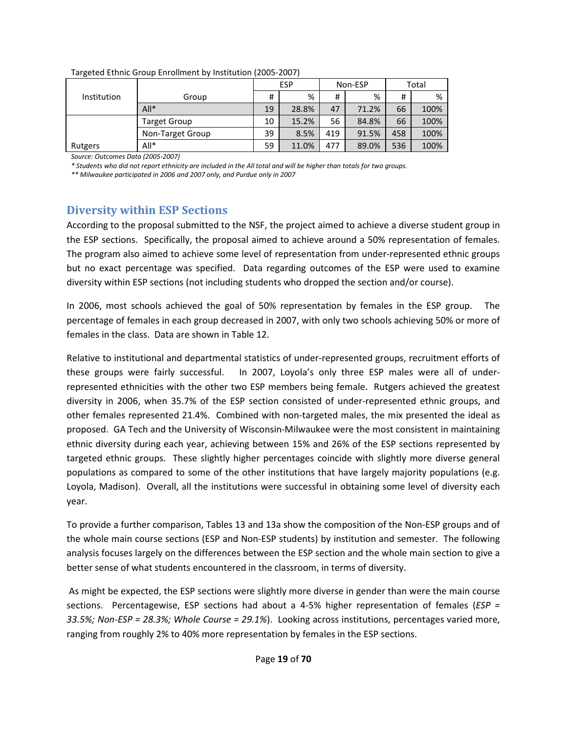| .           |                     |                       |       |     |       |       |      |  |  |  |
|-------------|---------------------|-----------------------|-------|-----|-------|-------|------|--|--|--|
|             |                     | <b>ESP</b><br>Non-ESP |       |     |       | Total |      |  |  |  |
| Institution | Group               | #                     | %     | #   | %     | #     | %    |  |  |  |
|             | $All*$              | 19                    | 28.8% | 47  | 71.2% | 66    | 100% |  |  |  |
|             | <b>Target Group</b> | 10                    | 15.2% | 56  | 84.8% | 66    | 100% |  |  |  |
|             | Non-Target Group    | 39                    | 8.5%  | 419 | 91.5% | 458   | 100% |  |  |  |
| Rutgers     | $All*$              | 59                    | 11.0% | 477 | 89.0% | 536   | 100% |  |  |  |

Targeted Ethnic Group Enrollment by Institution (2005-2007)

*Source: Outcomes Data (2005-2007)*

*\* Students who did not report ethnicity are included in the All total and will be higher than totals for two groups.*

*\*\* Milwaukee participated in 2006 and 2007 only, and Purdue only in 2007* 

## **Diversity within ESP Sections**

According to the proposal submitted to the NSF, the project aimed to achieve a diverse student group in the ESP sections. Specifically, the proposal aimed to achieve around a 50% representation of females. The program also aimed to achieve some level of representation from under-represented ethnic groups but no exact percentage was specified. Data regarding outcomes of the ESP were used to examine diversity within ESP sections (not including students who dropped the section and/or course).

In 2006, most schools achieved the goal of 50% representation by females in the ESP group. The percentage of females in each group decreased in 2007, with only two schools achieving 50% or more of females in the class. Data are shown in Table 12.

Relative to institutional and departmental statistics of under-represented groups, recruitment efforts of these groups were fairly successful. In 2007, Loyola's only three ESP males were all of underrepresented ethnicities with the other two ESP members being female. Rutgers achieved the greatest diversity in 2006, when 35.7% of the ESP section consisted of under-represented ethnic groups, and other females represented 21.4%. Combined with non-targeted males, the mix presented the ideal as proposed. GA Tech and the University of Wisconsin-Milwaukee were the most consistent in maintaining ethnic diversity during each year, achieving between 15% and 26% of the ESP sections represented by targeted ethnic groups. These slightly higher percentages coincide with slightly more diverse general populations as compared to some of the other institutions that have largely majority populations (e.g. Loyola, Madison). Overall, all the institutions were successful in obtaining some level of diversity each year.

To provide a further comparison, Tables 13 and 13a show the composition of the Non-ESP groups and of the whole main course sections (ESP and Non-ESP students) by institution and semester. The following analysis focuses largely on the differences between the ESP section and the whole main section to give a better sense of what students encountered in the classroom, in terms of diversity.

 As might be expected, the ESP sections were slightly more diverse in gender than were the main course sections. Percentagewise, ESP sections had about a 4-5% higher representation of females (*ESP = 33.5%; Non-ESP = 28.3%; Whole Course = 29.1%*). Looking across institutions, percentages varied more, ranging from roughly 2% to 40% more representation by females in the ESP sections.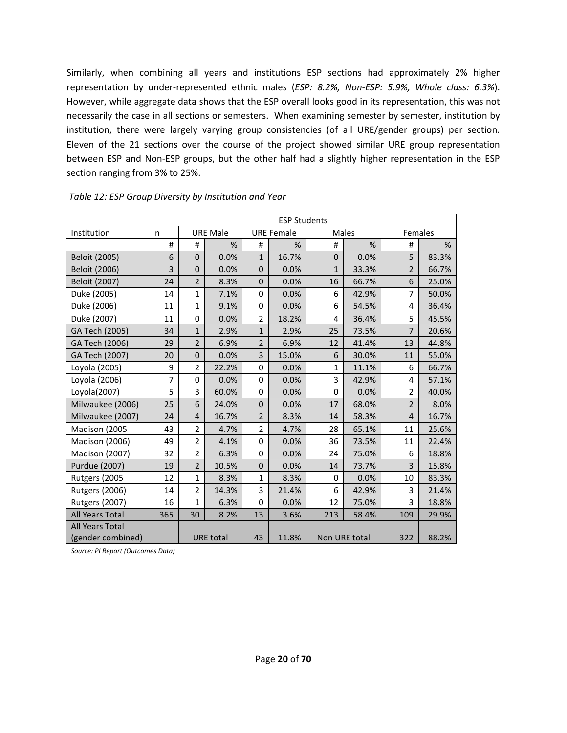Similarly, when combining all years and institutions ESP sections had approximately 2% higher representation by under-represented ethnic males (*ESP: 8.2%, Non-ESP: 5.9%, Whole class: 6.3%*). However, while aggregate data shows that the ESP overall looks good in its representation, this was not necessarily the case in all sections or semesters. When examining semester by semester, institution by institution, there were largely varying group consistencies (of all URE/gender groups) per section. Eleven of the 21 sections over the course of the project showed similar URE group representation between ESP and Non-ESP groups, but the other half had a slightly higher representation in the ESP section ranging from 3% to 25%.

|                        | <b>ESP Students</b> |                |                  |                |                   |               |              |                |       |  |  |  |
|------------------------|---------------------|----------------|------------------|----------------|-------------------|---------------|--------------|----------------|-------|--|--|--|
| Institution            | n                   |                | <b>URE Male</b>  |                | <b>URE Female</b> |               | <b>Males</b> | Females        |       |  |  |  |
|                        | #                   | #              | %                | #              | %                 | #             | %            | #              | %     |  |  |  |
| Beloit (2005)          | 6                   | $\Omega$       | 0.0%             | $\mathbf{1}$   | 16.7%             | $\mathbf{0}$  | 0.0%         | 5              | 83.3% |  |  |  |
| Beloit (2006)          | 3                   | $\Omega$       | 0.0%             | $\Omega$       | 0.0%              | $\mathbf{1}$  | 33.3%        | $\overline{2}$ | 66.7% |  |  |  |
| Beloit (2007)          | 24                  | $\overline{2}$ | 8.3%             | $\mathbf 0$    | 0.0%              | 16            | 66.7%        | 6              | 25.0% |  |  |  |
| Duke (2005)            | 14                  | $\mathbf{1}$   | 7.1%             | 0              | 0.0%              | 6             | 42.9%        | $\overline{7}$ | 50.0% |  |  |  |
| Duke (2006)            | 11                  | $\mathbf{1}$   | 9.1%             | $\Omega$       | 0.0%              | 6             | 54.5%        | 4              | 36.4% |  |  |  |
| Duke (2007)            | 11                  | $\Omega$       | 0.0%             | $\overline{2}$ | 18.2%             | 4             | 36.4%        | 5              | 45.5% |  |  |  |
| GA Tech (2005)         | 34                  | $\mathbf{1}$   | 2.9%             | $\mathbf{1}$   | 2.9%              | 25            | 73.5%        | $\overline{7}$ | 20.6% |  |  |  |
| GA Tech (2006)         | 29                  | $\overline{2}$ | 6.9%             | $\overline{2}$ | 6.9%              | 12            | 41.4%        | 13             | 44.8% |  |  |  |
| GA Tech (2007)         | 20                  | $\overline{0}$ | 0.0%             | $\overline{3}$ | 15.0%             | 6             | 30.0%        | 11             | 55.0% |  |  |  |
| Loyola (2005)          | 9                   | $\overline{2}$ | 22.2%            | $\mathbf 0$    | 0.0%              | $\mathbf{1}$  | 11.1%        | 6              | 66.7% |  |  |  |
| Loyola (2006)          | 7                   | 0              | 0.0%             | 0              | 0.0%              | 3             | 42.9%        | 4              | 57.1% |  |  |  |
| Loyola(2007)           | 5                   | 3              | 60.0%            | $\mathbf 0$    | 0.0%              | 0             | 0.0%         | $\overline{2}$ | 40.0% |  |  |  |
| Milwaukee (2006)       | 25                  | 6              | 24.0%            | $\mathbf 0$    | 0.0%              | 17            | 68.0%        | $\overline{2}$ | 8.0%  |  |  |  |
| Milwaukee (2007)       | 24                  | $\overline{4}$ | 16.7%            | $\overline{2}$ | 8.3%              | 14            | 58.3%        | $\overline{4}$ | 16.7% |  |  |  |
| Madison (2005          | 43                  | $\overline{2}$ | 4.7%             | $\overline{2}$ | 4.7%              | 28            | 65.1%        | 11             | 25.6% |  |  |  |
| <b>Madison (2006)</b>  | 49                  | $\overline{2}$ | 4.1%             | 0              | 0.0%              | 36            | 73.5%        | 11             | 22.4% |  |  |  |
| Madison (2007)         | 32                  | $\overline{2}$ | 6.3%             | $\mathbf 0$    | 0.0%              | 24            | 75.0%        | 6              | 18.8% |  |  |  |
| Purdue (2007)          | 19                  | $\overline{2}$ | 10.5%            | $\Omega$       | 0.0%              | 14            | 73.7%        | 3              | 15.8% |  |  |  |
| Rutgers (2005          | 12                  | $\mathbf{1}$   | 8.3%             | 1              | 8.3%              | 0             | 0.0%         | 10             | 83.3% |  |  |  |
| <b>Rutgers (2006)</b>  | 14                  | $\overline{2}$ | 14.3%            | 3              | 21.4%             | 6             | 42.9%        | 3              | 21.4% |  |  |  |
| <b>Rutgers (2007)</b>  | 16                  | $\mathbf{1}$   | 6.3%             | $\Omega$       | 0.0%              | 12            | 75.0%        | 3              | 18.8% |  |  |  |
| <b>All Years Total</b> | 365                 | 30             | 8.2%             | 13             | 3.6%              | 213           | 58.4%        | 109            | 29.9% |  |  |  |
| <b>All Years Total</b> |                     |                |                  |                |                   |               |              |                |       |  |  |  |
| (gender combined)      |                     |                | <b>URE</b> total | 43             | 11.8%             | Non URE total |              | 322            | 88.2% |  |  |  |

 *Table 12: ESP Group Diversity by Institution and Year* 

*Source: PI Report (Outcomes Data)*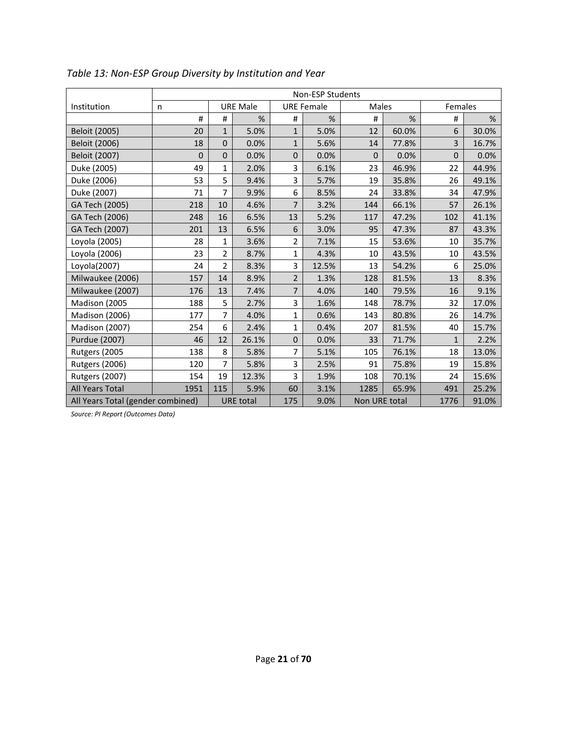|                                   |      |                |                  |                | <b>Non-ESP Students</b> |               |       |              |       |
|-----------------------------------|------|----------------|------------------|----------------|-------------------------|---------------|-------|--------------|-------|
| Institution                       | n    |                | <b>URE Male</b>  |                | <b>URE Female</b>       | <b>Males</b>  |       | Females      |       |
|                                   | #    | $\sharp$       | $\%$             | #              | %                       | #             | %     | #            | %     |
| Beloit (2005)                     | 20   | $\mathbf{1}$   | 5.0%             | $\mathbf{1}$   | 5.0%                    | 12            | 60.0% | 6            | 30.0% |
| <b>Beloit (2006)</b>              | 18   | $\Omega$       | 0.0%             | $\mathbf{1}$   | 5.6%                    | 14            | 77.8% | 3            | 16.7% |
| Beloit (2007)                     | 0    | $\mathbf{0}$   | 0.0%             | $\mathbf{0}$   | 0.0%                    | 0             | 0.0%  | $\mathbf{0}$ | 0.0%  |
| Duke (2005)                       | 49   | 1              | 2.0%             | 3              | 6.1%                    | 23            | 46.9% | 22           | 44.9% |
| Duke (2006)                       | 53   | 5              | 9.4%             | 3              | 5.7%                    | 19            | 35.8% | 26           | 49.1% |
| Duke (2007)                       | 71   | 7              | 9.9%             | 6              | 8.5%                    | 24            | 33.8% | 34           | 47.9% |
| GA Tech (2005)                    | 218  | 10             | 4.6%             | $\overline{7}$ | 3.2%                    | 144           | 66.1% | 57           | 26.1% |
| GA Tech (2006)                    | 248  | 16             | 6.5%             | 13             | 5.2%                    | 117           | 47.2% | 102          | 41.1% |
| GA Tech (2007)                    | 201  | 13             | 6.5%             | 6              | 3.0%                    | 95            | 47.3% | 87           | 43.3% |
| Loyola (2005)                     | 28   | 1              | 3.6%             | 2              | 7.1%                    | 15            | 53.6% | 10           | 35.7% |
| Loyola (2006)                     | 23   | 2              | 8.7%             | $\mathbf 1$    | 4.3%                    | 10            | 43.5% | 10           | 43.5% |
| Loyola(2007)                      | 24   | $\overline{2}$ | 8.3%             | 3              | 12.5%                   | 13            | 54.2% | 6            | 25.0% |
| Milwaukee (2006)                  | 157  | 14             | 8.9%             | $\overline{2}$ | 1.3%                    | 128           | 81.5% | 13           | 8.3%  |
| Milwaukee (2007)                  | 176  | 13             | 7.4%             | $\overline{7}$ | 4.0%                    | 140           | 79.5% | 16           | 9.1%  |
| Madison (2005                     | 188  | 5              | 2.7%             | 3              | 1.6%                    | 148           | 78.7% | 32           | 17.0% |
| <b>Madison (2006)</b>             | 177  | 7              | 4.0%             | 1              | 0.6%                    | 143           | 80.8% | 26           | 14.7% |
| <b>Madison (2007)</b>             | 254  | 6              | 2.4%             | $\mathbf{1}$   | 0.4%                    | 207           | 81.5% | 40           | 15.7% |
| Purdue (2007)                     | 46   | 12             | 26.1%            | 0              | 0.0%                    | 33            | 71.7% | $\mathbf{1}$ | 2.2%  |
| Rutgers (2005                     | 138  | 8              | 5.8%             | 7              | 5.1%                    | 105           | 76.1% | 18           | 13.0% |
| <b>Rutgers (2006)</b>             | 120  | 7              | 5.8%             | 3              | 2.5%                    | 91            | 75.8% | 19           | 15.8% |
| <b>Rutgers (2007)</b>             | 154  | 19             | 12.3%            | 3              | 1.9%                    | 108           | 70.1% | 24           | 15.6% |
| <b>All Years Total</b>            | 1951 | 115            | 5.9%             | 60             | 3.1%                    | 1285          | 65.9% | 491          | 25.2% |
| All Years Total (gender combined) |      |                | <b>URE</b> total | 175            | 9.0%                    | Non URE total |       | 1776         | 91.0% |

*Table 13: Non-ESP Group Diversity by Institution and Year* 

*Source: PI Report (Outcomes Data)*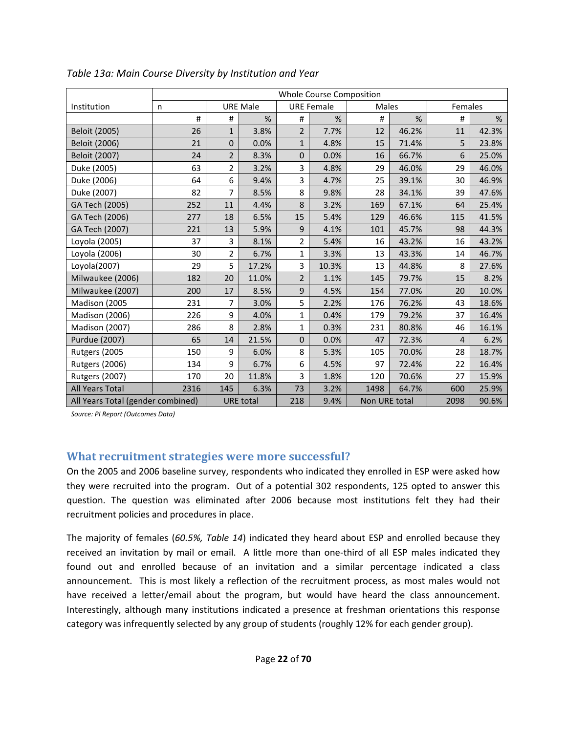|                                   |          |                |                  |                | Whole Course Composition |               |       |         |       |
|-----------------------------------|----------|----------------|------------------|----------------|--------------------------|---------------|-------|---------|-------|
| Institution                       | n        |                | <b>URE Male</b>  |                | <b>URE Female</b>        | <b>Males</b>  |       | Females |       |
|                                   | $\sharp$ | $\#$           | $\%$             | #              | %                        | $\#$          | %     | $\#$    | %     |
| Beloit (2005)                     | 26       | $\mathbf{1}$   | 3.8%             | $\overline{2}$ | 7.7%                     | 12            | 46.2% | 11      | 42.3% |
| Beloit (2006)                     | 21       | $\mathbf{0}$   | 0.0%             | $\mathbf{1}$   | 4.8%                     | 15            | 71.4% | 5       | 23.8% |
| <b>Beloit (2007)</b>              | 24       | $\overline{2}$ | 8.3%             | $\pmb{0}$      | 0.0%                     | 16            | 66.7% | 6       | 25.0% |
| Duke (2005)                       | 63       | $\overline{2}$ | 3.2%             | 3              | 4.8%                     | 29            | 46.0% | 29      | 46.0% |
| Duke (2006)                       | 64       | 6              | 9.4%             | 3              | 4.7%                     | 25            | 39.1% | 30      | 46.9% |
| Duke (2007)                       | 82       | $\overline{7}$ | 8.5%             | 8              | 9.8%                     | 28            | 34.1% | 39      | 47.6% |
| GA Tech (2005)                    | 252      | 11             | 4.4%             | 8              | 3.2%                     | 169           | 67.1% | 64      | 25.4% |
| GA Tech (2006)                    | 277      | 18             | 6.5%             | 15             | 5.4%                     | 129           | 46.6% | 115     | 41.5% |
| GA Tech (2007)                    | 221      | 13             | 5.9%             | $\mathsf 9$    | 4.1%                     | 101           | 45.7% | 98      | 44.3% |
| Loyola (2005)                     | 37       | 3              | 8.1%             | $\overline{2}$ | 5.4%                     | 16            | 43.2% | 16      | 43.2% |
| Loyola (2006)                     | 30       | $\overline{2}$ | 6.7%             | $\mathbf{1}$   | 3.3%                     | 13            | 43.3% | 14      | 46.7% |
| Loyola(2007)                      | 29       | 5              | 17.2%            | 3              | 10.3%                    | 13            | 44.8% | 8       | 27.6% |
| Milwaukee (2006)                  | 182      | 20             | 11.0%            | $\overline{2}$ | 1.1%                     | 145           | 79.7% | 15      | 8.2%  |
| Milwaukee (2007)                  | 200      | 17             | 8.5%             | 9              | 4.5%                     | 154           | 77.0% | 20      | 10.0% |
| Madison (2005                     | 231      | $\overline{7}$ | 3.0%             | 5              | 2.2%                     | 176           | 76.2% | 43      | 18.6% |
| <b>Madison (2006)</b>             | 226      | 9              | 4.0%             | $\mathbf{1}$   | 0.4%                     | 179           | 79.2% | 37      | 16.4% |
| <b>Madison (2007)</b>             | 286      | 8              | 2.8%             | $\mathbf{1}$   | 0.3%                     | 231           | 80.8% | 46      | 16.1% |
| Purdue (2007)                     | 65       | 14             | 21.5%            | $\pmb{0}$      | 0.0%                     | 47            | 72.3% | 4       | 6.2%  |
| Rutgers (2005                     | 150      | 9              | 6.0%             | 8              | 5.3%                     | 105           | 70.0% | 28      | 18.7% |
| <b>Rutgers (2006)</b>             | 134      | 9              | 6.7%             | 6              | 4.5%                     | 97            | 72.4% | 22      | 16.4% |
| <b>Rutgers (2007)</b>             | 170      | 20             | 11.8%            | $\overline{3}$ | 1.8%                     | 120           | 70.6% | 27      | 15.9% |
| <b>All Years Total</b>            | 2316     | 145            | 6.3%             | 73             | 3.2%                     | 1498          | 64.7% | 600     | 25.9% |
| All Years Total (gender combined) |          |                | <b>URE</b> total | 218            | 9.4%                     | Non URE total |       | 2098    | 90.6% |

*Table 13a: Main Course Diversity by Institution and Year* 

*Source: PI Report (Outcomes Data)* 

### **What recruitment strategies were more successful?**

On the 2005 and 2006 baseline survey, respondents who indicated they enrolled in ESP were asked how they were recruited into the program. Out of a potential 302 respondents, 125 opted to answer this question. The question was eliminated after 2006 because most institutions felt they had their recruitment policies and procedures in place.

The majority of females (*60.5%, Table 14*) indicated they heard about ESP and enrolled because they received an invitation by mail or email. A little more than one-third of all ESP males indicated they found out and enrolled because of an invitation and a similar percentage indicated a class announcement. This is most likely a reflection of the recruitment process, as most males would not have received a letter/email about the program, but would have heard the class announcement. Interestingly, although many institutions indicated a presence at freshman orientations this response category was infrequently selected by any group of students (roughly 12% for each gender group).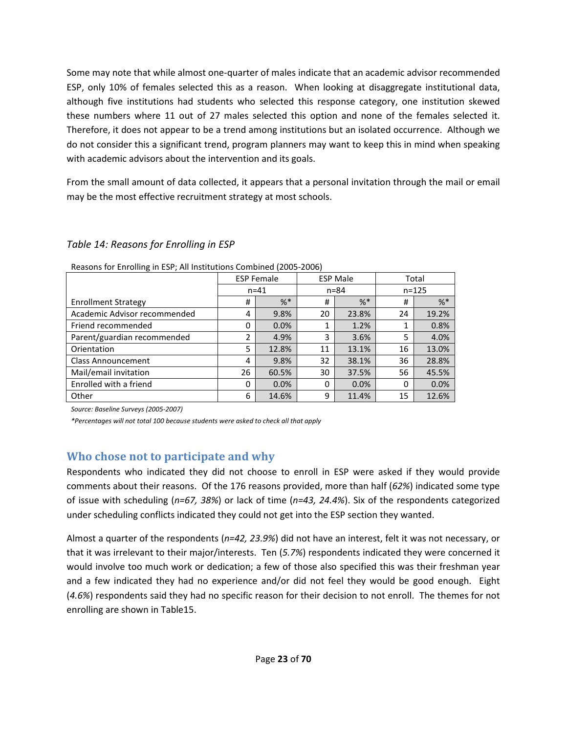Some may note that while almost one-quarter of males indicate that an academic advisor recommended ESP, only 10% of females selected this as a reason. When looking at disaggregate institutional data, although five institutions had students who selected this response category, one institution skewed these numbers where 11 out of 27 males selected this option and none of the females selected it. Therefore, it does not appear to be a trend among institutions but an isolated occurrence. Although we do not consider this a significant trend, program planners may want to keep this in mind when speaking with academic advisors about the intervention and its goals.

From the small amount of data collected, it appears that a personal invitation through the mail or email may be the most effective recruitment strategy at most schools.

## *Table 14: Reasons for Enrolling in ESP*

|                              |          | <b>ESP Female</b> |          | <b>ESP Male</b> | Total |           |
|------------------------------|----------|-------------------|----------|-----------------|-------|-----------|
|                              | $n = 41$ |                   |          | $n = 84$        |       | $n = 125$ |
| <b>Enrollment Strategy</b>   | #        | $%$ $*$           | #        | $%$ *           | #     | $%$ *     |
| Academic Advisor recommended | 4        | 9.8%              | 20       | 23.8%           | 24    | 19.2%     |
| Friend recommended           | 0        | 0.0%              |          | 1.2%            |       | 0.8%      |
| Parent/guardian recommended  |          | 4.9%              | 3        | 3.6%            | 5     | 4.0%      |
| Orientation                  | 5        | 12.8%             | 11       | 13.1%           | 16    | 13.0%     |
| <b>Class Announcement</b>    | 4        | 9.8%              | 32       | 38.1%           | 36    | 28.8%     |
| Mail/email invitation        | 26       | 60.5%             | 30       | 37.5%           | 56    | 45.5%     |
| Enrolled with a friend       | 0        | 0.0%              | $\Omega$ | 0.0%            | 0     | 0.0%      |
| Other                        | 6        | 14.6%             | 9        | 11.4%           | 15    | 12.6%     |

Reasons for Enrolling in ESP; All Institutions Combined (2005-2006)

*Source: Baseline Surveys (2005-2007)* 

*\*Percentages will not total 100 because students were asked to check all that apply* 

## **Who chose not to participate and why**

Respondents who indicated they did not choose to enroll in ESP were asked if they would provide comments about their reasons. Of the 176 reasons provided, more than half (*62%*) indicated some type of issue with scheduling (*n=67, 38%*) or lack of time (*n=43, 24.4%*). Six of the respondents categorized under scheduling conflicts indicated they could not get into the ESP section they wanted.

Almost a quarter of the respondents (*n=42, 23.9%*) did not have an interest, felt it was not necessary, or that it was irrelevant to their major/interests. Ten (*5.7%*) respondents indicated they were concerned it would involve too much work or dedication; a few of those also specified this was their freshman year and a few indicated they had no experience and/or did not feel they would be good enough. Eight (*4.6%*) respondents said they had no specific reason for their decision to not enroll. The themes for not enrolling are shown in Table15.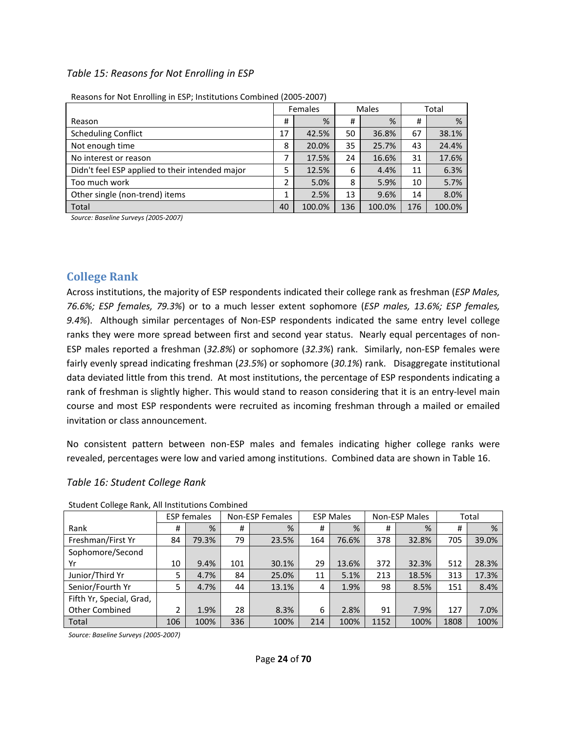#### *Table 15: Reasons for Not Enrolling in ESP*

|                                                 |    | Females |     | Males  |     | Total  |
|-------------------------------------------------|----|---------|-----|--------|-----|--------|
| Reason                                          | #  | %       | #   | %      | #   | %      |
| <b>Scheduling Conflict</b>                      | 17 | 42.5%   | 50  | 36.8%  | 67  | 38.1%  |
| Not enough time                                 | 8  | 20.0%   | 35  | 25.7%  | 43  | 24.4%  |
| No interest or reason                           | 7  | 17.5%   | 24  | 16.6%  | 31  | 17.6%  |
| Didn't feel ESP applied to their intended major | 5  | 12.5%   | 6   | 4.4%   | 11  | 6.3%   |
| Too much work                                   | 2  | 5.0%    | 8   | 5.9%   | 10  | 5.7%   |
| Other single (non-trend) items                  |    | 2.5%    | 13  | 9.6%   | 14  | 8.0%   |
| Total                                           | 40 | 100.0%  | 136 | 100.0% | 176 | 100.0% |

| Reasons for Not Enrolling in ESP; Institutions Combined (2005-2007) |  |
|---------------------------------------------------------------------|--|
|                                                                     |  |

*Source: Baseline Surveys (2005-2007)*

#### **College Rank**

Across institutions, the majority of ESP respondents indicated their college rank as freshman (*ESP Males, 76.6%; ESP females, 79.3%*) or to a much lesser extent sophomore (*ESP males, 13.6%; ESP females, 9.4%*). Although similar percentages of Non-ESP respondents indicated the same entry level college ranks they were more spread between first and second year status. Nearly equal percentages of non-ESP males reported a freshman (*32.8%*) or sophomore (*32.3%*) rank. Similarly, non-ESP females were fairly evenly spread indicating freshman (*23.5%*) or sophomore (*30.1%*) rank. Disaggregate institutional data deviated little from this trend. At most institutions, the percentage of ESP respondents indicating a rank of freshman is slightly higher. This would stand to reason considering that it is an entry-level main course and most ESP respondents were recruited as incoming freshman through a mailed or emailed invitation or class announcement.

No consistent pattern between non-ESP males and females indicating higher college ranks were revealed, percentages were low and varied among institutions. Combined data are shown in Table 16.

#### *Table 16: Student College Rank*

|                          |     | <b>ESP females</b> | Non-ESP Females |       | <b>ESP Males</b> |       | Non-ESP Males |       |      | Total |
|--------------------------|-----|--------------------|-----------------|-------|------------------|-------|---------------|-------|------|-------|
| Rank                     | #   | %                  | #               | %     | #                | %     | #             | %     | #    | %     |
| Freshman/First Yr        | 84  | 79.3%              | 79              | 23.5% | 164              | 76.6% | 378           | 32.8% | 705  | 39.0% |
| Sophomore/Second         |     |                    |                 |       |                  |       |               |       |      |       |
| Yr                       | 10  | 9.4%               | 101             | 30.1% | 29               | 13.6% | 372           | 32.3% | 512  | 28.3% |
| Junior/Third Yr          | 5   | 4.7%               | 84              | 25.0% | 11               | 5.1%  | 213           | 18.5% | 313  | 17.3% |
| Senior/Fourth Yr         | 5   | 4.7%               | 44              | 13.1% | 4                | 1.9%  | 98            | 8.5%  | 151  | 8.4%  |
| Fifth Yr, Special, Grad, |     |                    |                 |       |                  |       |               |       |      |       |
| <b>Other Combined</b>    | າ   | 1.9%               | 28              | 8.3%  | 6                | 2.8%  | 91            | 7.9%  | 127  | 7.0%  |
| Total                    | 106 | 100%               | 336             | 100%  | 214              | 100%  | 1152          | 100%  | 1808 | 100%  |

Student College Rank, All Institutions Combined

*Source: Baseline Surveys (2005-2007)*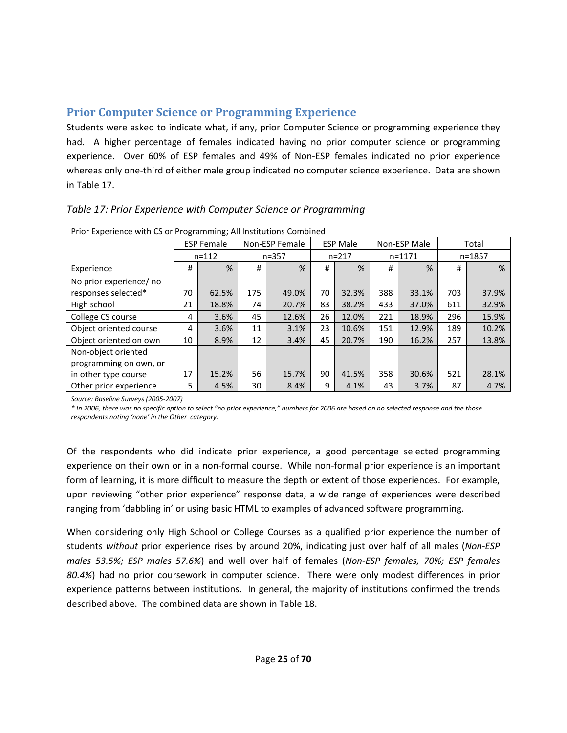# **Prior Computer Science or Programming Experience**

Students were asked to indicate what, if any, prior Computer Science or programming experience they had. A higher percentage of females indicated having no prior computer science or programming experience. Over 60% of ESP females and 49% of Non-ESP females indicated no prior experience whereas only one-third of either male group indicated no computer science experience. Data are shown in Table 17.

# *Table 17: Prior Experience with Computer Science or Programming*

|                         |    | <b>ESP Female</b> |     | Non-ESP Female |    | <b>ESP Male</b> |     | Non-ESP Male | Total |            |
|-------------------------|----|-------------------|-----|----------------|----|-----------------|-----|--------------|-------|------------|
|                         |    | $n = 112$         |     | $n = 357$      |    | $n = 217$       |     | $n = 1171$   |       | $n = 1857$ |
| Experience              | #  | $\frac{9}{6}$     | #   | %              | #  | %               | #   | %            | #     | %          |
| No prior experience/ no |    |                   |     |                |    |                 |     |              |       |            |
| responses selected*     | 70 | 62.5%             | 175 | 49.0%          | 70 | 32.3%           | 388 | 33.1%        | 703   | 37.9%      |
| High school             | 21 | 18.8%             | 74  | 20.7%          | 83 | 38.2%           | 433 | 37.0%        | 611   | 32.9%      |
| College CS course       | 4  | 3.6%              | 45  | 12.6%          | 26 | 12.0%           | 221 | 18.9%        | 296   | 15.9%      |
| Object oriented course  | 4  | 3.6%              | 11  | 3.1%           | 23 | 10.6%           | 151 | 12.9%        | 189   | 10.2%      |
| Object oriented on own  | 10 | 8.9%              | 12  | 3.4%           | 45 | 20.7%           | 190 | 16.2%        | 257   | 13.8%      |
| Non-object oriented     |    |                   |     |                |    |                 |     |              |       |            |
| programming on own, or  |    |                   |     |                |    |                 |     |              |       |            |
| in other type course    | 17 | 15.2%             | 56  | 15.7%          | 90 | 41.5%           | 358 | 30.6%        | 521   | 28.1%      |
| Other prior experience  | 5. | 4.5%              | 30  | 8.4%           | 9  | 4.1%            | 43  | 3.7%         | 87    | 4.7%       |

Prior Experience with CS or Programming; All Institutions Combined

*Source: Baseline Surveys (2005-2007)* 

*\* In 2006, there was no specific option to select "no prior experience," numbers for 2006 are based on no selected response and the those respondents noting 'none' in the Other category.* 

Of the respondents who did indicate prior experience, a good percentage selected programming experience on their own or in a non-formal course. While non-formal prior experience is an important form of learning, it is more difficult to measure the depth or extent of those experiences. For example, upon reviewing "other prior experience" response data, a wide range of experiences were described ranging from 'dabbling in' or using basic HTML to examples of advanced software programming.

When considering only High School or College Courses as a qualified prior experience the number of students *without* prior experience rises by around 20%, indicating just over half of all males (*Non-ESP males 53.5%; ESP males 57.6%*) and well over half of females (*Non-ESP females, 70%; ESP females 80.4%*) had no prior coursework in computer science. There were only modest differences in prior experience patterns between institutions. In general, the majority of institutions confirmed the trends described above. The combined data are shown in Table 18.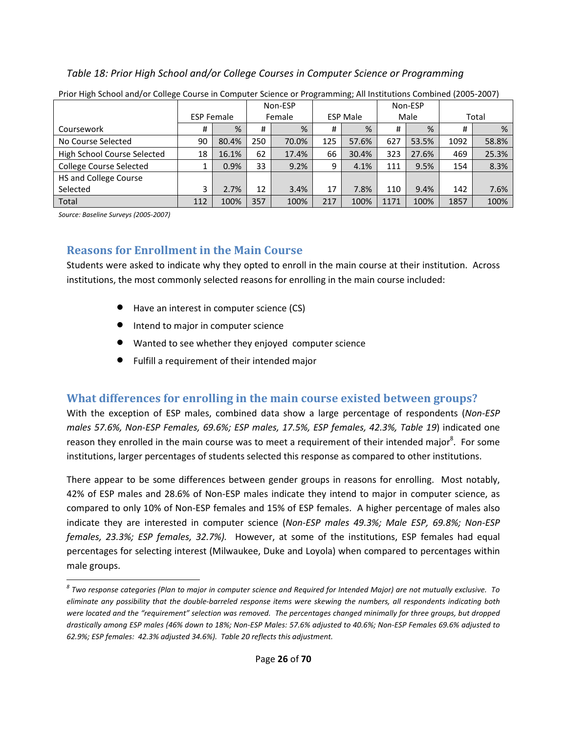## *Table 18: Prior High School and/or College Courses in Computer Science or Programming*

|                                |     |                   |     | Non-ESP |     |                 |      | Non-ESP |      |       |
|--------------------------------|-----|-------------------|-----|---------|-----|-----------------|------|---------|------|-------|
|                                |     | <b>ESP Female</b> |     | Female  |     | <b>ESP Male</b> |      | Male    |      | Total |
| Coursework                     | #   | %                 | #   | %       | #   | %               | #    | %       | #    | %     |
| No Course Selected             | 90  | 80.4%             | 250 | 70.0%   | 125 | 57.6%           | 627  | 53.5%   | 1092 | 58.8% |
| High School Course Selected    | 18  | 16.1%             | 62  | 17.4%   | 66  | 30.4%           | 323  | 27.6%   | 469  | 25.3% |
| <b>College Course Selected</b> |     | 0.9%              | 33  | 9.2%    | 9   | 4.1%            | 111  | 9.5%    | 154  | 8.3%  |
| HS and College Course          |     |                   |     |         |     |                 |      |         |      |       |
| Selected                       | 3   | 2.7%              | 12  | 3.4%    | 17  | 7.8%            | 110  | 9.4%    | 142  | 7.6%  |
| <b>Total</b>                   | 112 | 100%              | 357 | 100%    | 217 | 100%            | 1171 | 100%    | 1857 | 100%  |

Prior High School and/or College Course in Computer Science or Programming; All Institutions Combined (2005-2007)

*Source: Baseline Surveys (2005-2007)* 

 $\overline{a}$ 

# **Reasons for Enrollment in the Main Course**

Students were asked to indicate why they opted to enroll in the main course at their institution. Across institutions, the most commonly selected reasons for enrolling in the main course included:

- Have an interest in computer science (CS)
- **•** Intend to major in computer science
- Wanted to see whether they enjoyed computer science
- Fulfill a requirement of their intended major

# **What differences for enrolling in the main course existed between groups?**

With the exception of ESP males, combined data show a large percentage of respondents (*Non-ESP males 57.6%, Non-ESP Females, 69.6%; ESP males, 17.5%, ESP females, 42.3%, Table 19*) indicated one reason they enrolled in the main course was to meet a requirement of their intended major<sup>8</sup>. For some institutions, larger percentages of students selected this response as compared to other institutions.

There appear to be some differences between gender groups in reasons for enrolling. Most notably, 42% of ESP males and 28.6% of Non-ESP males indicate they intend to major in computer science, as compared to only 10% of Non-ESP females and 15% of ESP females. A higher percentage of males also indicate they are interested in computer science (*Non-ESP males 49.3%; Male ESP, 69.8%; Non-ESP females, 23.3%; ESP females, 32.7%).* However, at some of the institutions, ESP females had equal percentages for selecting interest (Milwaukee, Duke and Loyola) when compared to percentages within male groups.

*<sup>8</sup> Two response categories (Plan to major in computer science and Required for Intended Major) are not mutually exclusive. To eliminate any possibility that the double-barreled response items were skewing the numbers, all respondents indicating both were located and the "requirement" selection was removed. The percentages changed minimally for three groups, but dropped drastically among ESP males (46% down to 18%; Non-ESP Males: 57.6% adjusted to 40.6%; Non-ESP Females 69.6% adjusted to 62.9%; ESP females: 42.3% adjusted 34.6%). Table 20 reflects this adjustment.*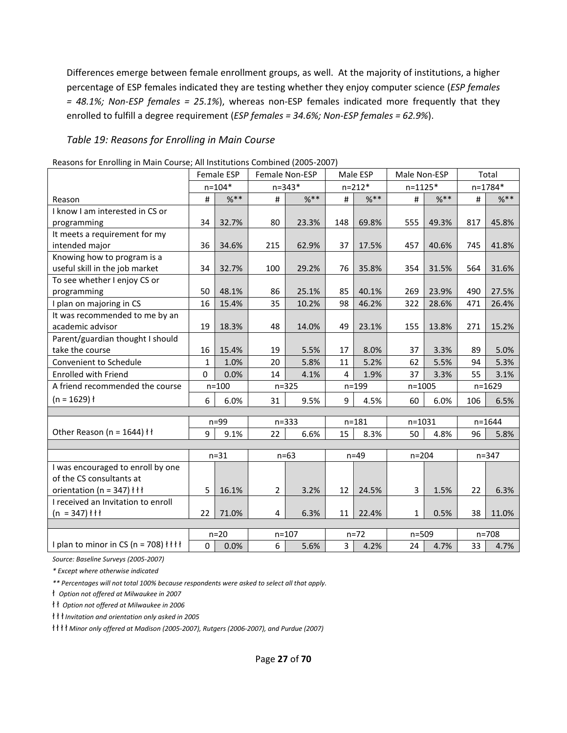Differences emerge between female enrollment groups, as well. At the majority of institutions, a higher percentage of ESP females indicated they are testing whether they enjoy computer science (*ESP females = 48.1%; Non-ESP females = 25.1%*), whereas non-ESP females indicated more frequently that they enrolled to fulfill a degree requirement (*ESP females = 34.6%; Non-ESP females = 62.9%*).

#### *Table 19: Reasons for Enrolling in Main Course*

|                                                      |              | <b>Female ESP</b> |                | Female Non-ESP |                | Male ESP   | Male Non-ESP |            |      | Total      |
|------------------------------------------------------|--------------|-------------------|----------------|----------------|----------------|------------|--------------|------------|------|------------|
|                                                      |              | $n = 104*$        |                | $n = 343*$     |                | $n = 212*$ | $n = 1125*$  |            |      | n=1784*    |
| Reason                                               | #            | $%$ **            | #              | $%$ **         | #              | $%$ **     | $\#$         | $%$ **     | $\#$ | $%$ **     |
| I know I am interested in CS or                      |              |                   |                |                |                |            |              |            |      |            |
| programming                                          | 34           | 32.7%             | 80             | 23.3%          | 148            | 69.8%      | 555          | 49.3%      | 817  | 45.8%      |
| It meets a requirement for my                        |              |                   |                |                |                |            |              |            |      |            |
| intended major                                       | 36           | 34.6%             | 215            | 62.9%          | 37             | 17.5%      | 457          | 40.6%      | 745  | 41.8%      |
| Knowing how to program is a                          |              |                   |                |                |                |            |              |            |      |            |
| useful skill in the job market                       | 34           | 32.7%             | 100            | 29.2%          | 76             | 35.8%      | 354          | 31.5%      | 564  | 31.6%      |
| To see whether I enjoy CS or                         |              |                   |                |                |                |            |              |            |      |            |
| programming                                          | 50           | 48.1%             | 86             | 25.1%          | 85             | 40.1%      | 269          | 23.9%      | 490  | 27.5%      |
| I plan on majoring in CS                             | 16           | 15.4%             | 35             | 10.2%          | 98             | 46.2%      | 322          | 28.6%      | 471  | 26.4%      |
| It was recommended to me by an                       |              |                   |                |                |                |            |              |            |      |            |
| academic advisor                                     | 19           | 18.3%             | 48             | 14.0%          | 49             | 23.1%      | 155          | 13.8%      | 271  | 15.2%      |
| Parent/guardian thought I should                     |              |                   |                |                |                |            |              |            |      |            |
| take the course                                      | 16           | 15.4%             | 19             | 5.5%           | 17             | 8.0%       | 37           | 3.3%       | 89   | 5.0%       |
| Convenient to Schedule                               | $\mathbf{1}$ | 1.0%              | 20             | 5.8%           | 11             | 5.2%       | 62           | 5.5%       | 94   | 5.3%       |
| <b>Enrolled with Friend</b>                          | $\Omega$     | 0.0%              | 14             | 4.1%           | 4              | 1.9%       | 37           | 3.3%       | 55   | 3.1%       |
| A friend recommended the course                      |              | $n = 100$         |                | $n = 325$      |                | $n = 199$  |              | $n = 1005$ |      | $n = 1629$ |
| $(n = 1629)$ ł                                       | 6            | 6.0%              | 31             | 9.5%           | 9              | 4.5%       | 60           | 6.0%       | 106  | 6.5%       |
|                                                      |              |                   |                |                |                |            |              |            |      |            |
|                                                      |              | $n=99$            |                | $n = 333$      |                | $n = 181$  | $n = 1031$   |            |      | $n = 1644$ |
| Other Reason (n = $1644$ ) łł                        | 9            | 9.1%              | 22             | 6.6%           | 15             | 8.3%       | 50           | 4.8%       | 96   | 5.8%       |
|                                                      |              |                   |                | $n=63$         |                |            |              |            |      | $n = 347$  |
|                                                      |              | $n = 31$          |                |                |                | $n=49$     | $n = 204$    |            |      |            |
| I was encouraged to enroll by one                    |              |                   |                |                |                |            |              |            |      |            |
| of the CS consultants at                             |              |                   |                |                |                |            |              |            |      |            |
| orientation (n = 347) $\uparrow \uparrow \uparrow$   | 5            | 16.1%             | $\overline{2}$ | 3.2%           | 12             | 24.5%      | 3            | 1.5%       | 22   | 6.3%       |
| I received an Invitation to enroll                   |              |                   |                |                |                |            |              |            |      |            |
| $(n = 347)$ $\uparrow \uparrow \uparrow$             | 22           | 71.0%             | 4              | 6.3%           | 11             | 22.4%      | $\mathbf{1}$ | 0.5%       | 38   | 11.0%      |
|                                                      |              | $n=20$            |                | $n = 107$      |                | $n = 72$   | $n = 509$    |            |      | $n = 708$  |
| I plan to minor in CS (n = 708) $\{\dagger\}\dagger$ | 0            | 0.0%              | 6              | 5.6%           | $\overline{3}$ | 4.2%       | 24           | 4.7%       | 33   | 4.7%       |
|                                                      |              |                   |                |                |                |            |              |            |      |            |

Reasons for Enrolling in Main Course; All Institutions Combined (2005-2007)

*Source: Baseline Surveys (2005-2007)* 

*\* Except where otherwise indicated* 

*\*\* Percentages will not total 100% because respondents were asked to select all that apply.* 

ł *Option not offered at Milwaukee in 2007*

ł ł *Option not offered at Milwaukee in 2006* 

ł ł ł *Invitation and orientation only asked in 2005* 

ł ł ł ł *Minor only offered at Madison (2005-2007), Rutgers (2006-2007), and Purdue (2007)*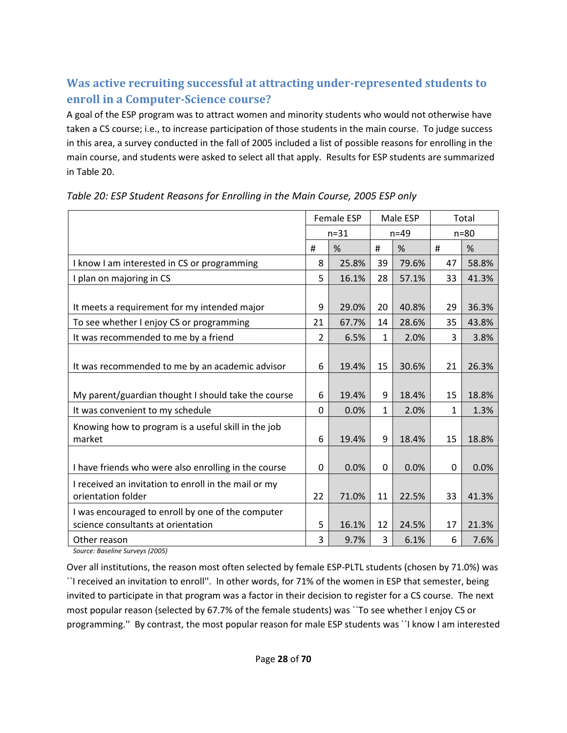# **Was active recruiting successful at attracting under-represented students to enroll in a Computer-Science course?**

A goal of the ESP program was to attract women and minority students who would not otherwise have taken a CS course; i.e., to increase participation of those students in the main course. To judge success in this area, a survey conducted in the fall of 2005 included a list of possible reasons for enrolling in the main course, and students were asked to select all that apply. Results for ESP students are summarized in Table 20.

|                                                      |                | Female ESP |              | Male ESP |              | Total  |
|------------------------------------------------------|----------------|------------|--------------|----------|--------------|--------|
|                                                      |                | $n=31$     |              | $n=49$   |              | $n=80$ |
|                                                      | #              | %          | #            | %        | #            | %      |
| I know I am interested in CS or programming          | 8              | 25.8%      | 39           | 79.6%    | 47           | 58.8%  |
| I plan on majoring in CS                             | 5              | 16.1%      | 28           | 57.1%    | 33           | 41.3%  |
|                                                      |                |            |              |          |              |        |
| It meets a requirement for my intended major         | 9              | 29.0%      | 20           | 40.8%    | 29           | 36.3%  |
| To see whether I enjoy CS or programming             | 21             | 67.7%      | 14           | 28.6%    | 35           | 43.8%  |
| It was recommended to me by a friend                 | $\overline{2}$ | 6.5%       | $\mathbf{1}$ | 2.0%     | 3            | 3.8%   |
|                                                      |                |            |              |          |              |        |
| It was recommended to me by an academic advisor      | 6              | 19.4%      | 15           | 30.6%    | 21           | 26.3%  |
|                                                      |                |            |              |          |              |        |
| My parent/guardian thought I should take the course  | 6              | 19.4%      | 9            | 18.4%    | 15           | 18.8%  |
| It was convenient to my schedule                     | $\Omega$       | 0.0%       | $\mathbf{1}$ | 2.0%     | $\mathbf{1}$ | 1.3%   |
| Knowing how to program is a useful skill in the job  |                |            |              |          |              |        |
| market                                               | 6              | 19.4%      | 9            | 18.4%    | 15           | 18.8%  |
|                                                      |                |            |              |          |              |        |
| I have friends who were also enrolling in the course | 0              | 0.0%       | $\Omega$     | 0.0%     | $\Omega$     | 0.0%   |
| I received an invitation to enroll in the mail or my |                |            |              |          |              |        |
| orientation folder                                   | 22             | 71.0%      | 11           | 22.5%    | 33           | 41.3%  |
| I was encouraged to enroll by one of the computer    |                |            |              |          |              |        |
| science consultants at orientation                   | 5              | 16.1%      | 12           | 24.5%    | 17           | 21.3%  |
| Other reason                                         | 3              | 9.7%       | 3            | 6.1%     | 6            | 7.6%   |

# *Table 20: ESP Student Reasons for Enrolling in the Main Course, 2005 ESP only*

*Source: Baseline Surveys (2005)*

Over all institutions, the reason most often selected by female ESP-PLTL students (chosen by 71.0%) was ``I received an invitation to enroll''. In other words, for 71% of the women in ESP that semester, being invited to participate in that program was a factor in their decision to register for a CS course. The next most popular reason (selected by 67.7% of the female students) was ``To see whether I enjoy CS or programming.'' By contrast, the most popular reason for male ESP students was ``I know I am interested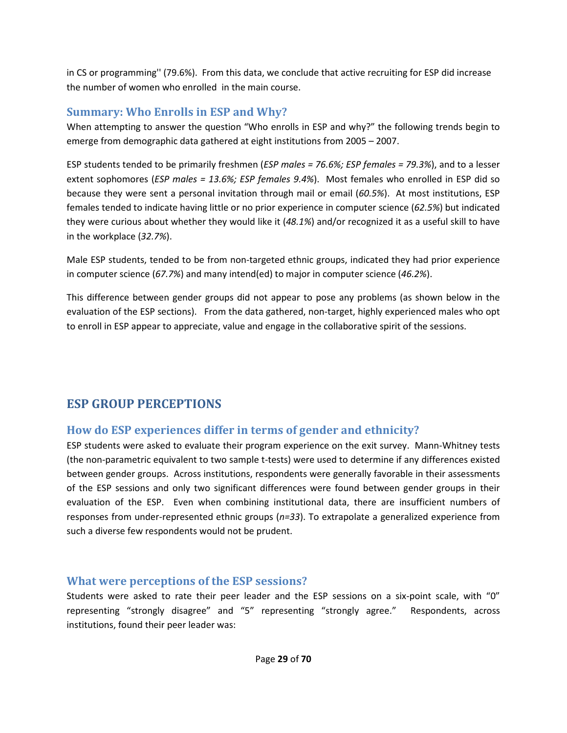in CS or programming'' (79.6%). From this data, we conclude that active recruiting for ESP did increase the number of women who enrolled in the main course.

# **Summary: Who Enrolls in ESP and Why?**

When attempting to answer the question "Who enrolls in ESP and why?" the following trends begin to emerge from demographic data gathered at eight institutions from 2005 – 2007.

ESP students tended to be primarily freshmen (*ESP males = 76.6%; ESP females = 79.3%*), and to a lesser extent sophomores (*ESP males = 13.6%; ESP females 9.4%*). Most females who enrolled in ESP did so because they were sent a personal invitation through mail or email (*60.5%*). At most institutions, ESP females tended to indicate having little or no prior experience in computer science (*62.5%*) but indicated they were curious about whether they would like it (*48.1%*) and/or recognized it as a useful skill to have in the workplace (*32.7%*).

Male ESP students, tended to be from non-targeted ethnic groups, indicated they had prior experience in computer science (*67.7%*) and many intend(ed) to major in computer science (*46.2%*).

This difference between gender groups did not appear to pose any problems (as shown below in the evaluation of the ESP sections). From the data gathered, non-target, highly experienced males who opt to enroll in ESP appear to appreciate, value and engage in the collaborative spirit of the sessions.

# **ESP GROUP PERCEPTIONS**

# **How do ESP experiences differ in terms of gender and ethnicity?**

ESP students were asked to evaluate their program experience on the exit survey. Mann-Whitney tests (the non-parametric equivalent to two sample t-tests) were used to determine if any differences existed between gender groups. Across institutions, respondents were generally favorable in their assessments of the ESP sessions and only two significant differences were found between gender groups in their evaluation of the ESP. Even when combining institutional data, there are insufficient numbers of responses from under-represented ethnic groups (*n=33*). To extrapolate a generalized experience from such a diverse few respondents would not be prudent.

# **What were perceptions of the ESP sessions?**

Students were asked to rate their peer leader and the ESP sessions on a six-point scale, with "0" representing "strongly disagree" and "5" representing "strongly agree." Respondents, across institutions, found their peer leader was: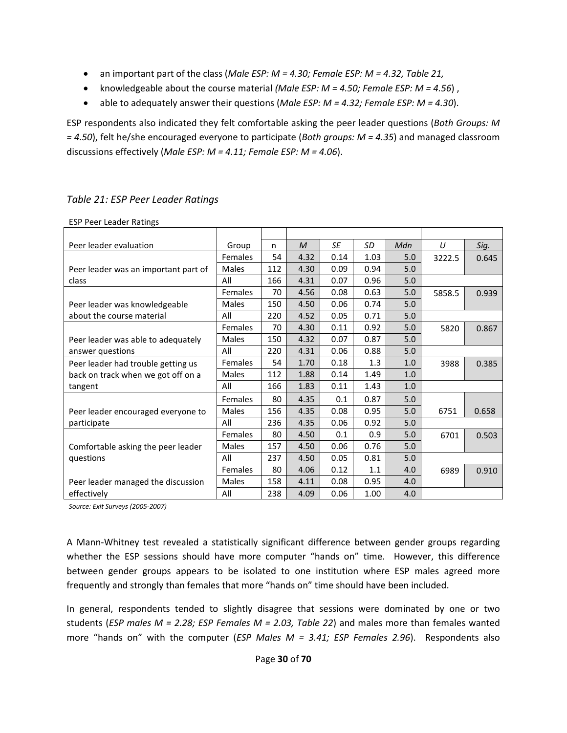- an important part of the class (*Male ESP: M = 4.30; Female ESP: M = 4.32, Table 21,*
- knowledgeable about the course material *(Male ESP: M = 4.50; Female ESP: M = 4.56*) ,
- able to adequately answer their questions (*Male ESP: M = 4.32; Female ESP: M = 4.30*).

ESP respondents also indicated they felt comfortable asking the peer leader questions (*Both Groups: M = 4.50*), felt he/she encouraged everyone to participate (*Both groups: M = 4.35*) and managed classroom discussions effectively (*Male ESP: M = 4.11; Female ESP: M = 4.06*).

| <b>ESP Peer Leader Ratings</b>       |                |     |              |      |      |     |        |       |
|--------------------------------------|----------------|-----|--------------|------|------|-----|--------|-------|
|                                      |                |     |              |      |      |     |        |       |
| Peer leader evaluation               | Group          | n   | $\mathcal M$ | SE   | SD   | Mdn | U      | Sig.  |
|                                      | Females        | 54  | 4.32         | 0.14 | 1.03 | 5.0 | 3222.5 | 0.645 |
| Peer leader was an important part of | Males          | 112 | 4.30         | 0.09 | 0.94 | 5.0 |        |       |
| class                                | All            | 166 | 4.31         | 0.07 | 0.96 | 5.0 |        |       |
|                                      | <b>Females</b> | 70  | 4.56         | 0.08 | 0.63 | 5.0 | 5858.5 | 0.939 |
| Peer leader was knowledgeable        | Males          | 150 | 4.50         | 0.06 | 0.74 | 5.0 |        |       |
| about the course material            | All            | 220 | 4.52         | 0.05 | 0.71 | 5.0 |        |       |
|                                      | <b>Females</b> | 70  | 4.30         | 0.11 | 0.92 | 5.0 | 5820   | 0.867 |
| Peer leader was able to adequately   | Males          | 150 | 4.32         | 0.07 | 0.87 | 5.0 |        |       |
| answer questions                     | All            | 220 | 4.31         | 0.06 | 0.88 | 5.0 |        |       |
| Peer leader had trouble getting us   | <b>Females</b> | 54  | 1.70         | 0.18 | 1.3  | 1.0 | 3988   | 0.385 |
| back on track when we got off on a   | Males          | 112 | 1.88         | 0.14 | 1.49 | 1.0 |        |       |
| tangent                              | All            | 166 | 1.83         | 0.11 | 1.43 | 1.0 |        |       |
|                                      | <b>Females</b> | 80  | 4.35         | 0.1  | 0.87 | 5.0 |        |       |
| Peer leader encouraged everyone to   | Males          | 156 | 4.35         | 0.08 | 0.95 | 5.0 | 6751   | 0.658 |
| participate                          | All            | 236 | 4.35         | 0.06 | 0.92 | 5.0 |        |       |
|                                      | Females        | 80  | 4.50         | 0.1  | 0.9  | 5.0 | 6701   | 0.503 |
| Comfortable asking the peer leader   | Males          | 157 | 4.50         | 0.06 | 0.76 | 5.0 |        |       |
| questions                            | All            | 237 | 4.50         | 0.05 | 0.81 | 5.0 |        |       |
|                                      | <b>Females</b> | 80  | 4.06         | 0.12 | 1.1  | 4.0 | 6989   | 0.910 |
| Peer leader managed the discussion   | Males          | 158 | 4.11         | 0.08 | 0.95 | 4.0 |        |       |
| effectively                          | All            | 238 | 4.09         | 0.06 | 1.00 | 4.0 |        |       |

## *Table 21: ESP Peer Leader Ratings*

*Source: Exit Surveys (2005-2007)* 

A Mann-Whitney test revealed a statistically significant difference between gender groups regarding whether the ESP sessions should have more computer "hands on" time. However, this difference between gender groups appears to be isolated to one institution where ESP males agreed more frequently and strongly than females that more "hands on" time should have been included.

In general, respondents tended to slightly disagree that sessions were dominated by one or two students (*ESP males M = 2.28; ESP Females M = 2.03, Table 22*) and males more than females wanted more "hands on" with the computer (*ESP Males M = 3.41; ESP Females 2.96*). Respondents also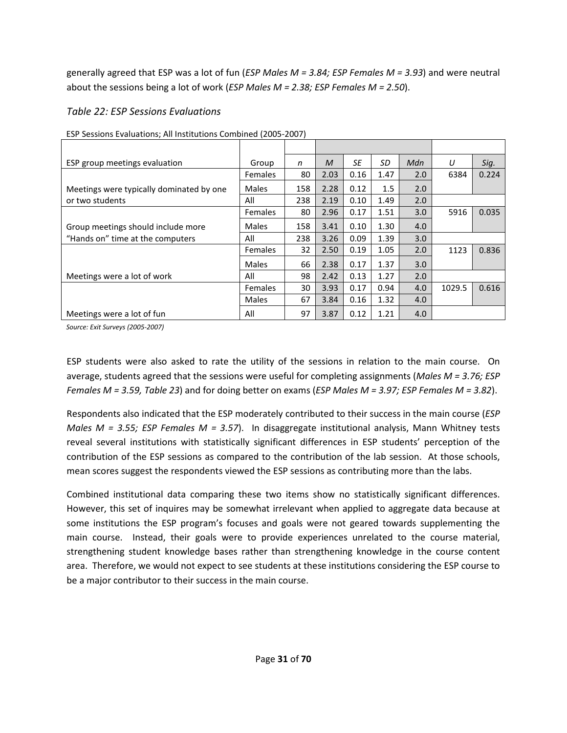generally agreed that ESP was a lot of fun (*ESP Males M = 3.84; ESP Females M = 3.93*) and were neutral about the sessions being a lot of work (*ESP Males M = 2.38; ESP Females M = 2.50*).

## *Table 22: ESP Sessions Evaluations*

| ESP group meetings evaluation            | Group          | n   | M    | SE   | SD   | Mdn | U      | Sig.  |
|------------------------------------------|----------------|-----|------|------|------|-----|--------|-------|
|                                          | <b>Females</b> | 80  | 2.03 | 0.16 | 1.47 | 2.0 | 6384   | 0.224 |
| Meetings were typically dominated by one | Males          | 158 | 2.28 | 0.12 | 1.5  | 2.0 |        |       |
| or two students                          | All            | 238 | 2.19 | 0.10 | 1.49 | 2.0 |        |       |
|                                          | <b>Females</b> | 80  | 2.96 | 0.17 | 1.51 | 3.0 | 5916   | 0.035 |
| Group meetings should include more       | Males          | 158 | 3.41 | 0.10 | 1.30 | 4.0 |        |       |
| "Hands on" time at the computers         | All            | 238 | 3.26 | 0.09 | 1.39 | 3.0 |        |       |
|                                          | <b>Females</b> | 32  | 2.50 | 0.19 | 1.05 | 2.0 | 1123   | 0.836 |
|                                          | Males          | 66  | 2.38 | 0.17 | 1.37 | 3.0 |        |       |
| Meetings were a lot of work              | All            | 98  | 2.42 | 0.13 | 1.27 | 2.0 |        |       |
|                                          | <b>Females</b> | 30  | 3.93 | 0.17 | 0.94 | 4.0 | 1029.5 | 0.616 |
|                                          | Males          | 67  | 3.84 | 0.16 | 1.32 | 4.0 |        |       |
| Meetings were a lot of fun               | All            | 97  | 3.87 | 0.12 | 1.21 | 4.0 |        |       |

ESP Sessions Evaluations; All Institutions Combined (2005-2007)

*Source: Exit Surveys (2005-2007)* 

ESP students were also asked to rate the utility of the sessions in relation to the main course. On average, students agreed that the sessions were useful for completing assignments (*Males M = 3.76; ESP Females M = 3.59, Table 23*) and for doing better on exams (*ESP Males M = 3.97; ESP Females M = 3.82*).

Respondents also indicated that the ESP moderately contributed to their success in the main course (*ESP Males M = 3.55; ESP Females M = 3.57*). In disaggregate institutional analysis, Mann Whitney tests reveal several institutions with statistically significant differences in ESP students' perception of the contribution of the ESP sessions as compared to the contribution of the lab session. At those schools, mean scores suggest the respondents viewed the ESP sessions as contributing more than the labs.

Combined institutional data comparing these two items show no statistically significant differences. However, this set of inquires may be somewhat irrelevant when applied to aggregate data because at some institutions the ESP program's focuses and goals were not geared towards supplementing the main course. Instead, their goals were to provide experiences unrelated to the course material, strengthening student knowledge bases rather than strengthening knowledge in the course content area. Therefore, we would not expect to see students at these institutions considering the ESP course to be a major contributor to their success in the main course.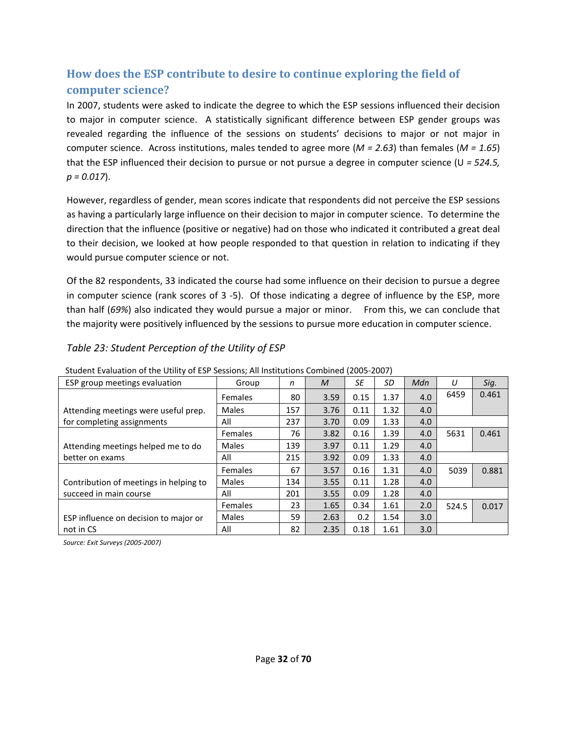# **How does the ESP contribute to desire to continue exploring the field of computer science?**

In 2007, students were asked to indicate the degree to which the ESP sessions influenced their decision to major in computer science. A statistically significant difference between ESP gender groups was revealed regarding the influence of the sessions on students' decisions to major or not major in computer science. Across institutions, males tended to agree more (*M = 2.63*) than females (*M = 1.65*) that the ESP influenced their decision to pursue or not pursue a degree in computer science (U *= 524.5, p = 0.017*).

However, regardless of gender, mean scores indicate that respondents did not perceive the ESP sessions as having a particularly large influence on their decision to major in computer science. To determine the direction that the influence (positive or negative) had on those who indicated it contributed a great deal to their decision, we looked at how people responded to that question in relation to indicating if they would pursue computer science or not.

Of the 82 respondents, 33 indicated the course had some influence on their decision to pursue a degree in computer science (rank scores of 3 -5). Of those indicating a degree of influence by the ESP, more than half (*69%*) also indicated they would pursue a major or minor. From this, we can conclude that the majority were positively influenced by the sessions to pursue more education in computer science.

## *Table 23: Student Perception of the Utility of ESP*

| <u>Student Evaluation of the Othity OF ESF Sessions, All institutions compiled (2003-2007)</u> |                |     |      |      |      |     |       |       |
|------------------------------------------------------------------------------------------------|----------------|-----|------|------|------|-----|-------|-------|
| ESP group meetings evaluation                                                                  | Group          | n   | M    | SE   | SD   | Mdn | U     | Sig.  |
|                                                                                                | <b>Females</b> | 80  | 3.59 | 0.15 | 1.37 | 4.0 | 6459  | 0.461 |
| Attending meetings were useful prep.                                                           | <b>Males</b>   | 157 | 3.76 | 0.11 | 1.32 | 4.0 |       |       |
| for completing assignments                                                                     | All            | 237 | 3.70 | 0.09 | 1.33 | 4.0 |       |       |
|                                                                                                | <b>Females</b> | 76  | 3.82 | 0.16 | 1.39 | 4.0 | 5631  | 0.461 |
| Attending meetings helped me to do                                                             | Males          | 139 | 3.97 | 0.11 | 1.29 | 4.0 |       |       |
| better on exams                                                                                | All            | 215 | 3.92 | 0.09 | 1.33 | 4.0 |       |       |
|                                                                                                | Females        | 67  | 3.57 | 0.16 | 1.31 | 4.0 | 5039  | 0.881 |
| Contribution of meetings in helping to                                                         | Males          | 134 | 3.55 | 0.11 | 1.28 | 4.0 |       |       |
| succeed in main course                                                                         | All            | 201 | 3.55 | 0.09 | 1.28 | 4.0 |       |       |
|                                                                                                | <b>Females</b> | 23  | 1.65 | 0.34 | 1.61 | 2.0 | 524.5 | 0.017 |
| ESP influence on decision to major or                                                          | Males          | 59  | 2.63 | 0.2  | 1.54 | 3.0 |       |       |
| not in CS                                                                                      | All            | 82  | 2.35 | 0.18 | 1.61 | 3.0 |       |       |

Student Evaluation of the Utility of ESP Sessions; All Institutions Combined (2005-2007)

*Source: Exit Surveys (2005-2007)*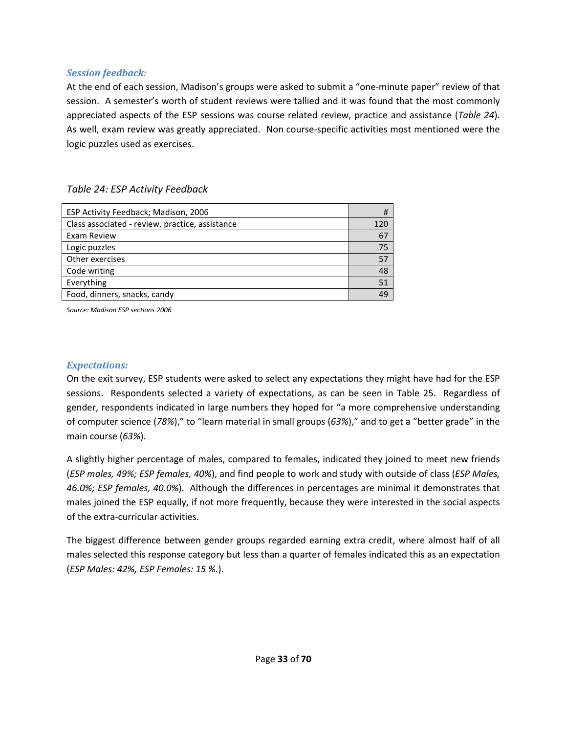#### *Session feedback:*

At the end of each session, Madison's groups were asked to submit a "one-minute paper" review of that session. A semester's worth of student reviews were tallied and it was found that the most commonly appreciated aspects of the ESP sessions was course related review, practice and assistance (*Table 24*). As well, exam review was greatly appreciated. Non course-specific activities most mentioned were the logic puzzles used as exercises.

### *Table 24: ESP Activity Feedback*

| ESP Activity Feedback; Madison, 2006            | #   |
|-------------------------------------------------|-----|
| Class associated - review, practice, assistance | 120 |
| Exam Review                                     | 67  |
| Logic puzzles                                   | 75  |
| Other exercises                                 | 57  |
| Code writing                                    | 48  |
| Everything                                      | 51  |
| Food, dinners, snacks, candy                    | 49  |

*Source: Madison ESP sections 2006*

#### *Expectations:*

On the exit survey, ESP students were asked to select any expectations they might have had for the ESP sessions. Respondents selected a variety of expectations, as can be seen in Table 25. Regardless of gender, respondents indicated in large numbers they hoped for "a more comprehensive understanding of computer science (*78%*)," to "learn material in small groups (*63%*)," and to get a "better grade" in the main course (*63%*).

A slightly higher percentage of males, compared to females, indicated they joined to meet new friends (*ESP males, 49%; ESP females, 40%*), and find people to work and study with outside of class (*ESP Males, 46.0%; ESP females, 40.0%*). Although the differences in percentages are minimal it demonstrates that males joined the ESP equally, if not more frequently, because they were interested in the social aspects of the extra-curricular activities.

The biggest difference between gender groups regarded earning extra credit, where almost half of all males selected this response category but less than a quarter of females indicated this as an expectation (*ESP Males: 42%, ESP Females: 15 %.*).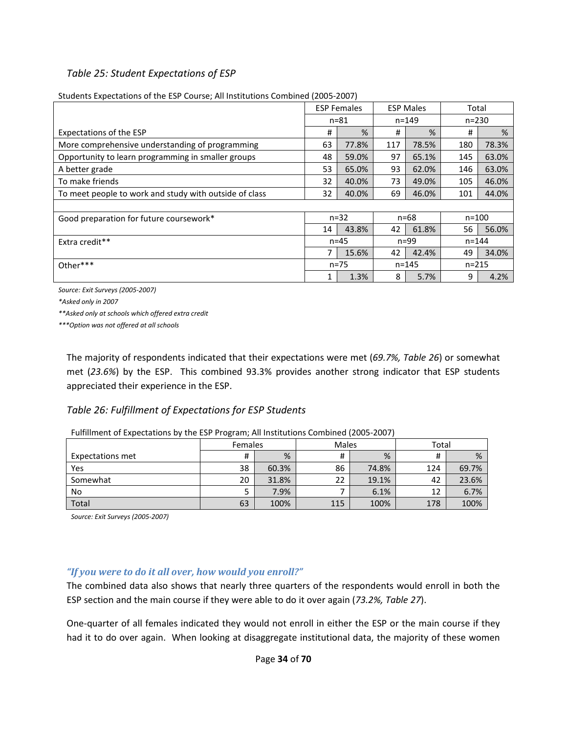### *Table 25: Student Expectations of ESP*

|                                                        | <b>ESP Females</b><br><b>ESP Males</b> |               |     | Total     |           |       |
|--------------------------------------------------------|----------------------------------------|---------------|-----|-----------|-----------|-------|
|                                                        |                                        | $n = 81$      |     | $n = 149$ | $n = 230$ |       |
| Expectations of the ESP                                | #                                      | $\frac{9}{6}$ | #   | %         | #         | %     |
| More comprehensive understanding of programming        | 63                                     | 77.8%         | 117 | 78.5%     | 180       | 78.3% |
| Opportunity to learn programming in smaller groups     | 48                                     | 59.0%         | 97  | 65.1%     | 145       | 63.0% |
| A better grade                                         | 53                                     | 65.0%         | 93  | 62.0%     | 146       | 63.0% |
| To make friends                                        | 32                                     | 40.0%         | 73  | 49.0%     | 105       | 46.0% |
| To meet people to work and study with outside of class | 32                                     | 40.0%         | 69  | 46.0%     | 101       | 44.0% |
|                                                        |                                        |               |     |           |           |       |
| Good preparation for future coursework*                |                                        | $n = 32$      |     | $n = 68$  | $n = 100$ |       |
|                                                        | 14                                     | 43.8%         | 42  | 61.8%     | 56        | 56.0% |
| Extra credit**                                         |                                        | $n = 45$      |     | $n = 99$  | $n = 144$ |       |
|                                                        | 7                                      | 15.6%         | 42  | 42.4%     | 49        | 34.0% |
| Other***                                               |                                        | $n = 75$      |     | $n = 145$ | $n = 215$ |       |
|                                                        |                                        | 1.3%          | 8   | 5.7%      | 9         | 4.2%  |

Students Expectations of the ESP Course; All Institutions Combined (2005-2007)

*Source: Exit Surveys (2005-2007)* 

*\*Asked only in 2007* 

*\*\*Asked only at schools which offered extra credit* 

*\*\*\*Option was not offered at all schools* 

The majority of respondents indicated that their expectations were met (*69.7%, Table 26*) or somewhat met (*23.6%*) by the ESP. This combined 93.3% provides another strong indicator that ESP students appreciated their experience in the ESP.

### *Table 26: Fulfillment of Expectations for ESP Students*

| I allillilletteen Expectations by the ESI. I rogram, All institutions combined (2005-2007) |                |       |       |       |       |       |  |  |  |  |
|--------------------------------------------------------------------------------------------|----------------|-------|-------|-------|-------|-------|--|--|--|--|
|                                                                                            | <b>Females</b> |       | Males |       | Total |       |  |  |  |  |
| Expectations met                                                                           | #              | %     |       | %     | #     | %     |  |  |  |  |
| Yes                                                                                        | 38             | 60.3% | 86    | 74.8% | 124   | 69.7% |  |  |  |  |
| Somewhat                                                                                   | 20             | 31.8% | 22    | 19.1% | 42    | 23.6% |  |  |  |  |
| No.                                                                                        |                | 7.9%  |       | 6.1%  | 12    | 6.7%  |  |  |  |  |
| Total                                                                                      | 63             | 100%  | 115   | 100%  | 178   | 100%  |  |  |  |  |

Fulfillment of Expectations by the ESP Program; All Institutions Combined (2005-2007)

*Source: Exit Surveys (2005-2007)* 

### *"If you were to do it all over, how would you enroll?"*

The combined data also shows that nearly three quarters of the respondents would enroll in both the ESP section and the main course if they were able to do it over again (*73.2%, Table 27*).

One-quarter of all females indicated they would not enroll in either the ESP or the main course if they had it to do over again. When looking at disaggregate institutional data, the majority of these women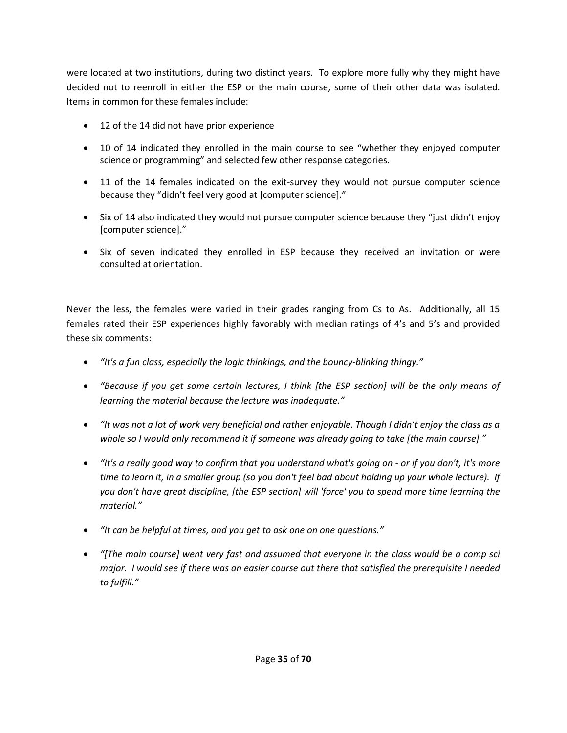were located at two institutions, during two distinct years. To explore more fully why they might have decided not to reenroll in either the ESP or the main course, some of their other data was isolated. Items in common for these females include:

- 12 of the 14 did not have prior experience
- 10 of 14 indicated they enrolled in the main course to see "whether they enjoyed computer science or programming" and selected few other response categories.
- 11 of the 14 females indicated on the exit-survey they would not pursue computer science because they "didn't feel very good at [computer science]."
- Six of 14 also indicated they would not pursue computer science because they "just didn't enjoy [computer science]."
- Six of seven indicated they enrolled in ESP because they received an invitation or were consulted at orientation.

Never the less, the females were varied in their grades ranging from Cs to As. Additionally, all 15 females rated their ESP experiences highly favorably with median ratings of 4's and 5's and provided these six comments:

- *"It's a fun class, especially the logic thinkings, and the bouncy-blinking thingy."*
- *"Because if you get some certain lectures, I think [the ESP section] will be the only means of learning the material because the lecture was inadequate."*
- *"It was not a lot of work very beneficial and rather enjoyable. Though I didn't enjoy the class as a whole so I would only recommend it if someone was already going to take [the main course]."*
- *"It's a really good way to confirm that you understand what's going on or if you don't, it's more time to learn it, in a smaller group (so you don't feel bad about holding up your whole lecture). If you don't have great discipline, [the ESP section] will 'force' you to spend more time learning the material."*
- *"It can be helpful at times, and you get to ask one on one questions."*
- *"[The main course] went very fast and assumed that everyone in the class would be a comp sci major. I would see if there was an easier course out there that satisfied the prerequisite I needed to fulfill."*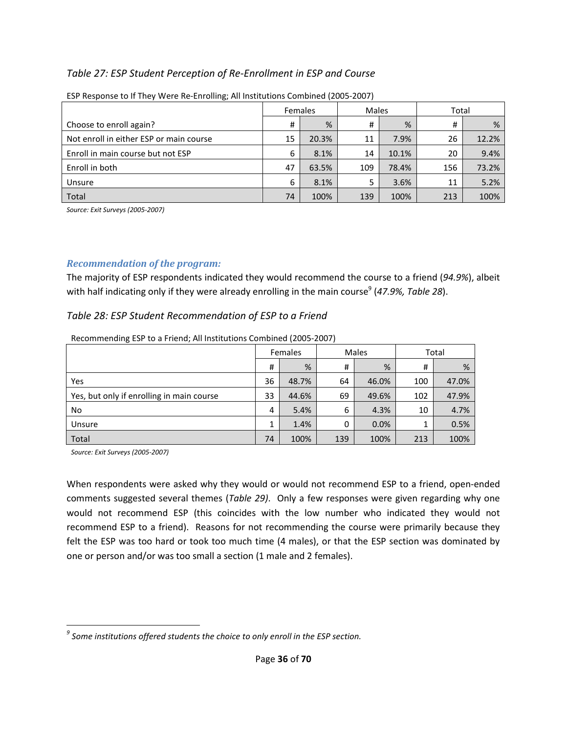## *Table 27: ESP Student Perception of Re-Enrollment in ESP and Course*

|                                         | <b>Females</b> |       | <b>Males</b> |       | Total |       |  |
|-----------------------------------------|----------------|-------|--------------|-------|-------|-------|--|
| Choose to enroll again?                 | #              | %     | #            | %     | #     | %     |  |
| Not enroll in either ESP or main course | 15             | 20.3% | 11           | 7.9%  | 26    | 12.2% |  |
| Enroll in main course but not ESP       | 6              | 8.1%  | 14           | 10.1% | 20    | 9.4%  |  |
| Enroll in both                          | 47             | 63.5% | 109          | 78.4% | 156   | 73.2% |  |
| Unsure                                  | 6              | 8.1%  | 5            | 3.6%  | 11    | 5.2%  |  |
| Total                                   | 74             | 100%  | 139          | 100%  | 213   | 100%  |  |

ESP Response to If They Were Re-Enrolling; All Institutions Combined (2005-2007)

*Source: Exit Surveys (2005-2007)* 

#### *Recommendation of the program:*

The majority of ESP respondents indicated they would recommend the course to a friend (*94.9%*), albeit with half indicating only if they were already enrolling in the main course<sup>9</sup> (47.9%, Table 28).

*Table 28: ESP Student Recommendation of ESP to a Friend* 

|                                           | Females |       |          | Males | Total |       |  |
|-------------------------------------------|---------|-------|----------|-------|-------|-------|--|
|                                           | #       | %     | #        | %     | #     | %     |  |
| Yes                                       | 36      | 48.7% | 64       | 46.0% | 100   | 47.0% |  |
| Yes, but only if enrolling in main course | 33      | 44.6% | 69       | 49.6% | 102   | 47.9% |  |
| No                                        | 4       | 5.4%  | 6        | 4.3%  | 10    | 4.7%  |  |
| Unsure                                    |         | 1.4%  | $\Omega$ | 0.0%  | 1     | 0.5%  |  |
| Total                                     | 74      | 100%  | 139      | 100%  | 213   | 100%  |  |

Recommending ESP to a Friend; All Institutions Combined (2005-2007)

*Source: Exit Surveys (2005-2007)* 

 $\overline{a}$ 

When respondents were asked why they would or would not recommend ESP to a friend, open-ended comments suggested several themes (*Table 29)*. Only a few responses were given regarding why one would not recommend ESP (this coincides with the low number who indicated they would not recommend ESP to a friend). Reasons for not recommending the course were primarily because they felt the ESP was too hard or took too much time (4 males), or that the ESP section was dominated by one or person and/or was too small a section (1 male and 2 females).

 $^9$  Some institutions offered students the choice to only enroll in the ESP section.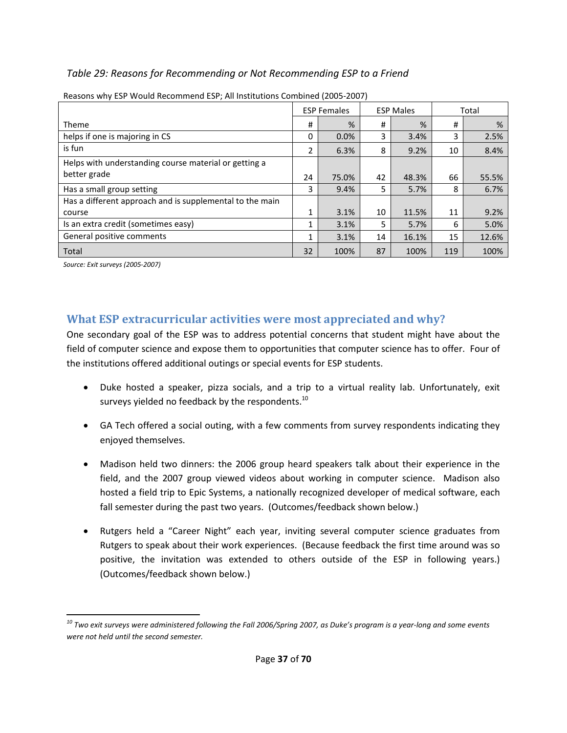# *Table 29: Reasons for Recommending or Not Recommending ESP to a Friend*

|                                                          | <b>ESP Females</b> |       | <b>ESP Males</b> |       | Total |       |
|----------------------------------------------------------|--------------------|-------|------------------|-------|-------|-------|
| Theme                                                    | #                  | %     | #                | %     | #     | %     |
| helps if one is majoring in CS                           | 0                  | 0.0%  | 3                | 3.4%  | 3     | 2.5%  |
| is fun                                                   | 2                  | 6.3%  | 8                | 9.2%  | 10    | 8.4%  |
| Helps with understanding course material or getting a    |                    |       |                  |       |       |       |
| better grade                                             | 24                 | 75.0% | 42               | 48.3% | 66    | 55.5% |
| Has a small group setting                                | 3                  | 9.4%  | 5                | 5.7%  | 8     | 6.7%  |
| Has a different approach and is supplemental to the main |                    |       |                  |       |       |       |
| course                                                   | 1                  | 3.1%  | 10               | 11.5% | 11    | 9.2%  |
| Is an extra credit (sometimes easy)                      | 1                  | 3.1%  | 5                | 5.7%  | 6     | 5.0%  |
| General positive comments                                | 1                  | 3.1%  | 14               | 16.1% | 15    | 12.6% |
| Total                                                    | 32                 | 100%  | 87               | 100%  | 119   | 100%  |

Reasons why ESP Would Recommend ESP; All Institutions Combined (2005-2007)

*Source: Exit surveys (2005-2007)* 

# **What ESP extracurricular activities were most appreciated and why?**

One secondary goal of the ESP was to address potential concerns that student might have about the field of computer science and expose them to opportunities that computer science has to offer. Four of the institutions offered additional outings or special events for ESP students.

- Duke hosted a speaker, pizza socials, and a trip to a virtual reality lab. Unfortunately, exit surveys yielded no feedback by the respondents.<sup>10</sup>
- GA Tech offered a social outing, with a few comments from survey respondents indicating they enjoyed themselves.
- Madison held two dinners: the 2006 group heard speakers talk about their experience in the field, and the 2007 group viewed videos about working in computer science. Madison also hosted a field trip to Epic Systems, a nationally recognized developer of medical software, each fall semester during the past two years. (Outcomes/feedback shown below.)
- Rutgers held a "Career Night" each year, inviting several computer science graduates from Rutgers to speak about their work experiences. (Because feedback the first time around was so positive, the invitation was extended to others outside of the ESP in following years.) (Outcomes/feedback shown below.)

 $\overline{a}$ *<sup>10</sup> Two exit surveys were administered following the Fall 2006/Spring 2007, as Duke's program is a year-long and some events were not held until the second semester.*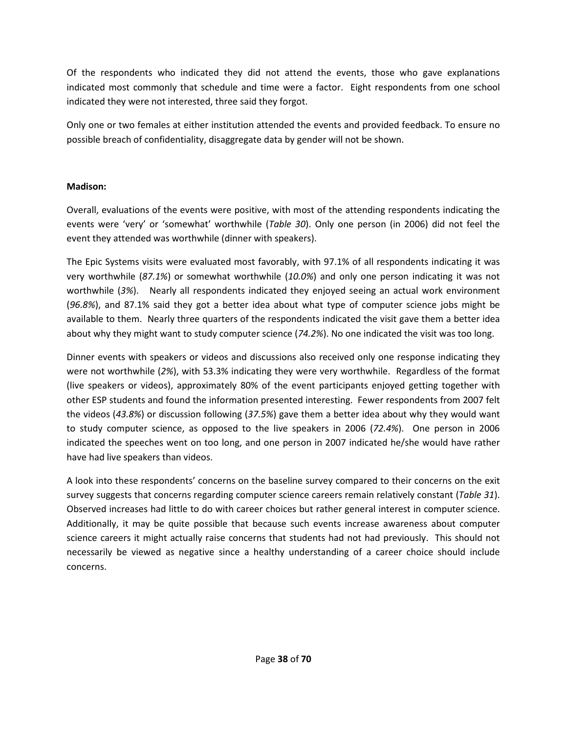Of the respondents who indicated they did not attend the events, those who gave explanations indicated most commonly that schedule and time were a factor. Eight respondents from one school indicated they were not interested, three said they forgot.

Only one or two females at either institution attended the events and provided feedback. To ensure no possible breach of confidentiality, disaggregate data by gender will not be shown.

#### **Madison:**

Overall, evaluations of the events were positive, with most of the attending respondents indicating the events were 'very' or 'somewhat' worthwhile (*Table 30*). Only one person (in 2006) did not feel the event they attended was worthwhile (dinner with speakers).

The Epic Systems visits were evaluated most favorably, with 97.1% of all respondents indicating it was very worthwhile (*87.1%*) or somewhat worthwhile (*10.0%*) and only one person indicating it was not worthwhile (*3%*). Nearly all respondents indicated they enjoyed seeing an actual work environment (*96.8%*), and 87.1% said they got a better idea about what type of computer science jobs might be available to them. Nearly three quarters of the respondents indicated the visit gave them a better idea about why they might want to study computer science (*74.2%*). No one indicated the visit was too long.

Dinner events with speakers or videos and discussions also received only one response indicating they were not worthwhile (*2%*), with 53.3% indicating they were very worthwhile. Regardless of the format (live speakers or videos), approximately 80% of the event participants enjoyed getting together with other ESP students and found the information presented interesting. Fewer respondents from 2007 felt the videos (*43.8%*) or discussion following (*37.5%*) gave them a better idea about why they would want to study computer science, as opposed to the live speakers in 2006 (*72.4%*). One person in 2006 indicated the speeches went on too long, and one person in 2007 indicated he/she would have rather have had live speakers than videos.

A look into these respondents' concerns on the baseline survey compared to their concerns on the exit survey suggests that concerns regarding computer science careers remain relatively constant (*Table 31*). Observed increases had little to do with career choices but rather general interest in computer science. Additionally, it may be quite possible that because such events increase awareness about computer science careers it might actually raise concerns that students had not had previously. This should not necessarily be viewed as negative since a healthy understanding of a career choice should include concerns.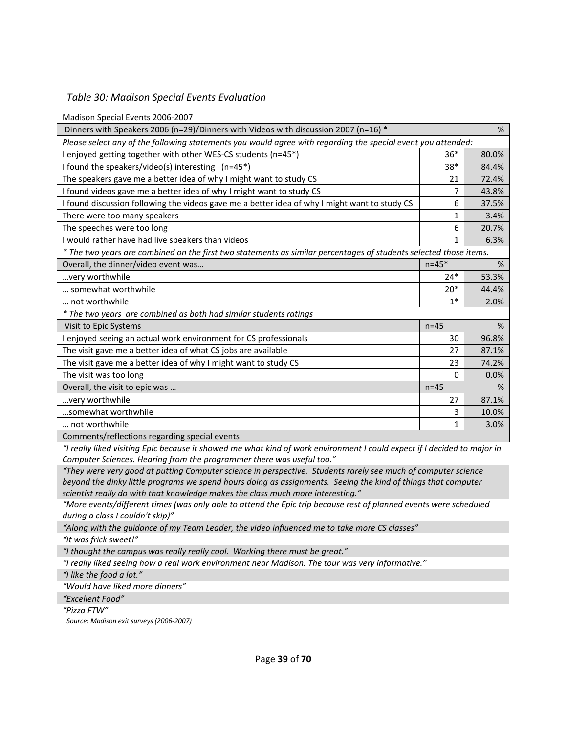#### *Table 30: Madison Special Events Evaluation*

Madison Special Events 2006-2007

| Dinners with Speakers 2006 (n=29)/Dinners with Videos with discussion 2007 (n=16) $*$                             |           |       |  |
|-------------------------------------------------------------------------------------------------------------------|-----------|-------|--|
| Please select any of the following statements you would agree with regarding the special event you attended:      |           |       |  |
| I enjoyed getting together with other WES-CS students (n=45*)                                                     | $36*$     | 80.0% |  |
| I found the speakers/video(s) interesting (n=45*)                                                                 | $38*$     | 84.4% |  |
| The speakers gave me a better idea of why I might want to study CS                                                | 21        | 72.4% |  |
| I found videos gave me a better idea of why I might want to study CS                                              | 7         | 43.8% |  |
| I found discussion following the videos gave me a better idea of why I might want to study CS                     | 6         | 37.5% |  |
| There were too many speakers                                                                                      | 1         | 3.4%  |  |
| The speeches were too long                                                                                        | 6         | 20.7% |  |
| I would rather have had live speakers than videos                                                                 | 1         | 6.3%  |  |
| * The two years are combined on the first two statements as similar percentages of students selected those items. |           |       |  |
| Overall, the dinner/video event was                                                                               | $n = 45*$ | %     |  |
| very worth while                                                                                                  | $24*$     | 53.3% |  |
| somewhat worthwhile                                                                                               | $20*$     | 44.4% |  |
| not worthwhile                                                                                                    | $1*$      | 2.0%  |  |
| * The two years are combined as both had similar students ratings                                                 |           |       |  |
| Visit to Epic Systems                                                                                             | $n=45$    | %     |  |
| I enjoyed seeing an actual work environment for CS professionals                                                  | 30        | 96.8% |  |
| The visit gave me a better idea of what CS jobs are available                                                     | 27        | 87.1% |  |
| The visit gave me a better idea of why I might want to study CS                                                   | 23        | 74.2% |  |
| The visit was too long                                                                                            | 0         | 0.0%  |  |
| Overall, the visit to epic was                                                                                    | $n=45$    | %     |  |
| very worthwhile                                                                                                   | 27        | 87.1% |  |
| somewhat worthwhile                                                                                               | 3         | 10.0% |  |
| not worthwhile                                                                                                    | 1         | 3.0%  |  |
| $\cdot$<br>$\cdot$ $\cdot$                                                                                        |           |       |  |

Comments/reflections regarding special events

*"I really liked visiting Epic because it showed me what kind of work environment I could expect if I decided to major in Computer Sciences. Hearing from the programmer there was useful too."* 

*"They were very good at putting Computer science in perspective. Students rarely see much of computer science beyond the dinky little programs we spend hours doing as assignments. Seeing the kind of things that computer scientist really do with that knowledge makes the class much more interesting."* 

*"More events/different times (was only able to attend the Epic trip because rest of planned events were scheduled during a class I couldn't skip)"* 

*"Along with the guidance of my Team Leader, the video influenced me to take more CS classes" "It was frick sweet!"* 

*"I thought the campus was really really cool. Working there must be great."*

*"I really liked seeing how a real work environment near Madison. The tour was very informative."*

*"I like the food a lot."* 

*"Would have liked more dinners"* 

*"Excellent Food"* 

*"Pizza FTW"* 

*Source: Madison exit surveys (2006-2007)*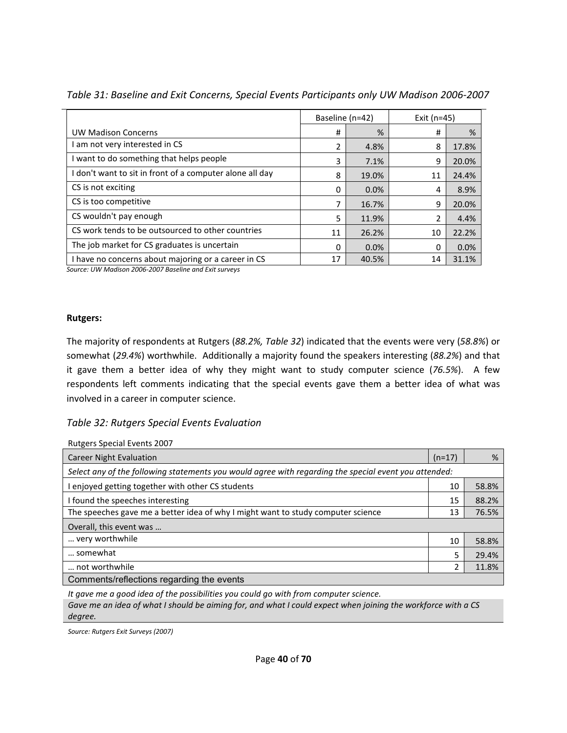|                                                          | Baseline (n=42) |       | Exit $(n=45)$ |       |  |
|----------------------------------------------------------|-----------------|-------|---------------|-------|--|
| <b>UW Madison Concerns</b>                               | #               | %     | #             | %     |  |
| am not very interested in CS                             | $\mathcal{P}$   | 4.8%  | 8             | 17.8% |  |
| I want to do something that helps people                 | 3               | 7.1%  | 9             | 20.0% |  |
| I don't want to sit in front of a computer alone all day | 8               | 19.0% | 11            | 24.4% |  |
| CS is not exciting                                       | 0               | 0.0%  | 4             | 8.9%  |  |
| CS is too competitive                                    |                 | 16.7% | 9             | 20.0% |  |
| CS wouldn't pay enough                                   | 5               | 11.9% |               | 4.4%  |  |
| CS work tends to be outsourced to other countries        | 11              | 26.2% | 10            | 22.2% |  |
| The job market for CS graduates is uncertain             | $\Omega$        | 0.0%  | $\Omega$      | 0.0%  |  |
| I have no concerns about majoring or a career in CS      | 17              | 40.5% | 14            | 31.1% |  |

*Table 31: Baseline and Exit Concerns, Special Events Participants only UW Madison 2006-2007* 

*Source: UW Madison 2006-2007 Baseline and Exit surveys*

#### **Rutgers:**

The majority of respondents at Rutgers (*88.2%, Table 32*) indicated that the events were very (*58.8%*) or somewhat (*29.4%*) worthwhile. Additionally a majority found the speakers interesting (*88.2%*) and that it gave them a better idea of why they might want to study computer science (*76.5%*). A few respondents left comments indicating that the special events gave them a better idea of what was involved in a career in computer science.

#### *Table 32: Rutgers Special Events Evaluation*

Rutgers Special Events 2007

| <b>Career Night Evaluation</b>                                                                        | $(n=17)$ | %     |
|-------------------------------------------------------------------------------------------------------|----------|-------|
| Select any of the following statements you would agree with regarding the special event you attended: |          |       |
| enjoyed getting together with other CS students                                                       | 10       | 58.8% |
| I found the speeches interesting                                                                      | 15       | 88.2% |
| The speeches gave me a better idea of why I might want to study computer science                      | 13       | 76.5% |
| Overall, this event was                                                                               |          |       |
| very worthwhile                                                                                       | 10       | 58.8% |
| somewhat                                                                                              | 5        | 29.4% |
| not worthwhile                                                                                        | 2        | 11.8% |
| Comments/reflections regarding the events                                                             |          |       |

*It gave me a good idea of the possibilities you could go with from computer science. Gave me an idea of what I should be aiming for, and what I could expect when joining the workforce with a CS degree.* 

*Source: Rutgers Exit Surveys (2007)*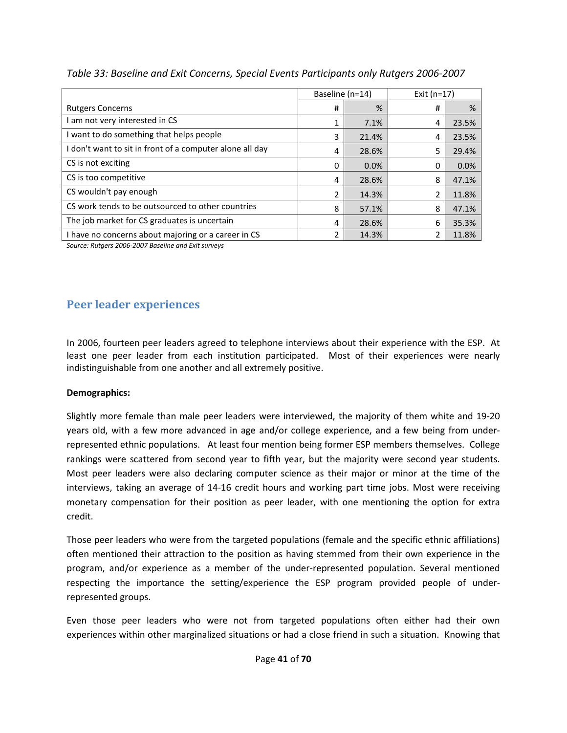|                                                          | Baseline (n=14) |       | Exit $(n=17)$ |       |
|----------------------------------------------------------|-----------------|-------|---------------|-------|
| <b>Rutgers Concerns</b>                                  | #               | %     | #             | %     |
| I am not very interested in CS                           |                 | 7.1%  | 4             | 23.5% |
| I want to do something that helps people                 | 3               | 21.4% | 4             | 23.5% |
| I don't want to sit in front of a computer alone all day | 4               | 28.6% | 5             | 29.4% |
| CS is not exciting                                       | 0               | 0.0%  | 0             | 0.0%  |
| CS is too competitive                                    | 4               | 28.6% | 8             | 47.1% |
| CS wouldn't pay enough                                   | 2               | 14.3% | 2             | 11.8% |
| CS work tends to be outsourced to other countries        | 8               | 57.1% | 8             | 47.1% |
| The job market for CS graduates is uncertain             | 4               | 28.6% | 6             | 35.3% |
| I have no concerns about majoring or a career in CS      | 2               | 14.3% | 2             | 11.8% |

## *Table 33: Baseline and Exit Concerns, Special Events Participants only Rutgers 2006-2007*

*Source: Rutgers 2006-2007 Baseline and Exit surveys*

# **Peer leader experiences**

In 2006, fourteen peer leaders agreed to telephone interviews about their experience with the ESP. At least one peer leader from each institution participated. Most of their experiences were nearly indistinguishable from one another and all extremely positive.

#### **Demographics:**

Slightly more female than male peer leaders were interviewed, the majority of them white and 19-20 years old, with a few more advanced in age and/or college experience, and a few being from underrepresented ethnic populations. At least four mention being former ESP members themselves. College rankings were scattered from second year to fifth year, but the majority were second year students. Most peer leaders were also declaring computer science as their major or minor at the time of the interviews, taking an average of 14-16 credit hours and working part time jobs. Most were receiving monetary compensation for their position as peer leader, with one mentioning the option for extra credit.

Those peer leaders who were from the targeted populations (female and the specific ethnic affiliations) often mentioned their attraction to the position as having stemmed from their own experience in the program, and/or experience as a member of the under-represented population. Several mentioned respecting the importance the setting/experience the ESP program provided people of underrepresented groups.

Even those peer leaders who were not from targeted populations often either had their own experiences within other marginalized situations or had a close friend in such a situation. Knowing that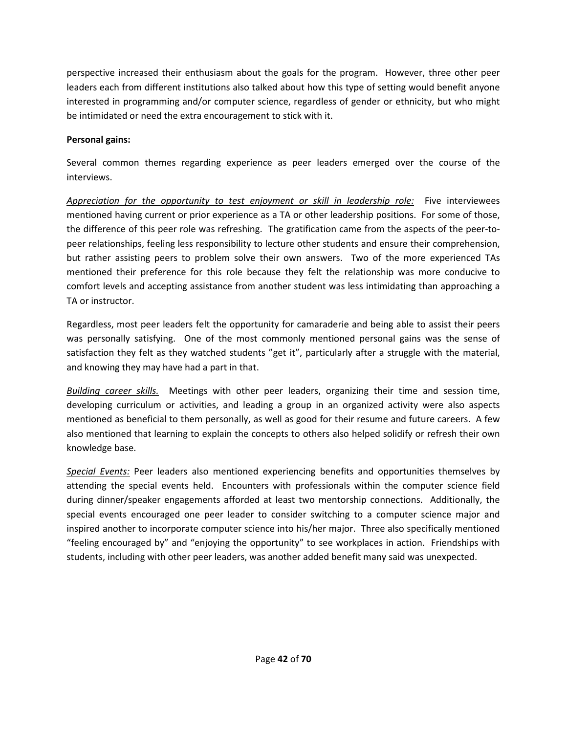perspective increased their enthusiasm about the goals for the program. However, three other peer leaders each from different institutions also talked about how this type of setting would benefit anyone interested in programming and/or computer science, regardless of gender or ethnicity, but who might be intimidated or need the extra encouragement to stick with it.

### **Personal gains:**

Several common themes regarding experience as peer leaders emerged over the course of the interviews.

*Appreciation for the opportunity to test enjoyment or skill in leadership role:* Five interviewees mentioned having current or prior experience as a TA or other leadership positions. For some of those, the difference of this peer role was refreshing. The gratification came from the aspects of the peer-topeer relationships, feeling less responsibility to lecture other students and ensure their comprehension, but rather assisting peers to problem solve their own answers. Two of the more experienced TAs mentioned their preference for this role because they felt the relationship was more conducive to comfort levels and accepting assistance from another student was less intimidating than approaching a TA or instructor.

Regardless, most peer leaders felt the opportunity for camaraderie and being able to assist their peers was personally satisfying. One of the most commonly mentioned personal gains was the sense of satisfaction they felt as they watched students "get it", particularly after a struggle with the material, and knowing they may have had a part in that.

*Building career skills.* Meetings with other peer leaders, organizing their time and session time, developing curriculum or activities, and leading a group in an organized activity were also aspects mentioned as beneficial to them personally, as well as good for their resume and future careers. A few also mentioned that learning to explain the concepts to others also helped solidify or refresh their own knowledge base.

*Special Events:* Peer leaders also mentioned experiencing benefits and opportunities themselves by attending the special events held. Encounters with professionals within the computer science field during dinner/speaker engagements afforded at least two mentorship connections. Additionally, the special events encouraged one peer leader to consider switching to a computer science major and inspired another to incorporate computer science into his/her major. Three also specifically mentioned "feeling encouraged by" and "enjoying the opportunity" to see workplaces in action. Friendships with students, including with other peer leaders, was another added benefit many said was unexpected.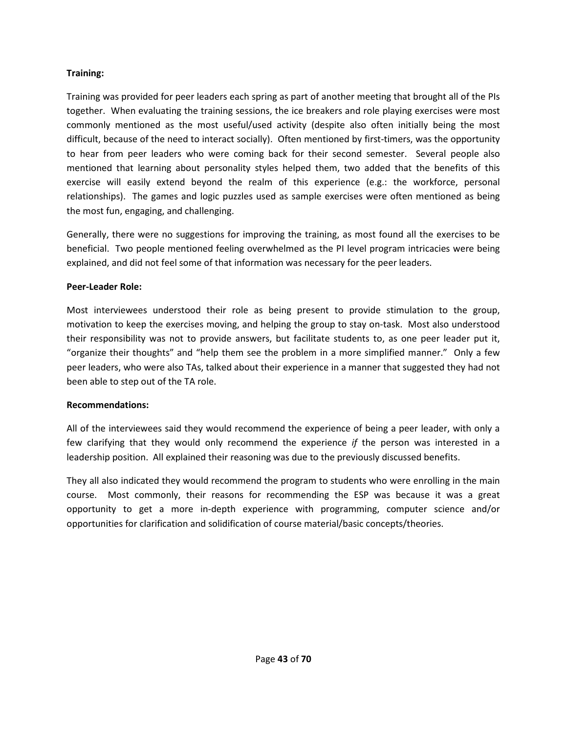#### **Training:**

Training was provided for peer leaders each spring as part of another meeting that brought all of the PIs together. When evaluating the training sessions, the ice breakers and role playing exercises were most commonly mentioned as the most useful/used activity (despite also often initially being the most difficult, because of the need to interact socially). Often mentioned by first-timers, was the opportunity to hear from peer leaders who were coming back for their second semester. Several people also mentioned that learning about personality styles helped them, two added that the benefits of this exercise will easily extend beyond the realm of this experience (e.g.: the workforce, personal relationships). The games and logic puzzles used as sample exercises were often mentioned as being the most fun, engaging, and challenging.

Generally, there were no suggestions for improving the training, as most found all the exercises to be beneficial. Two people mentioned feeling overwhelmed as the PI level program intricacies were being explained, and did not feel some of that information was necessary for the peer leaders.

#### **Peer-Leader Role:**

Most interviewees understood their role as being present to provide stimulation to the group, motivation to keep the exercises moving, and helping the group to stay on-task. Most also understood their responsibility was not to provide answers, but facilitate students to, as one peer leader put it, "organize their thoughts" and "help them see the problem in a more simplified manner." Only a few peer leaders, who were also TAs, talked about their experience in a manner that suggested they had not been able to step out of the TA role.

#### **Recommendations:**

All of the interviewees said they would recommend the experience of being a peer leader, with only a few clarifying that they would only recommend the experience *if* the person was interested in a leadership position. All explained their reasoning was due to the previously discussed benefits.

They all also indicated they would recommend the program to students who were enrolling in the main course. Most commonly, their reasons for recommending the ESP was because it was a great opportunity to get a more in-depth experience with programming, computer science and/or opportunities for clarification and solidification of course material/basic concepts/theories.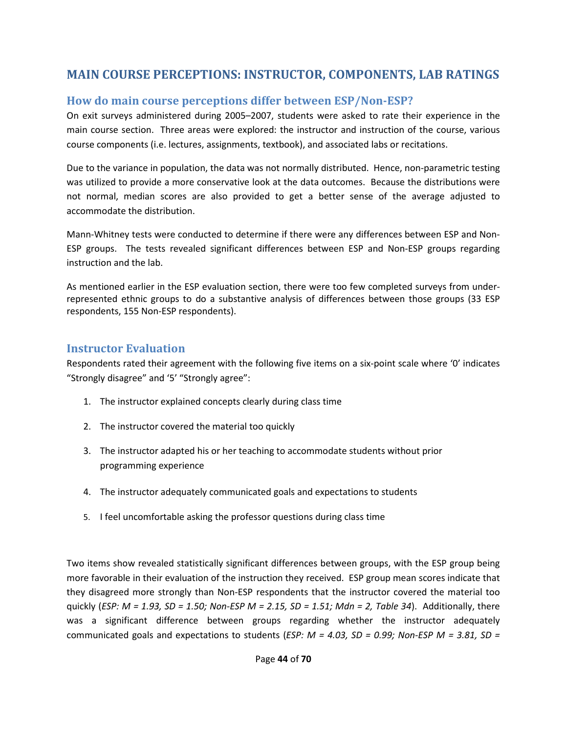# **MAIN COURSE PERCEPTIONS: INSTRUCTOR, COMPONENTS, LAB RATINGS**

# **How do main course perceptions differ between ESP/Non-ESP?**

On exit surveys administered during 2005–2007, students were asked to rate their experience in the main course section. Three areas were explored: the instructor and instruction of the course, various course components (i.e. lectures, assignments, textbook), and associated labs or recitations.

Due to the variance in population, the data was not normally distributed. Hence, non-parametric testing was utilized to provide a more conservative look at the data outcomes. Because the distributions were not normal, median scores are also provided to get a better sense of the average adjusted to accommodate the distribution.

Mann-Whitney tests were conducted to determine if there were any differences between ESP and Non-ESP groups. The tests revealed significant differences between ESP and Non-ESP groups regarding instruction and the lab.

As mentioned earlier in the ESP evaluation section, there were too few completed surveys from underrepresented ethnic groups to do a substantive analysis of differences between those groups (33 ESP respondents, 155 Non-ESP respondents).

# **Instructor Evaluation**

Respondents rated their agreement with the following five items on a six-point scale where '0' indicates "Strongly disagree" and '5' "Strongly agree":

- 1. The instructor explained concepts clearly during class time
- 2. The instructor covered the material too quickly
- 3. The instructor adapted his or her teaching to accommodate students without prior programming experience
- 4. The instructor adequately communicated goals and expectations to students
- 5. I feel uncomfortable asking the professor questions during class time

Two items show revealed statistically significant differences between groups, with the ESP group being more favorable in their evaluation of the instruction they received. ESP group mean scores indicate that they disagreed more strongly than Non-ESP respondents that the instructor covered the material too quickly (*ESP: M = 1.93, SD = 1.50; Non-ESP M = 2.15, SD = 1.51; Mdn = 2, Table 34*). Additionally, there was a significant difference between groups regarding whether the instructor adequately communicated goals and expectations to students (*ESP: M = 4.03, SD = 0.99; Non-ESP M = 3.81, SD =*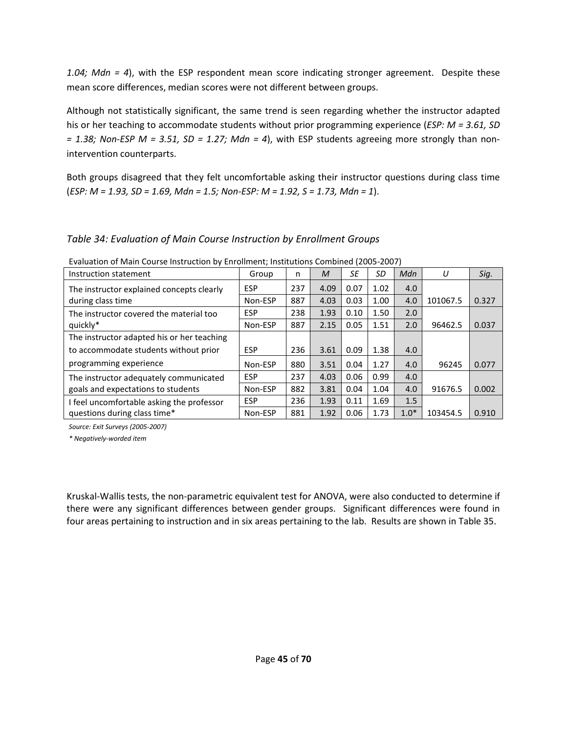*1.04; Mdn = 4*), with the ESP respondent mean score indicating stronger agreement. Despite these mean score differences, median scores were not different between groups.

Although not statistically significant, the same trend is seen regarding whether the instructor adapted his or her teaching to accommodate students without prior programming experience (*ESP: M = 3.61, SD = 1.38; Non-ESP M = 3.51, SD = 1.27; Mdn = 4*), with ESP students agreeing more strongly than nonintervention counterparts.

Both groups disagreed that they felt uncomfortable asking their instructor questions during class time (*ESP: M = 1.93, SD = 1.69, Mdn = 1.5; Non-ESP: M = 1.92, S = 1.73, Mdn = 1*).

## *Table 34: Evaluation of Main Course Instruction by Enrollment Groups*

| Instruction statement                      | Group      | n   | M    | SE   | SD   | Mdn    | IJ       | Sig.  |
|--------------------------------------------|------------|-----|------|------|------|--------|----------|-------|
| The instructor explained concepts clearly  | <b>ESP</b> | 237 | 4.09 | 0.07 | 1.02 | 4.0    |          |       |
| during class time                          | Non-ESP    | 887 | 4.03 | 0.03 | 1.00 | 4.0    | 101067.5 | 0.327 |
| The instructor covered the material too    | <b>ESP</b> | 238 | 1.93 | 0.10 | 1.50 | 2.0    |          |       |
| quickly*                                   | Non-ESP    | 887 | 2.15 | 0.05 | 1.51 | 2.0    | 96462.5  | 0.037 |
| The instructor adapted his or her teaching |            |     |      |      |      |        |          |       |
| to accommodate students without prior      | <b>ESP</b> | 236 | 3.61 | 0.09 | 1.38 | 4.0    |          |       |
| programming experience                     | Non-ESP    | 880 | 3.51 | 0.04 | 1.27 | 4.0    | 96245    | 0.077 |
| The instructor adequately communicated     | <b>ESP</b> | 237 | 4.03 | 0.06 | 0.99 | 4.0    |          |       |
| goals and expectations to students         | Non-ESP    | 882 | 3.81 | 0.04 | 1.04 | 4.0    | 91676.5  | 0.002 |
| I feel uncomfortable asking the professor  | <b>ESP</b> | 236 | 1.93 | 0.11 | 1.69 | 1.5    |          |       |
| questions during class time*               | Non-ESP    | 881 | 1.92 | 0.06 | 1.73 | $1.0*$ | 103454.5 | 0.910 |

Evaluation of Main Course Instruction by Enrollment; Institutions Combined (2005-2007)

*Source: Exit Surveys (2005-2007)* 

*\* Negatively-worded item* 

Kruskal-Wallis tests, the non-parametric equivalent test for ANOVA, were also conducted to determine if there were any significant differences between gender groups. Significant differences were found in four areas pertaining to instruction and in six areas pertaining to the lab. Results are shown in Table 35.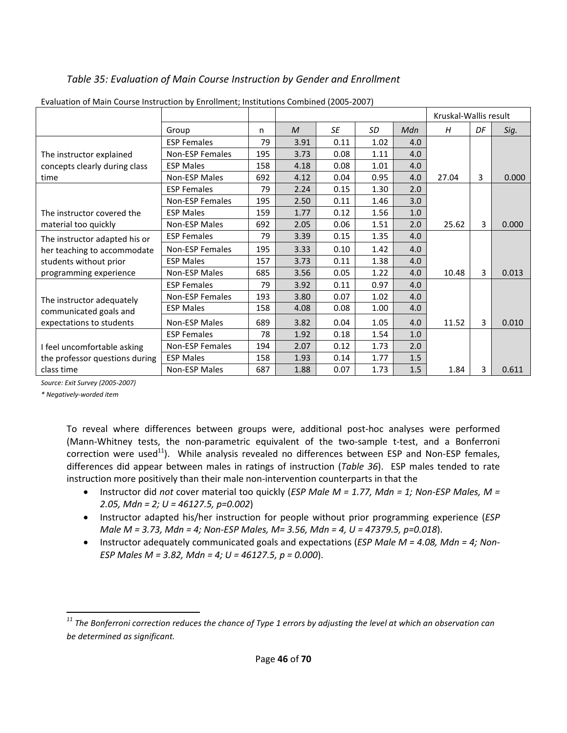# *Table 35: Evaluation of Main Course Instruction by Gender and Enrollment*

|                                |                        |     |               |           |      |     | Kruskal-Wallis result |    |       |
|--------------------------------|------------------------|-----|---------------|-----------|------|-----|-----------------------|----|-------|
|                                | Group                  | n   | $\mathcal{M}$ | <b>SE</b> | SD   | Mdn | H                     | DF | Sig.  |
|                                | <b>ESP Females</b>     | 79  | 3.91          | 0.11      | 1.02 | 4.0 |                       |    |       |
| The instructor explained       | <b>Non-ESP Females</b> | 195 | 3.73          | 0.08      | 1.11 | 4.0 |                       |    |       |
| concepts clearly during class  | <b>ESP Males</b>       | 158 | 4.18          | 0.08      | 1.01 | 4.0 |                       |    |       |
| time                           | <b>Non-ESP Males</b>   | 692 | 4.12          | 0.04      | 0.95 | 4.0 | 27.04                 | 3  | 0.000 |
|                                | <b>ESP Females</b>     | 79  | 2.24          | 0.15      | 1.30 | 2.0 |                       |    |       |
|                                | Non-ESP Females        | 195 | 2.50          | 0.11      | 1.46 | 3.0 |                       |    |       |
| The instructor covered the     | <b>ESP Males</b>       | 159 | 1.77          | 0.12      | 1.56 | 1.0 |                       |    |       |
| material too quickly           | <b>Non-ESP Males</b>   | 692 | 2.05          | 0.06      | 1.51 | 2.0 | 25.62                 | 3  | 0.000 |
| The instructor adapted his or  | <b>ESP Females</b>     | 79  | 3.39          | 0.15      | 1.35 | 4.0 |                       |    |       |
| her teaching to accommodate    | <b>Non-ESP Females</b> | 195 | 3.33          | 0.10      | 1.42 | 4.0 |                       |    |       |
| students without prior         | <b>ESP Males</b>       | 157 | 3.73          | 0.11      | 1.38 | 4.0 |                       |    |       |
| programming experience         | Non-ESP Males          | 685 | 3.56          | 0.05      | 1.22 | 4.0 | 10.48                 | 3  | 0.013 |
|                                | <b>ESP Females</b>     | 79  | 3.92          | 0.11      | 0.97 | 4.0 |                       |    |       |
| The instructor adequately      | <b>Non-ESP Females</b> | 193 | 3.80          | 0.07      | 1.02 | 4.0 |                       |    |       |
| communicated goals and         | <b>ESP Males</b>       | 158 | 4.08          | 0.08      | 1.00 | 4.0 |                       |    |       |
| expectations to students       | <b>Non-ESP Males</b>   | 689 | 3.82          | 0.04      | 1.05 | 4.0 | 11.52                 | 3  | 0.010 |
|                                | <b>ESP Females</b>     | 78  | 1.92          | 0.18      | 1.54 | 1.0 |                       |    |       |
| I feel uncomfortable asking    | <b>Non-ESP Females</b> | 194 | 2.07          | 0.12      | 1.73 | 2.0 |                       |    |       |
| the professor questions during | <b>ESP Males</b>       | 158 | 1.93          | 0.14      | 1.77 | 1.5 |                       |    |       |
| class time                     | <b>Non-ESP Males</b>   | 687 | 1.88          | 0.07      | 1.73 | 1.5 | 1.84                  | 3  | 0.611 |

Evaluation of Main Course Instruction by Enrollment; Institutions Combined (2005-2007)

*Source: Exit Survey (2005-2007)* 

*\* Negatively-worded item* 

l

To reveal where differences between groups were, additional post-hoc analyses were performed (Mann-Whitney tests, the non-parametric equivalent of the two-sample t-test, and a Bonferroni correction were used $^{11}$ ). While analysis revealed no differences between ESP and Non-ESP females, differences did appear between males in ratings of instruction (*Table 36*). ESP males tended to rate instruction more positively than their male non-intervention counterparts in that the

- Instructor did *not* cover material too quickly (*ESP Male M = 1.77, Mdn = 1; Non-ESP Males, M = 2.05, Mdn = 2; U = 46127.5, p=0.002*)
- Instructor adapted his/her instruction for people without prior programming experience (*ESP Male M = 3.73, Mdn = 4; Non-ESP Males, M= 3.56, Mdn = 4, U = 47379.5, p=0.018*).
- Instructor adequately communicated goals and expectations (*ESP Male M = 4.08, Mdn = 4; Non-ESP Males M = 3.82, Mdn = 4; U = 46127.5, p = 0.000*).

*<sup>11</sup> The Bonferroni correction reduces the chance of Type 1 errors by adjusting the level at which an observation can be determined as significant.*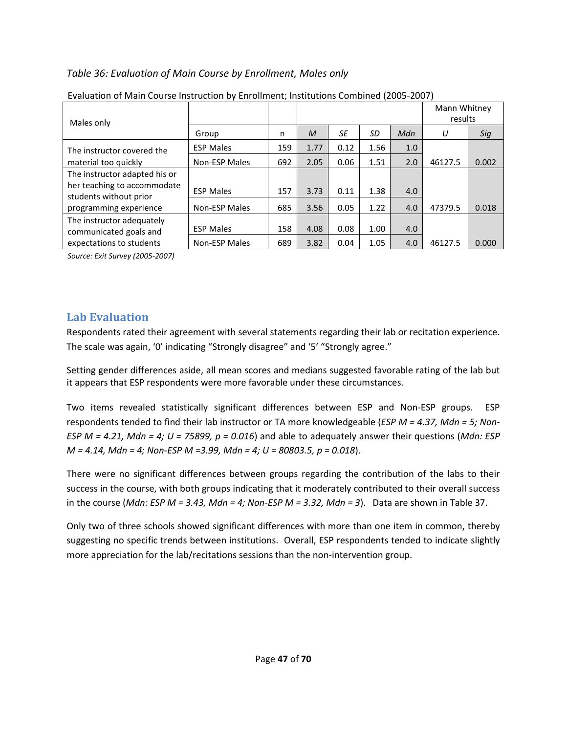## *Table 36: Evaluation of Main Course by Enrollment, Males only*

| Leanadhon or main course msu acuon by Enromnent, msutations combined (2003-2007) |                      |     |      |      |      |     |                         |       |
|----------------------------------------------------------------------------------|----------------------|-----|------|------|------|-----|-------------------------|-------|
| Males only                                                                       |                      |     |      |      |      |     | Mann Whitney<br>results |       |
|                                                                                  | Group                | n   | M    | SE   | SD   | Mdn | U                       | Sig   |
| The instructor covered the                                                       | <b>ESP Males</b>     | 159 | 1.77 | 0.12 | 1.56 | 1.0 |                         |       |
| material too quickly                                                             | <b>Non-ESP Males</b> | 692 | 2.05 | 0.06 | 1.51 | 2.0 | 46127.5                 | 0.002 |
| The instructor adapted his or                                                    |                      |     |      |      |      |     |                         |       |
| her teaching to accommodate                                                      | <b>ESP Males</b>     | 157 | 3.73 | 0.11 | 1.38 | 4.0 |                         |       |
| students without prior<br>programming experience                                 | <b>Non-ESP Males</b> | 685 | 3.56 | 0.05 | 1.22 | 4.0 | 47379.5                 | 0.018 |
| The instructor adequately                                                        |                      |     |      |      |      |     |                         |       |
| communicated goals and                                                           | <b>ESP Males</b>     | 158 | 4.08 | 0.08 | 1.00 | 4.0 |                         |       |
| expectations to students                                                         | Non-ESP Males        | 689 | 3.82 | 0.04 | 1.05 | 4.0 | 46127.5                 | 0.000 |

|  | Evaluation of Main Course Instruction by Enrollment; Institutions Combined (2005-2007) |  |
|--|----------------------------------------------------------------------------------------|--|
|  |                                                                                        |  |

*Source: Exit Survey (2005-2007)*

# **Lab Evaluation**

Respondents rated their agreement with several statements regarding their lab or recitation experience. The scale was again, '0' indicating "Strongly disagree" and '5' "Strongly agree."

Setting gender differences aside, all mean scores and medians suggested favorable rating of the lab but it appears that ESP respondents were more favorable under these circumstances.

Two items revealed statistically significant differences between ESP and Non-ESP groups. ESP respondents tended to find their lab instructor or TA more knowledgeable (*ESP M = 4.37, Mdn = 5; Non-ESP M = 4.21, Mdn = 4; U = 75899, p = 0.016*) and able to adequately answer their questions (*Mdn: ESP M = 4.14, Mdn = 4; Non-ESP M =3.99, Mdn = 4; U = 80803.5, p = 0.018*).

There were no significant differences between groups regarding the contribution of the labs to their success in the course, with both groups indicating that it moderately contributed to their overall success in the course (*Mdn: ESP M = 3.43, Mdn = 4; Non-ESP M = 3.32, Mdn = 3*). Data are shown in Table 37.

Only two of three schools showed significant differences with more than one item in common, thereby suggesting no specific trends between institutions. Overall, ESP respondents tended to indicate slightly more appreciation for the lab/recitations sessions than the non-intervention group.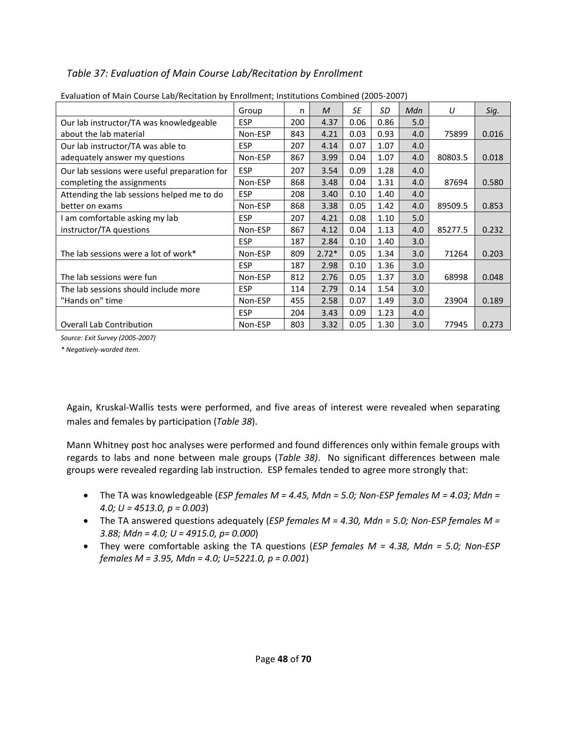# *Table 37: Evaluation of Main Course Lab/Recitation by Enrollment*

|                                              | Group      | n   | $\mathcal M$ | SE   | SD   | Mdn | U       | Sig.  |
|----------------------------------------------|------------|-----|--------------|------|------|-----|---------|-------|
| Our lab instructor/TA was knowledgeable      | <b>ESP</b> | 200 | 4.37         | 0.06 | 0.86 | 5.0 |         |       |
| about the lab material                       | Non-ESP    | 843 | 4.21         | 0.03 | 0.93 | 4.0 | 75899   | 0.016 |
| Our lab instructor/TA was able to            | <b>ESP</b> | 207 | 4.14         | 0.07 | 1.07 | 4.0 |         |       |
| adequately answer my questions               | Non-ESP    | 867 | 3.99         | 0.04 | 1.07 | 4.0 | 80803.5 | 0.018 |
| Our lab sessions were useful preparation for | <b>ESP</b> | 207 | 3.54         | 0.09 | 1.28 | 4.0 |         |       |
| completing the assignments                   | Non-ESP    | 868 | 3.48         | 0.04 | 1.31 | 4.0 | 87694   | 0.580 |
| Attending the lab sessions helped me to do   | <b>ESP</b> | 208 | 3.40         | 0.10 | 1.40 | 4.0 |         |       |
| better on exams                              | Non-ESP    | 868 | 3.38         | 0.05 | 1.42 | 4.0 | 89509.5 | 0.853 |
| am comfortable asking my lab                 | <b>ESP</b> | 207 | 4.21         | 0.08 | 1.10 | 5.0 |         |       |
| instructor/TA questions                      | Non-ESP    | 867 | 4.12         | 0.04 | 1.13 | 4.0 | 85277.5 | 0.232 |
|                                              | <b>ESP</b> | 187 | 2.84         | 0.10 | 1.40 | 3.0 |         |       |
| The lab sessions were a lot of work*         | Non-ESP    | 809 | $2.72*$      | 0.05 | 1.34 | 3.0 | 71264   | 0.203 |
|                                              | <b>ESP</b> | 187 | 2.98         | 0.10 | 1.36 | 3.0 |         |       |
| The lab sessions were fun                    | Non-ESP    | 812 | 2.76         | 0.05 | 1.37 | 3.0 | 68998   | 0.048 |
| The lab sessions should include more         | <b>ESP</b> | 114 | 2.79         | 0.14 | 1.54 | 3.0 |         |       |
| "Hands on" time                              | Non-ESP    | 455 | 2.58         | 0.07 | 1.49 | 3.0 | 23904   | 0.189 |
|                                              | <b>ESP</b> | 204 | 3.43         | 0.09 | 1.23 | 4.0 |         |       |
| <b>Overall Lab Contribution</b>              | Non-ESP    | 803 | 3.32         | 0.05 | 1.30 | 3.0 | 77945   | 0.273 |

#### Evaluation of Main Course Lab/Recitation by Enrollment; Institutions Combined (2005-2007)

*Source: Exit Survey (2005-2007)* 

*\* Negatively-worded item.* 

Again, Kruskal-Wallis tests were performed, and five areas of interest were revealed when separating males and females by participation (*Table 38*).

Mann Whitney post hoc analyses were performed and found differences only within female groups with regards to labs and none between male groups (*Table 38)*. No significant differences between male groups were revealed regarding lab instruction. ESP females tended to agree more strongly that:

- The TA was knowledgeable (*ESP females M = 4.45, Mdn = 5.0; Non-ESP females M = 4.03; Mdn = 4.0; U = 4513.0, p = 0.003*)
- The TA answered questions adequately (*ESP females M = 4.30, Mdn = 5.0; Non-ESP females M = 3.88; Mdn = 4.0; U = 4915.0, p= 0.000*)
- They were comfortable asking the TA questions (*ESP females M = 4.38, Mdn = 5.0; Non-ESP females M = 3.95, Mdn = 4.0; U=5221.0, p = 0.001*)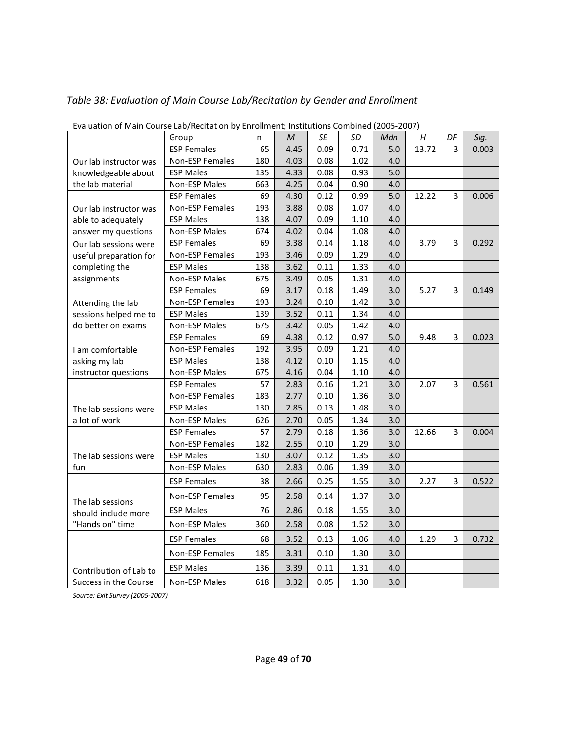| Lvaluation of Main Course Laby Recitation by Embilitient, institutions Combined (2005-2007) |                    |     |      |      |      |     |       |    |       |
|---------------------------------------------------------------------------------------------|--------------------|-----|------|------|------|-----|-------|----|-------|
|                                                                                             | Group              | n   | M    | SE   | SD   | Mdn | H     | DF | Sig.  |
|                                                                                             | <b>ESP Females</b> | 65  | 4.45 | 0.09 | 0.71 | 5.0 | 13.72 | 3  | 0.003 |
| Our lab instructor was                                                                      | Non-ESP Females    | 180 | 4.03 | 0.08 | 1.02 | 4.0 |       |    |       |
| knowledgeable about                                                                         | <b>ESP Males</b>   | 135 | 4.33 | 0.08 | 0.93 | 5.0 |       |    |       |
| the lab material                                                                            | Non-ESP Males      | 663 | 4.25 | 0.04 | 0.90 | 4.0 |       |    |       |
|                                                                                             | <b>ESP Females</b> | 69  | 4.30 | 0.12 | 0.99 | 5.0 | 12.22 | 3  | 0.006 |
| Our lab instructor was                                                                      | Non-ESP Females    | 193 | 3.88 | 0.08 | 1.07 | 4.0 |       |    |       |
| able to adequately                                                                          | <b>ESP Males</b>   | 138 | 4.07 | 0.09 | 1.10 | 4.0 |       |    |       |
| answer my questions                                                                         | Non-ESP Males      | 674 | 4.02 | 0.04 | 1.08 | 4.0 |       |    |       |
| Our lab sessions were                                                                       | <b>ESP Females</b> | 69  | 3.38 | 0.14 | 1.18 | 4.0 | 3.79  | 3  | 0.292 |
| useful preparation for                                                                      | Non-ESP Females    | 193 | 3.46 | 0.09 | 1.29 | 4.0 |       |    |       |
| completing the                                                                              | <b>ESP Males</b>   | 138 | 3.62 | 0.11 | 1.33 | 4.0 |       |    |       |
| assignments                                                                                 | Non-ESP Males      | 675 | 3.49 | 0.05 | 1.31 | 4.0 |       |    |       |
|                                                                                             | <b>ESP Females</b> | 69  | 3.17 | 0.18 | 1.49 | 3.0 | 5.27  | 3  | 0.149 |
| Attending the lab                                                                           | Non-ESP Females    | 193 | 3.24 | 0.10 | 1.42 | 3.0 |       |    |       |
| sessions helped me to                                                                       | <b>ESP Males</b>   | 139 | 3.52 | 0.11 | 1.34 | 4.0 |       |    |       |
| do better on exams                                                                          | Non-ESP Males      | 675 | 3.42 | 0.05 | 1.42 | 4.0 |       |    |       |
|                                                                                             | <b>ESP Females</b> | 69  | 4.38 | 0.12 | 0.97 | 5.0 | 9.48  | 3  | 0.023 |
| I am comfortable                                                                            | Non-ESP Females    | 192 | 3.95 | 0.09 | 1.21 | 4.0 |       |    |       |
| asking my lab                                                                               | <b>ESP Males</b>   | 138 | 4.12 | 0.10 | 1.15 | 4.0 |       |    |       |
| instructor questions                                                                        | Non-ESP Males      | 675 | 4.16 | 0.04 | 1.10 | 4.0 |       |    |       |
|                                                                                             | <b>ESP Females</b> | 57  | 2.83 | 0.16 | 1.21 | 3.0 | 2.07  | 3  | 0.561 |
|                                                                                             | Non-ESP Females    | 183 | 2.77 | 0.10 | 1.36 | 3.0 |       |    |       |
| The lab sessions were                                                                       | <b>ESP Males</b>   | 130 | 2.85 | 0.13 | 1.48 | 3.0 |       |    |       |
| a lot of work                                                                               | Non-ESP Males      | 626 | 2.70 | 0.05 | 1.34 | 3.0 |       |    |       |
|                                                                                             | <b>ESP Females</b> | 57  | 2.79 | 0.18 | 1.36 | 3.0 | 12.66 | 3  | 0.004 |
|                                                                                             | Non-ESP Females    | 182 | 2.55 | 0.10 | 1.29 | 3.0 |       |    |       |
| The lab sessions were                                                                       | <b>ESP Males</b>   | 130 | 3.07 | 0.12 | 1.35 | 3.0 |       |    |       |
| fun                                                                                         | Non-ESP Males      | 630 | 2.83 | 0.06 | 1.39 | 3.0 |       |    |       |
|                                                                                             | <b>ESP Females</b> | 38  | 2.66 | 0.25 | 1.55 | 3.0 | 2.27  | 3  | 0.522 |
| The lab sessions                                                                            | Non-ESP Females    | 95  | 2.58 | 0.14 | 1.37 | 3.0 |       |    |       |
| should include more                                                                         | <b>ESP Males</b>   | 76  | 2.86 | 0.18 | 1.55 | 3.0 |       |    |       |
| "Hands on" time                                                                             | Non-ESP Males      | 360 | 2.58 | 0.08 | 1.52 | 3.0 |       |    |       |
|                                                                                             | <b>ESP Females</b> | 68  | 3.52 | 0.13 | 1.06 | 4.0 | 1.29  | 3  | 0.732 |
|                                                                                             | Non-ESP Females    | 185 | 3.31 | 0.10 | 1.30 | 3.0 |       |    |       |
| Contribution of Lab to                                                                      | <b>ESP Males</b>   | 136 | 3.39 | 0.11 | 1.31 | 4.0 |       |    |       |
| Success in the Course                                                                       | Non-ESP Males      | 618 | 3.32 | 0.05 | 1.30 | 3.0 |       |    |       |

# *Table 38: Evaluation of Main Course Lab/Recitation by Gender and Enrollment*

Evaluation of Main Course Lab/Recitation by Enrollment; Institutions Combined (2005-2007)

*Source: Exit Survey (2005-2007)*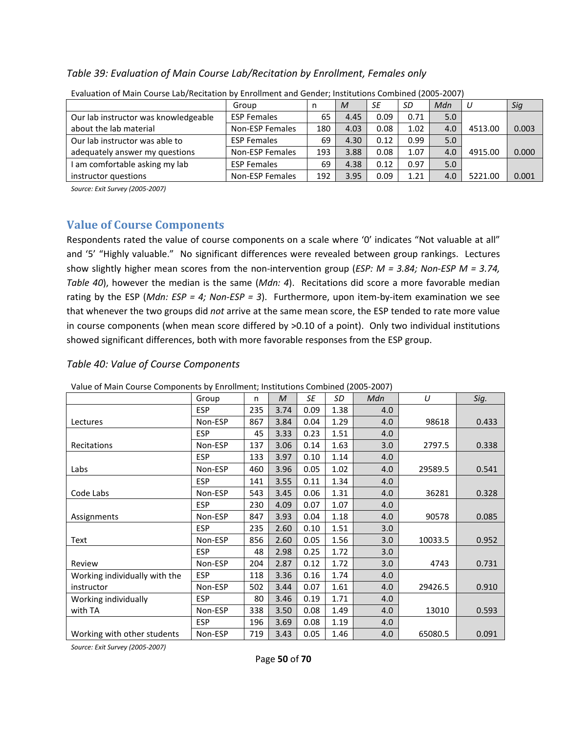#### *Table 39: Evaluation of Main Course Lab/Recitation by Enrollment, Females only*

| Liquation of main coalse Las mentation by Lin Simicht and Cenaer, motitations compiled (Loos Loo) |                        |     |      |      |      |     |         |       |  |  |  |  |
|---------------------------------------------------------------------------------------------------|------------------------|-----|------|------|------|-----|---------|-------|--|--|--|--|
|                                                                                                   | Group                  |     | M    | SE   | SD   | Mdn |         | Sig   |  |  |  |  |
| Our lab instructor was knowledgeable                                                              | <b>ESP Females</b>     | 65  | 4.45 | 0.09 | 0.71 | 5.0 |         |       |  |  |  |  |
| about the lab material                                                                            | Non-ESP Females        | 180 | 4.03 | 0.08 | 1.02 | 4.0 | 4513.00 | 0.003 |  |  |  |  |
| Our lab instructor was able to                                                                    | <b>ESP Females</b>     | 69  | 4.30 | 0.12 | 0.99 | 5.0 |         |       |  |  |  |  |
| adequately answer my questions                                                                    | Non-ESP Females        | 193 | 3.88 | 0.08 | 1.07 | 4.0 | 4915.00 | 0.000 |  |  |  |  |
| I am comfortable asking my lab                                                                    | <b>ESP Females</b>     | 69  | 4.38 | 0.12 | 0.97 | 5.0 |         |       |  |  |  |  |
| instructor questions                                                                              | <b>Non-ESP Females</b> | 192 | 3.95 | 0.09 | 1.21 | 4.0 | 5221.00 | 0.001 |  |  |  |  |

Evaluation of Main Course Lab/Recitation by Enrollment and Gender; Institutions Combined (2005-2007)

*Source: Exit Survey (2005-2007)*

## **Value of Course Components**

Respondents rated the value of course components on a scale where '0' indicates "Not valuable at all" and '5' "Highly valuable." No significant differences were revealed between group rankings. Lectures show slightly higher mean scores from the non-intervention group (*ESP: M = 3.84; Non-ESP M = 3.74, Table 40*), however the median is the same (*Mdn: 4*). Recitations did score a more favorable median rating by the ESP (*Mdn: ESP = 4; Non-ESP = 3*). Furthermore, upon item-by-item examination we see that whenever the two groups did *not* arrive at the same mean score, the ESP tended to rate more value in course components (when mean score differed by >0.10 of a point). Only two individual institutions showed significant differences, both with more favorable responses from the ESP group.

#### *Table 40: Value of Course Components*

|                               | Group      | n   | M    | SE   | SD   | Mdn | U       | Sig.  |
|-------------------------------|------------|-----|------|------|------|-----|---------|-------|
|                               | <b>ESP</b> | 235 | 3.74 | 0.09 | 1.38 | 4.0 |         |       |
| Lectures                      | Non-ESP    | 867 | 3.84 | 0.04 | 1.29 | 4.0 | 98618   | 0.433 |
|                               | <b>ESP</b> | 45  | 3.33 | 0.23 | 1.51 | 4.0 |         |       |
| Recitations                   | Non-ESP    | 137 | 3.06 | 0.14 | 1.63 | 3.0 | 2797.5  | 0.338 |
|                               | <b>ESP</b> | 133 | 3.97 | 0.10 | 1.14 | 4.0 |         |       |
| Labs                          | Non-ESP    | 460 | 3.96 | 0.05 | 1.02 | 4.0 | 29589.5 | 0.541 |
|                               | <b>ESP</b> | 141 | 3.55 | 0.11 | 1.34 | 4.0 |         |       |
| Code Labs                     | Non-ESP    | 543 | 3.45 | 0.06 | 1.31 | 4.0 | 36281   | 0.328 |
|                               | <b>ESP</b> | 230 | 4.09 | 0.07 | 1.07 | 4.0 |         |       |
| Assignments                   | Non-ESP    | 847 | 3.93 | 0.04 | 1.18 | 4.0 | 90578   | 0.085 |
|                               | <b>ESP</b> | 235 | 2.60 | 0.10 | 1.51 | 3.0 |         |       |
| Text                          | Non-ESP    | 856 | 2.60 | 0.05 | 1.56 | 3.0 | 10033.5 | 0.952 |
|                               | <b>ESP</b> | 48  | 2.98 | 0.25 | 1.72 | 3.0 |         |       |
| Review                        | Non-ESP    | 204 | 2.87 | 0.12 | 1.72 | 3.0 | 4743    | 0.731 |
| Working individually with the | <b>ESP</b> | 118 | 3.36 | 0.16 | 1.74 | 4.0 |         |       |
| instructor                    | Non-ESP    | 502 | 3.44 | 0.07 | 1.61 | 4.0 | 29426.5 | 0.910 |
| Working individually          | <b>ESP</b> | 80  | 3.46 | 0.19 | 1.71 | 4.0 |         |       |
| with TA                       | Non-ESP    | 338 | 3.50 | 0.08 | 1.49 | 4.0 | 13010   | 0.593 |
|                               | <b>ESP</b> | 196 | 3.69 | 0.08 | 1.19 | 4.0 |         |       |
| Working with other students   | Non-ESP    | 719 | 3.43 | 0.05 | 1.46 | 4.0 | 65080.5 | 0.091 |

Value of Main Course Components by Enrollment; Institutions Combined (2005-2007)

*Source: Exit Survey (2005-2007)*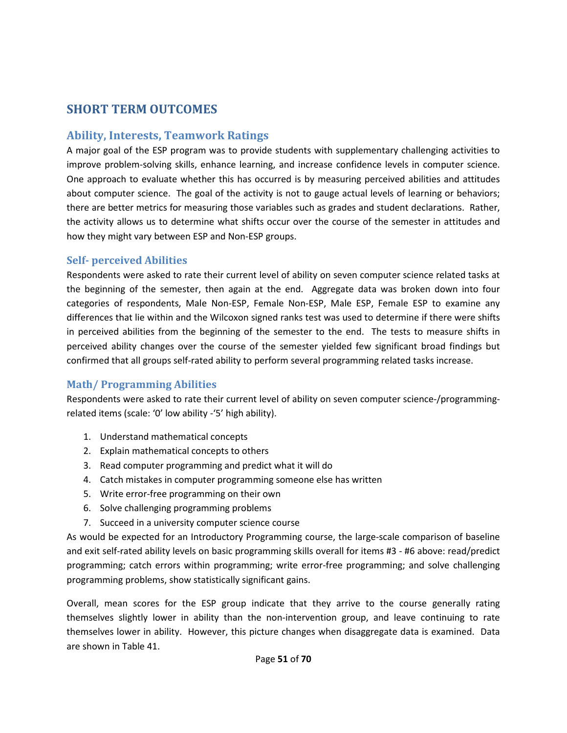# **SHORT TERM OUTCOMES**

# **Ability, Interests, Teamwork Ratings**

A major goal of the ESP program was to provide students with supplementary challenging activities to improve problem-solving skills, enhance learning, and increase confidence levels in computer science. One approach to evaluate whether this has occurred is by measuring perceived abilities and attitudes about computer science. The goal of the activity is not to gauge actual levels of learning or behaviors; there are better metrics for measuring those variables such as grades and student declarations. Rather, the activity allows us to determine what shifts occur over the course of the semester in attitudes and how they might vary between ESP and Non-ESP groups.

### **Self- perceived Abilities**

Respondents were asked to rate their current level of ability on seven computer science related tasks at the beginning of the semester, then again at the end. Aggregate data was broken down into four categories of respondents, Male Non-ESP, Female Non-ESP, Male ESP, Female ESP to examine any differences that lie within and the Wilcoxon signed ranks test was used to determine if there were shifts in perceived abilities from the beginning of the semester to the end. The tests to measure shifts in perceived ability changes over the course of the semester yielded few significant broad findings but confirmed that all groups self-rated ability to perform several programming related tasks increase.

## **Math/ Programming Abilities**

Respondents were asked to rate their current level of ability on seven computer science-/programmingrelated items (scale: '0' low ability -'5' high ability).

- 1. Understand mathematical concepts
- 2. Explain mathematical concepts to others
- 3. Read computer programming and predict what it will do
- 4. Catch mistakes in computer programming someone else has written
- 5. Write error-free programming on their own
- 6. Solve challenging programming problems
- 7. Succeed in a university computer science course

As would be expected for an Introductory Programming course, the large-scale comparison of baseline and exit self-rated ability levels on basic programming skills overall for items #3 - #6 above: read/predict programming; catch errors within programming; write error-free programming; and solve challenging programming problems, show statistically significant gains.

Overall, mean scores for the ESP group indicate that they arrive to the course generally rating themselves slightly lower in ability than the non-intervention group, and leave continuing to rate themselves lower in ability. However, this picture changes when disaggregate data is examined. Data are shown in Table 41.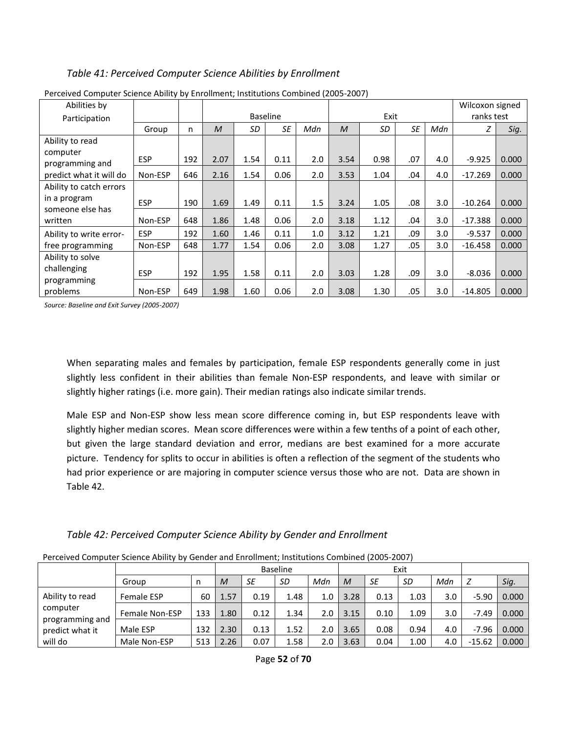#### *Table 41: Perceived Computer Science Abilities by Enrollment*

| Abilities by                     |            |     |              |      |                 |     |      |      |           |     | Wilcoxon signed |       |
|----------------------------------|------------|-----|--------------|------|-----------------|-----|------|------|-----------|-----|-----------------|-------|
| Participation                    |            |     |              |      | <b>Baseline</b> |     |      | Exit |           |     | ranks test      |       |
|                                  | Group      | n   | $\mathcal M$ | SD   | <b>SE</b>       | Mdn | M    | SD   | <b>SE</b> | Mdn |                 | Sig.  |
| Ability to read                  |            |     |              |      |                 |     |      |      |           |     |                 |       |
| computer<br>programming and      | <b>ESP</b> | 192 | 2.07         | 1.54 | 0.11            | 2.0 | 3.54 | 0.98 | .07       | 4.0 | $-9.925$        | 0.000 |
| predict what it will do          | Non-ESP    | 646 | 2.16         | 1.54 | 0.06            | 2.0 | 3.53 | 1.04 | .04       | 4.0 | $-17.269$       | 0.000 |
| Ability to catch errors          |            |     |              |      |                 |     |      |      |           |     |                 |       |
| in a program<br>someone else has | <b>ESP</b> | 190 | 1.69         | 1.49 | 0.11            | 1.5 | 3.24 | 1.05 | .08       | 3.0 | $-10.264$       | 0.000 |
| written                          | Non-ESP    | 648 | 1.86         | 1.48 | 0.06            | 2.0 | 3.18 | 1.12 | .04       | 3.0 | $-17.388$       | 0.000 |
| Ability to write error-          | <b>ESP</b> | 192 | 1.60         | 1.46 | 0.11            | 1.0 | 3.12 | 1.21 | .09       | 3.0 | $-9.537$        | 0.000 |
| free programming                 | Non-ESP    | 648 | 1.77         | 1.54 | 0.06            | 2.0 | 3.08 | 1.27 | .05       | 3.0 | $-16.458$       | 0.000 |
| Ability to solve                 |            |     |              |      |                 |     |      |      |           |     |                 |       |
| challenging<br>programming       | <b>ESP</b> | 192 | 1.95         | 1.58 | 0.11            | 2.0 | 3.03 | 1.28 | .09       | 3.0 | $-8.036$        | 0.000 |
| problems                         | Non-ESP    | 649 | 1.98         | 1.60 | 0.06            | 2.0 | 3.08 | 1.30 | .05       | 3.0 | $-14.805$       | 0.000 |

Perceived Computer Science Ability by Enrollment; Institutions Combined (2005-2007)

*Source: Baseline and Exit Survey (2005-2007)* 

When separating males and females by participation, female ESP respondents generally come in just slightly less confident in their abilities than female Non-ESP respondents, and leave with similar or slightly higher ratings (i.e. more gain). Their median ratings also indicate similar trends.

Male ESP and Non-ESP show less mean score difference coming in, but ESP respondents leave with slightly higher median scores. Mean score differences were within a few tenths of a point of each other, but given the large standard deviation and error, medians are best examined for a more accurate picture. Tendency for splits to occur in abilities is often a reflection of the segment of the students who had prior experience or are majoring in computer science versus those who are not. Data are shown in Table 42.

| Table 42: Perceived Computer Science Ability by Gender and Enrollment |  |  |  |
|-----------------------------------------------------------------------|--|--|--|
|                                                                       |  |  |  |

| Perceived Computer Science Ability by Gender and Enrollment; Institutions Combined (2005-2007) |  |  |
|------------------------------------------------------------------------------------------------|--|--|
|                                                                                                |  |  |

|                                    |                       |     |      |      | Baseline |     |      |      | Exit |     |          |       |
|------------------------------------|-----------------------|-----|------|------|----------|-----|------|------|------|-----|----------|-------|
|                                    | Group                 | n   | M    | SE   | SD       | Mdn | M    | SE   | SD   | Mdn |          | Sig.  |
| Ability to read                    | Female ESP            | 60  | 1.57 | 0.19 | 1.48     | 1.0 | 3.28 | 0.13 | 1.03 | 3.0 | $-5.90$  | 0.000 |
| computer                           | <b>Female Non-ESP</b> | 133 | 1.80 | 0.12 | 1.34     | 2.0 | 3.15 | 0.10 | 1.09 | 3.0 | -7.49    | 0.000 |
| programming and<br>predict what it | Male ESP              | 132 | 2.30 | 0.13 | 1.52     | 2.0 | 3.65 | 0.08 | 0.94 | 4.0 | $-7.96$  | 0.000 |
| will do                            | Male Non-ESP          | 513 | 2.26 | 0.07 | 1.58     | 2.0 | 3.63 | 0.04 | 1.00 | 4.0 | $-15.62$ | 0.000 |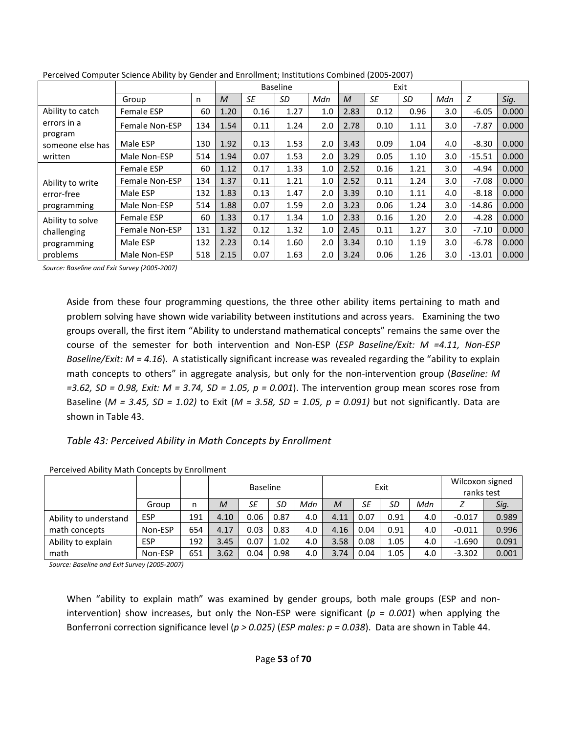|                             |                   |     |              |      | <b>Baseline</b> |     |              |      | Exit |                  |          |       |
|-----------------------------|-------------------|-----|--------------|------|-----------------|-----|--------------|------|------|------------------|----------|-------|
|                             | Group             | n   | $\mathcal M$ | SE   | SD              | Mdn | $\mathcal M$ | SE   | SD   | Mdn              | Z        | Sig.  |
| Ability to catch            | <b>Female ESP</b> | 60  | 1.20         | 0.16 | 1.27            | 1.0 | 2.83         | 0.12 | 0.96 | 3.0 <sub>1</sub> | $-6.05$  | 0.000 |
| errors in a                 | Female Non-ESP    | 134 | 1.54         | 0.11 | 1.24            | 2.0 | 2.78         | 0.10 | 1.11 | 3.0              | $-7.87$  | 0.000 |
| program<br>someone else has | Male ESP          | 130 | 1.92         | 0.13 | 1.53            | 2.0 | 3.43         | 0.09 | 1.04 | 4.0              | $-8.30$  | 0.000 |
| written                     | Male Non-ESP      | 514 | 1.94         | 0.07 | 1.53            | 2.0 | 3.29         | 0.05 | 1.10 | 3.0              | $-15.51$ | 0.000 |
|                             | <b>Female ESP</b> | 60  | 1.12         | 0.17 | 1.33            | 1.0 | 2.52         | 0.16 | 1.21 | 3.0 <sub>1</sub> | $-4.94$  | 0.000 |
| Ability to write            | Female Non-ESP    | 134 | 1.37         | 0.11 | 1.21            | 1.0 | 2.52         | 0.11 | 1.24 | 3.0 <sub>1</sub> | $-7.08$  | 0.000 |
| error-free                  | Male ESP          | 132 | 1.83         | 0.13 | 1.47            | 2.0 | 3.39         | 0.10 | 1.11 | 4.0              | $-8.18$  | 0.000 |
| programming                 | Male Non-ESP      | 514 | 1.88         | 0.07 | 1.59            | 2.0 | 3.23         | 0.06 | 1.24 | 3.0              | $-14.86$ | 0.000 |
| Ability to solve            | Female ESP        | 60  | 1.33         | 0.17 | 1.34            | 1.0 | 2.33         | 0.16 | 1.20 | 2.0 <sub>1</sub> | $-4.28$  | 0.000 |
| challenging                 | Female Non-ESP    | 131 | 1.32         | 0.12 | 1.32            | 1.0 | 2.45         | 0.11 | 1.27 | 3.0              | $-7.10$  | 0.000 |
| programming                 | Male ESP          | 132 | 2.23         | 0.14 | 1.60            | 2.0 | 3.34         | 0.10 | 1.19 | 3.0 <sub>1</sub> | $-6.78$  | 0.000 |
| problems                    | Male Non-ESP      | 518 | 2.15         | 0.07 | 1.63            | 2.0 | 3.24         | 0.06 | 1.26 | 3.0              | $-13.01$ | 0.000 |

Perceived Computer Science Ability by Gender and Enrollment; Institutions Combined (2005-2007)

*Source: Baseline and Exit Survey (2005-2007)* 

Aside from these four programming questions, the three other ability items pertaining to math and problem solving have shown wide variability between institutions and across years. Examining the two groups overall, the first item "Ability to understand mathematical concepts" remains the same over the course of the semester for both intervention and Non-ESP (*ESP Baseline/Exit: M =4.11, Non-ESP Baseline/Exit: M = 4.16*). A statistically significant increase was revealed regarding the "ability to explain math concepts to others" in aggregate analysis, but only for the non-intervention group (*Baseline: M =3.62, SD = 0.98, Exit: M = 3.74, SD = 1.05, p = 0.001*). The intervention group mean scores rose from Baseline (*M = 3.45, SD = 1.02)* to Exit (*M = 3.58, SD = 1.05, p = 0.091)* but not significantly. Data are shown in Table 43.

#### *Table 43: Perceived Ability in Math Concepts by Enrollment*

|                       |            |     |      | <b>Baseline</b> |      |     |      |      | Exit |     | Wilcoxon signed<br>ranks test |       |  |
|-----------------------|------------|-----|------|-----------------|------|-----|------|------|------|-----|-------------------------------|-------|--|
|                       | Group      | n   | M    | SE              | SD   | Mdn | M    | SE   | SD   | Mdn |                               | Sig.  |  |
| Ability to understand | <b>ESP</b> | 191 | 4.10 | 0.06            | 0.87 | 4.0 | 4.11 | 0.07 | 0.91 | 4.0 | $-0.017$                      | 0.989 |  |
| math concepts         | Non-ESP    | 654 | 4.17 | 0.03            | 0.83 | 4.0 | 4.16 | 0.04 | 0.91 | 4.0 | $-0.011$                      | 0.996 |  |
| Ability to explain    | <b>ESP</b> | 192 | 3.45 | 0.07            | 1.02 | 4.0 | 3.58 | 0.08 | 1.05 | 4.0 | $-1.690$                      | 0.091 |  |
| math                  | Non-ESP    | 651 | 3.62 | 0.04            | 0.98 | 4.0 | 3.74 | 0.04 | 1.05 | 4.0 | $-3.302$                      | 0.001 |  |

Perceived Ability Math Concepts by Enrollment

*Source: Baseline and Exit Survey (2005-2007)* 

When "ability to explain math" was examined by gender groups, both male groups (ESP and nonintervention) show increases, but only the Non-ESP were significant ( $p = 0.001$ ) when applying the Bonferroni correction significance level (*p > 0.025)* (*ESP males: p = 0.038*). Data are shown in Table 44.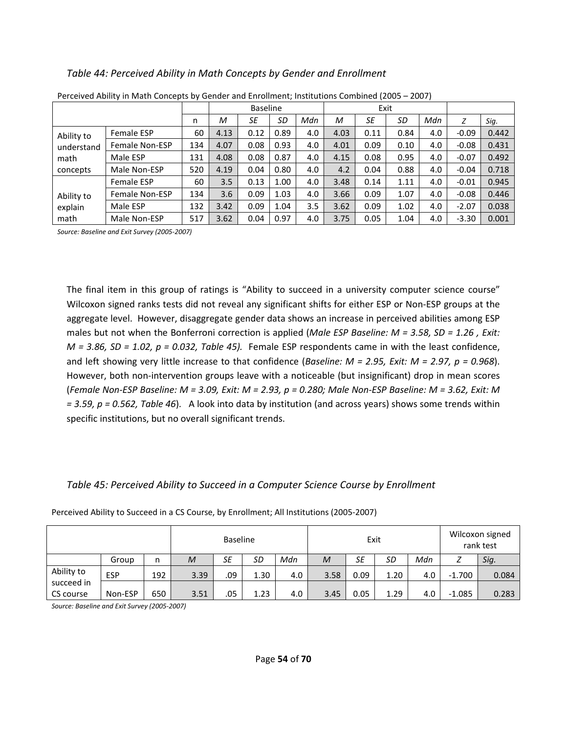#### *Table 44: Perceived Ability in Math Concepts by Gender and Enrollment*

|            | r crecived Ability in ividul Concepts by Genuer and Enromnent, mstitutions Combined (2005 – 2007) |     |      | <b>Baseline</b> |      |     |      | Exit |      |     |         |       |
|------------|---------------------------------------------------------------------------------------------------|-----|------|-----------------|------|-----|------|------|------|-----|---------|-------|
|            |                                                                                                   | n   | M    | SE              | SD   | Mdn | М    | SE   | SD   | Mdn | Z       | Sig.  |
| Ability to | <b>Female ESP</b>                                                                                 | 60  | 4.13 | 0.12            | 0.89 | 4.0 | 4.03 | 0.11 | 0.84 | 4.0 | $-0.09$ | 0.442 |
| understand | <b>Female Non-ESP</b>                                                                             | 134 | 4.07 | 0.08            | 0.93 | 4.0 | 4.01 | 0.09 | 0.10 | 4.0 | $-0.08$ | 0.431 |
| math       | Male ESP                                                                                          | 131 | 4.08 | 0.08            | 0.87 | 4.0 | 4.15 | 0.08 | 0.95 | 4.0 | $-0.07$ | 0.492 |
| concepts   | Male Non-ESP                                                                                      | 520 | 4.19 | 0.04            | 0.80 | 4.0 | 4.2  | 0.04 | 0.88 | 4.0 | $-0.04$ | 0.718 |
|            | <b>Female ESP</b>                                                                                 | 60  | 3.5  | 0.13            | 1.00 | 4.0 | 3.48 | 0.14 | 1.11 | 4.0 | $-0.01$ | 0.945 |
| Ability to | <b>Female Non-ESP</b>                                                                             | 134 | 3.6  | 0.09            | 1.03 | 4.0 | 3.66 | 0.09 | 1.07 | 4.0 | $-0.08$ | 0.446 |
| explain    | Male ESP                                                                                          | 132 | 3.42 | 0.09            | 1.04 | 3.5 | 3.62 | 0.09 | 1.02 | 4.0 | $-2.07$ | 0.038 |
| math       | Male Non-ESP                                                                                      | 517 | 3.62 | 0.04            | 0.97 | 4.0 | 3.75 | 0.05 | 1.04 | 4.0 | $-3.30$ | 0.001 |

|  | Perceived Ability in Math Concepts by Gender and Enrollment; Institutions Combined (2005 - 2007) |  |
|--|--------------------------------------------------------------------------------------------------|--|
|  |                                                                                                  |  |

*Source: Baseline and Exit Survey (2005-2007)* 

The final item in this group of ratings is "Ability to succeed in a university computer science course" Wilcoxon signed ranks tests did not reveal any significant shifts for either ESP or Non-ESP groups at the aggregate level. However, disaggregate gender data shows an increase in perceived abilities among ESP males but not when the Bonferroni correction is applied (*Male ESP Baseline: M = 3.58, SD = 1.26 , Exit: M = 3.86, SD = 1.02, p = 0.032, Table 45).* Female ESP respondents came in with the least confidence, and left showing very little increase to that confidence (*Baseline: M = 2.95, Exit: M = 2.97, p = 0.968*). However, both non-intervention groups leave with a noticeable (but insignificant) drop in mean scores (*Female Non-ESP Baseline: M = 3.09, Exit: M = 2.93, p = 0.280; Male Non-ESP Baseline: M = 3.62, Exit: M = 3.59, p = 0.562, Table 46*). A look into data by institution (and across years) shows some trends within specific institutions, but no overall significant trends.

#### *Table 45: Perceived Ability to Succeed in a Computer Science Course by Enrollment*

|                         |            |     | <b>Baseline</b> |     |      |     |      | Exit |      | Wilcoxon signed<br>rank test |          |       |
|-------------------------|------------|-----|-----------------|-----|------|-----|------|------|------|------------------------------|----------|-------|
|                         | Group      | n   | M               | SE  | SD   | Mdn | M    | SE   | SD   | Mdn                          |          | Sig.  |
| Ability to              | <b>ESP</b> | 192 | 3.39            | .09 | 1.30 | 4.0 | 3.58 | 0.09 | 1.20 | 4.0                          | $-1.700$ | 0.084 |
| succeed in<br>CS course | Non-ESP    | 650 | 3.51            | .05 | 1.23 | 4.0 | 3.45 | 0.05 | 1.29 | 4.0                          | $-1.085$ | 0.283 |

Perceived Ability to Succeed in a CS Course, by Enrollment; All Institutions (2005-2007)

*Source: Baseline and Exit Survey (2005-2007)*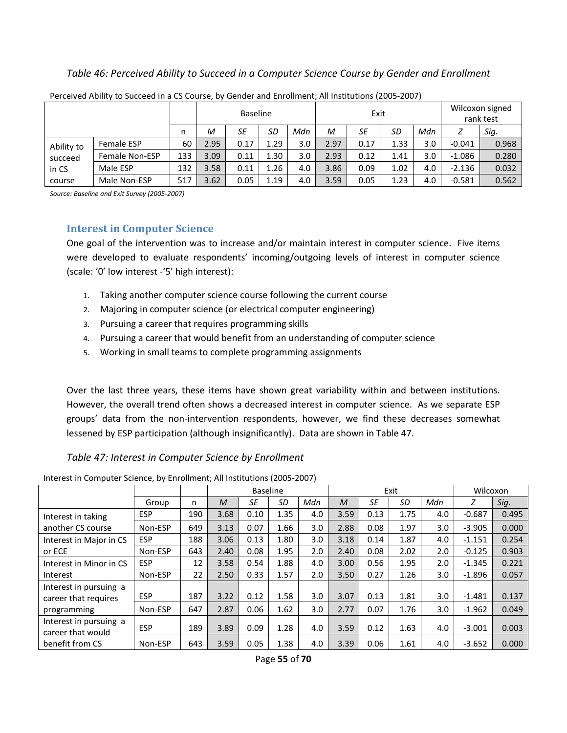#### *Table 46: Perceived Ability to Succeed in a Computer Science Course by Gender and Enrollment*

|            |                   |     | <b>Baseline</b><br>Exit |      |      |     |      |      |      | Wilcoxon signed<br>rank test |          |       |
|------------|-------------------|-----|-------------------------|------|------|-----|------|------|------|------------------------------|----------|-------|
|            | n                 | М   | SE                      | SD   | Mdn  | М   | SE   | SD   | Mdn  |                              | Sig.     |       |
| Ability to | <b>Female ESP</b> | 60  | 2.95                    | 0.17 | 1.29 | 3.0 | 2.97 | 0.17 | 1.33 | 3.0                          | $-0.041$ | 0.968 |
| succeed    | Female Non-ESP    | 133 | 3.09                    | 0.11 | 1.30 | 3.0 | 2.93 | 0.12 | 1.41 | 3.0                          | $-1.086$ | 0.280 |
| in CS      | Male ESP          | 132 | 3.58                    | 0.11 | 1.26 | 4.0 | 3.86 | 0.09 | 1.02 | 4.0                          | $-2.136$ | 0.032 |
| course     | Male Non-ESP      | 517 | 3.62                    | 0.05 | 1.19 | 4.0 | 3.59 | 0.05 | 1.23 | 4.0                          | $-0.581$ | 0.562 |

Perceived Ability to Succeed in a CS Course, by Gender and Enrollment; All Institutions (2005-2007)

*Source: Baseline and Exit Survey (2005-2007)* 

#### **Interest in Computer Science**

One goal of the intervention was to increase and/or maintain interest in computer science. Five items were developed to evaluate respondents' incoming/outgoing levels of interest in computer science (scale: '0' low interest -'5' high interest):

- 1. Taking another computer science course following the current course
- 2. Majoring in computer science (or electrical computer engineering)
- 3. Pursuing a career that requires programming skills
- 4. Pursuing a career that would benefit from an understanding of computer science
- 5. Working in small teams to complete programming assignments

Over the last three years, these items have shown great variability within and between institutions. However, the overall trend often shows a decreased interest in computer science. As we separate ESP groups' data from the non-intervention respondents, however, we find these decreases somewhat lessened by ESP participation (although insignificantly). Data are shown in Table 47.

#### *Table 47: Interest in Computer Science by Enrollment*

| Interest in Computer Science, by Enrollment; All Institutions (2005-2007) |  |  |  |
|---------------------------------------------------------------------------|--|--|--|
|---------------------------------------------------------------------------|--|--|--|

|                                                |            |     |      | <b>Baseline</b> |      |     |              |      | Exit |     | Wilcoxon |       |
|------------------------------------------------|------------|-----|------|-----------------|------|-----|--------------|------|------|-----|----------|-------|
|                                                | Group      | n   | M    | SE              | SD   | Mdn | $\mathcal M$ | SE   | SD   | Mdn | Ζ        | Sig.  |
| Interest in taking                             | <b>ESP</b> | 190 | 3.68 | 0.10            | 1.35 | 4.0 | 3.59         | 0.13 | 1.75 | 4.0 | $-0.687$ | 0.495 |
| another CS course                              | Non-ESP    | 649 | 3.13 | 0.07            | 1.66 | 3.0 | 2.88         | 0.08 | 1.97 | 3.0 | $-3.905$ | 0.000 |
| Interest in Major in CS                        | <b>ESP</b> | 188 | 3.06 | 0.13            | 1.80 | 3.0 | 3.18         | 0.14 | 1.87 | 4.0 | $-1.151$ | 0.254 |
| or ECE                                         | Non-ESP    | 643 | 2.40 | 0.08            | 1.95 | 2.0 | 2.40         | 0.08 | 2.02 | 2.0 | $-0.125$ | 0.903 |
| Interest in Minor in CS                        | <b>ESP</b> | 12  | 3.58 | 0.54            | 1.88 | 4.0 | 3.00         | 0.56 | 1.95 | 2.0 | $-1.345$ | 0.221 |
| Interest                                       | Non-ESP    | 22  | 2.50 | 0.33            | 1.57 | 2.0 | 3.50         | 0.27 | 1.26 | 3.0 | $-1.896$ | 0.057 |
| Interest in pursuing a<br>career that requires | <b>ESP</b> | 187 | 3.22 | 0.12            | 1.58 | 3.0 | 3.07         | 0.13 | 1.81 | 3.0 | $-1.481$ | 0.137 |
| programming                                    | Non-ESP    | 647 | 2.87 | 0.06            | 1.62 | 3.0 | 2.77         | 0.07 | 1.76 | 3.0 | $-1.962$ | 0.049 |
| Interest in pursuing a<br>career that would    | <b>ESP</b> | 189 | 3.89 | 0.09            | 1.28 | 4.0 | 3.59         | 0.12 | 1.63 | 4.0 | $-3.001$ | 0.003 |
| benefit from CS                                | Non-ESP    | 643 | 3.59 | 0.05            | 1.38 | 4.0 | 3.39         | 0.06 | 1.61 | 4.0 | $-3.652$ | 0.000 |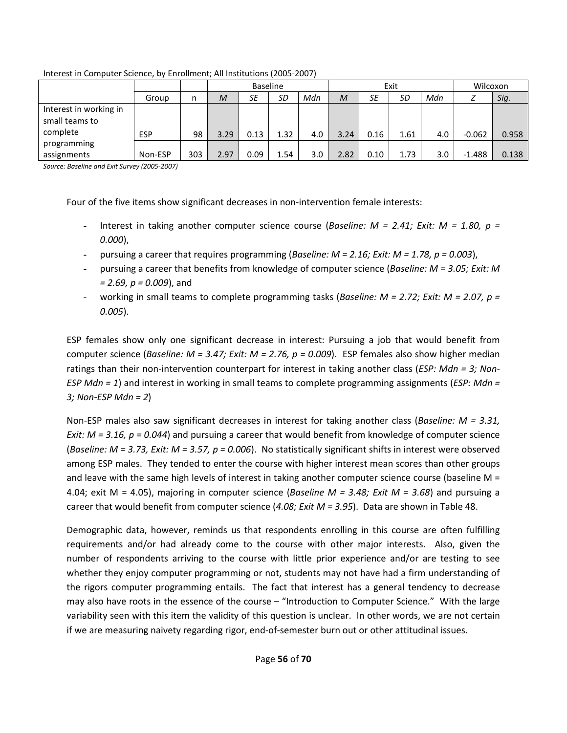|                                                      |            |     | <b>Baseline</b><br>Exit |      |      |     |                |      |           |     | Wilcoxon |       |
|------------------------------------------------------|------------|-----|-------------------------|------|------|-----|----------------|------|-----------|-----|----------|-------|
|                                                      | Group      | n   | M                       | SE   | SD   | Mdn | $\overline{M}$ | SE   | <b>SD</b> | Mdn |          | Sig.  |
| Interest in working in<br>small teams to<br>complete | <b>ESP</b> | 98  | 3.29                    | 0.13 | 1.32 | 4.0 | 3.24           | 0.16 | 1.61      | 4.0 | $-0.062$ | 0.958 |
| programming<br>assignments                           | Non-ESP    | 303 | 2.97                    | 0.09 | 1.54 | 3.0 | 2.82           | 0.10 | 1.73      | 3.0 | $-1.488$ | 0.138 |

Interest in Computer Science, by Enrollment; All Institutions (2005-2007)

*Source: Baseline and Exit Survey (2005-2007)*

Four of the five items show significant decreases in non-intervention female interests:

- Interest in taking another computer science course (*Baseline: M = 2.41; Exit: M = 1.80, p = 0.000*),
- pursuing a career that requires programming (*Baseline: M = 2.16; Exit: M = 1.78, p = 0.003*),
- pursuing a career that benefits from knowledge of computer science (*Baseline: M = 3.05; Exit: M = 2.69, p = 0.009*), and
- working in small teams to complete programming tasks (*Baseline: M = 2.72; Exit: M = 2.07, p = 0.005*).

ESP females show only one significant decrease in interest: Pursuing a job that would benefit from computer science (*Baseline: M = 3.47; Exit: M = 2.76, p = 0.009*). ESP females also show higher median ratings than their non-intervention counterpart for interest in taking another class (*ESP: Mdn = 3; Non-ESP Mdn = 1*) and interest in working in small teams to complete programming assignments (*ESP: Mdn = 3; Non-ESP Mdn = 2*)

Non-ESP males also saw significant decreases in interest for taking another class (*Baseline: M = 3.31, Exit: M = 3.16, p = 0.044*) and pursuing a career that would benefit from knowledge of computer science (*Baseline: M = 3.73, Exit: M = 3.57, p = 0.006*). No statistically significant shifts in interest were observed among ESP males. They tended to enter the course with higher interest mean scores than other groups and leave with the same high levels of interest in taking another computer science course (baseline M = 4.04; exit M = 4.05), majoring in computer science (*Baseline M = 3.48; Exit M = 3.68*) and pursuing a career that would benefit from computer science (*4.08; Exit M = 3.95*). Data are shown in Table 48.

Demographic data, however, reminds us that respondents enrolling in this course are often fulfilling requirements and/or had already come to the course with other major interests. Also, given the number of respondents arriving to the course with little prior experience and/or are testing to see whether they enjoy computer programming or not, students may not have had a firm understanding of the rigors computer programming entails. The fact that interest has a general tendency to decrease may also have roots in the essence of the course – "Introduction to Computer Science." With the large variability seen with this item the validity of this question is unclear. In other words, we are not certain if we are measuring naivety regarding rigor, end-of-semester burn out or other attitudinal issues.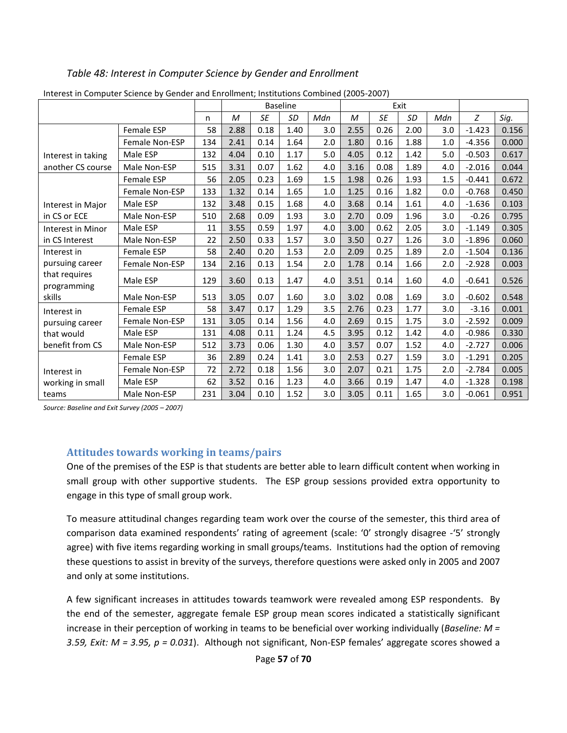## *Table 48: Interest in Computer Science by Gender and Enrollment*

|                                 |                   |     |      |           | <b>Baseline</b> |     |      |      | Exit      |     |          |       |
|---------------------------------|-------------------|-----|------|-----------|-----------------|-----|------|------|-----------|-----|----------|-------|
|                                 |                   | n   | M    | <b>SE</b> | SD              | Mdn | M    | SE   | <b>SD</b> | Mdn | Z        | Sig.  |
|                                 | Female ESP        | 58  | 2.88 | 0.18      | 1.40            | 3.0 | 2.55 | 0.26 | 2.00      | 3.0 | $-1.423$ | 0.156 |
|                                 | Female Non-ESP    | 134 | 2.41 | 0.14      | 1.64            | 2.0 | 1.80 | 0.16 | 1.88      | 1.0 | $-4.356$ | 0.000 |
| Interest in taking              | Male ESP          | 132 | 4.04 | 0.10      | 1.17            | 5.0 | 4.05 | 0.12 | 1.42      | 5.0 | $-0.503$ | 0.617 |
| another CS course               | Male Non-ESP      | 515 | 3.31 | 0.07      | 1.62            | 4.0 | 3.16 | 0.08 | 1.89      | 4.0 | $-2.016$ | 0.044 |
|                                 | <b>Female ESP</b> | 56  | 2.05 | 0.23      | 1.69            | 1.5 | 1.98 | 0.26 | 1.93      | 1.5 | $-0.441$ | 0.672 |
|                                 | Female Non-ESP    | 133 | 1.32 | 0.14      | 1.65            | 1.0 | 1.25 | 0.16 | 1.82      | 0.0 | $-0.768$ | 0.450 |
| Interest in Major               | Male ESP          | 132 | 3.48 | 0.15      | 1.68            | 4.0 | 3.68 | 0.14 | 1.61      | 4.0 | $-1.636$ | 0.103 |
| in CS or ECE                    | Male Non-ESP      | 510 | 2.68 | 0.09      | 1.93            | 3.0 | 2.70 | 0.09 | 1.96      | 3.0 | $-0.26$  | 0.795 |
| Interest in Minor               | Male ESP          | 11  | 3.55 | 0.59      | 1.97            | 4.0 | 3.00 | 0.62 | 2.05      | 3.0 | $-1.149$ | 0.305 |
| in CS Interest                  | Male Non-ESP      | 22  | 2.50 | 0.33      | 1.57            | 3.0 | 3.50 | 0.27 | 1.26      | 3.0 | $-1.896$ | 0.060 |
| Interest in                     | Female ESP        | 58  | 2.40 | 0.20      | 1.53            | 2.0 | 2.09 | 0.25 | 1.89      | 2.0 | $-1.504$ | 0.136 |
| pursuing career                 | Female Non-ESP    | 134 | 2.16 | 0.13      | 1.54            | 2.0 | 1.78 | 0.14 | 1.66      | 2.0 | $-2.928$ | 0.003 |
| that requires<br>programming    | Male ESP          | 129 | 3.60 | 0.13      | 1.47            | 4.0 | 3.51 | 0.14 | 1.60      | 4.0 | $-0.641$ | 0.526 |
| skills                          | Male Non-ESP      | 513 | 3.05 | 0.07      | 1.60            | 3.0 | 3.02 | 0.08 | 1.69      | 3.0 | $-0.602$ | 0.548 |
| Interest in                     | Female ESP        | 58  | 3.47 | 0.17      | 1.29            | 3.5 | 2.76 | 0.23 | 1.77      | 3.0 | $-3.16$  | 0.001 |
| pursuing career                 | Female Non-ESP    | 131 | 3.05 | 0.14      | 1.56            | 4.0 | 2.69 | 0.15 | 1.75      | 3.0 | $-2.592$ | 0.009 |
| that would                      | Male ESP          | 131 | 4.08 | 0.11      | 1.24            | 4.5 | 3.95 | 0.12 | 1.42      | 4.0 | $-0.986$ | 0.330 |
| benefit from CS                 | Male Non-ESP      | 512 | 3.73 | 0.06      | 1.30            | 4.0 | 3.57 | 0.07 | 1.52      | 4.0 | $-2.727$ | 0.006 |
| Interest in<br>working in small | Female ESP        | 36  | 2.89 | 0.24      | 1.41            | 3.0 | 2.53 | 0.27 | 1.59      | 3.0 | $-1.291$ | 0.205 |
|                                 | Female Non-ESP    | 72  | 2.72 | 0.18      | 1.56            | 3.0 | 2.07 | 0.21 | 1.75      | 2.0 | $-2.784$ | 0.005 |
|                                 | Male ESP          | 62  | 3.52 | 0.16      | 1.23            | 4.0 | 3.66 | 0.19 | 1.47      | 4.0 | $-1.328$ | 0.198 |
| teams                           | Male Non-ESP      | 231 | 3.04 | 0.10      | 1.52            | 3.0 | 3.05 | 0.11 | 1.65      | 3.0 | $-0.061$ | 0.951 |

Interest in Computer Science by Gender and Enrollment; Institutions Combined (2005-2007)

*Source: Baseline and Exit Survey (2005 – 2007)* 

### **Attitudes towards working in teams/pairs**

One of the premises of the ESP is that students are better able to learn difficult content when working in small group with other supportive students. The ESP group sessions provided extra opportunity to engage in this type of small group work.

To measure attitudinal changes regarding team work over the course of the semester, this third area of comparison data examined respondents' rating of agreement (scale: '0' strongly disagree -'5' strongly agree) with five items regarding working in small groups/teams. Institutions had the option of removing these questions to assist in brevity of the surveys, therefore questions were asked only in 2005 and 2007 and only at some institutions.

A few significant increases in attitudes towards teamwork were revealed among ESP respondents. By the end of the semester, aggregate female ESP group mean scores indicated a statistically significant increase in their perception of working in teams to be beneficial over working individually (*Baseline: M = 3.59, Exit: M = 3.95, p = 0.031*). Although not significant, Non-ESP females' aggregate scores showed a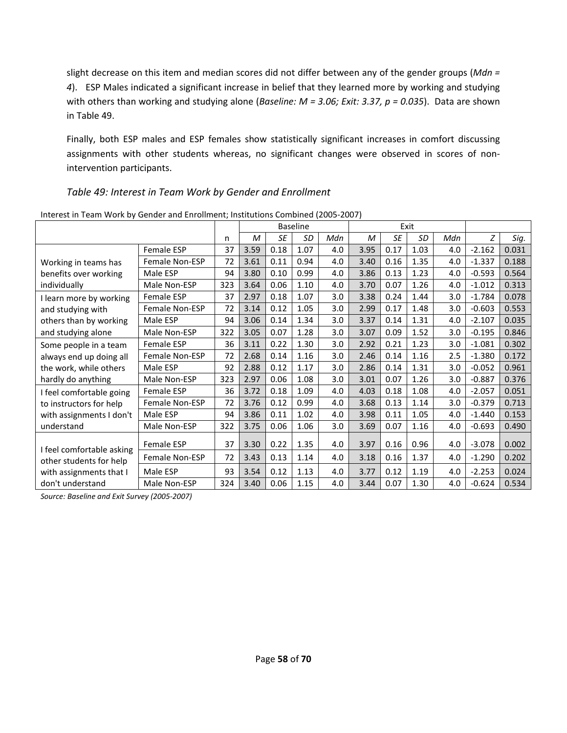slight decrease on this item and median scores did not differ between any of the gender groups (*Mdn = 4*). ESP Males indicated a significant increase in belief that they learned more by working and studying with others than working and studying alone (*Baseline: M = 3.06; Exit: 3.37, p = 0.035*). Data are shown in Table 49.

Finally, both ESP males and ESP females show statistically significant increases in comfort discussing assignments with other students whereas, no significant changes were observed in scores of nonintervention participants.

## *Table 49: Interest in Team Work by Gender and Enrollment*

|                                                                                                     |                       |     | <b>Baseline</b> |           |      |     | Exit |           |      |     |          |       |
|-----------------------------------------------------------------------------------------------------|-----------------------|-----|-----------------|-----------|------|-----|------|-----------|------|-----|----------|-------|
|                                                                                                     |                       | n   | М               | <b>SE</b> | SD   | Mdn | M    | <b>SE</b> | SD   | Mdn | Ζ        | Sig.  |
|                                                                                                     | Female ESP            | 37  | 3.59            | 0.18      | 1.07 | 4.0 | 3.95 | 0.17      | 1.03 | 4.0 | $-2.162$ | 0.031 |
| Working in teams has                                                                                | Female Non-ESP        | 72  | 3.61            | 0.11      | 0.94 | 4.0 | 3.40 | 0.16      | 1.35 | 4.0 | $-1.337$ | 0.188 |
| benefits over working<br>individually                                                               | Male ESP              | 94  | 3.80            | 0.10      | 0.99 | 4.0 | 3.86 | 0.13      | 1.23 | 4.0 | $-0.593$ | 0.564 |
|                                                                                                     | Male Non-ESP          | 323 | 3.64            | 0.06      | 1.10 | 4.0 | 3.70 | 0.07      | 1.26 | 4.0 | $-1.012$ | 0.313 |
| I learn more by working                                                                             | Female ESP            | 37  | 2.97            | 0.18      | 1.07 | 3.0 | 3.38 | 0.24      | 1.44 | 3.0 | $-1.784$ | 0.078 |
| and studying with                                                                                   | Female Non-ESP        | 72  | 3.14            | 0.12      | 1.05 | 3.0 | 2.99 | 0.17      | 1.48 | 3.0 | $-0.603$ | 0.553 |
| others than by working                                                                              | Male ESP              | 94  | 3.06            | 0.14      | 1.34 | 3.0 | 3.37 | 0.14      | 1.31 | 4.0 | $-2.107$ | 0.035 |
| and studying alone                                                                                  | Male Non-ESP          | 322 | 3.05            | 0.07      | 1.28 | 3.0 | 3.07 | 0.09      | 1.52 | 3.0 | $-0.195$ | 0.846 |
| Some people in a team                                                                               | <b>Female ESP</b>     | 36  | 3.11            | 0.22      | 1.30 | 3.0 | 2.92 | 0.21      | 1.23 | 3.0 | $-1.081$ | 0.302 |
| always end up doing all                                                                             | <b>Female Non-ESP</b> | 72  | 2.68            | 0.14      | 1.16 | 3.0 | 2.46 | 0.14      | 1.16 | 2.5 | $-1.380$ | 0.172 |
| the work, while others                                                                              | Male ESP              | 92  | 2.88            | 0.12      | 1.17 | 3.0 | 2.86 | 0.14      | 1.31 | 3.0 | $-0.052$ | 0.961 |
| hardly do anything                                                                                  | Male Non-ESP          | 323 | 2.97            | 0.06      | 1.08 | 3.0 | 3.01 | 0.07      | 1.26 | 3.0 | $-0.887$ | 0.376 |
| I feel comfortable going                                                                            | Female ESP            | 36  | 3.72            | 0.18      | 1.09 | 4.0 | 4.03 | 0.18      | 1.08 | 4.0 | $-2.057$ | 0.051 |
| to instructors for help                                                                             | Female Non-ESP        | 72  | 3.76            | 0.12      | 0.99 | 4.0 | 3.68 | 0.13      | 1.14 | 3.0 | $-0.379$ | 0.713 |
| with assignments I don't                                                                            | Male ESP              | 94  | 3.86            | 0.11      | 1.02 | 4.0 | 3.98 | 0.11      | 1.05 | 4.0 | $-1.440$ | 0.153 |
| understand                                                                                          | Male Non-ESP          | 322 | 3.75            | 0.06      | 1.06 | 3.0 | 3.69 | 0.07      | 1.16 | 4.0 | $-0.693$ | 0.490 |
| I feel comfortable asking<br>other students for help<br>with assignments that I<br>don't understand | <b>Female ESP</b>     | 37  | 3.30            | 0.22      | 1.35 | 4.0 | 3.97 | 0.16      | 0.96 | 4.0 | $-3.078$ | 0.002 |
|                                                                                                     | Female Non-ESP        | 72  | 3.43            | 0.13      | 1.14 | 4.0 | 3.18 | 0.16      | 1.37 | 4.0 | $-1.290$ | 0.202 |
|                                                                                                     | Male ESP              | 93  | 3.54            | 0.12      | 1.13 | 4.0 | 3.77 | 0.12      | 1.19 | 4.0 | $-2.253$ | 0.024 |
|                                                                                                     | Male Non-ESP          | 324 | 3.40            | 0.06      | 1.15 | 4.0 | 3.44 | 0.07      | 1.30 | 4.0 | $-0.624$ | 0.534 |

Interest in Team Work by Gender and Enrollment; Institutions Combined (2005-2007)

*Source: Baseline and Exit Survey (2005-2007)*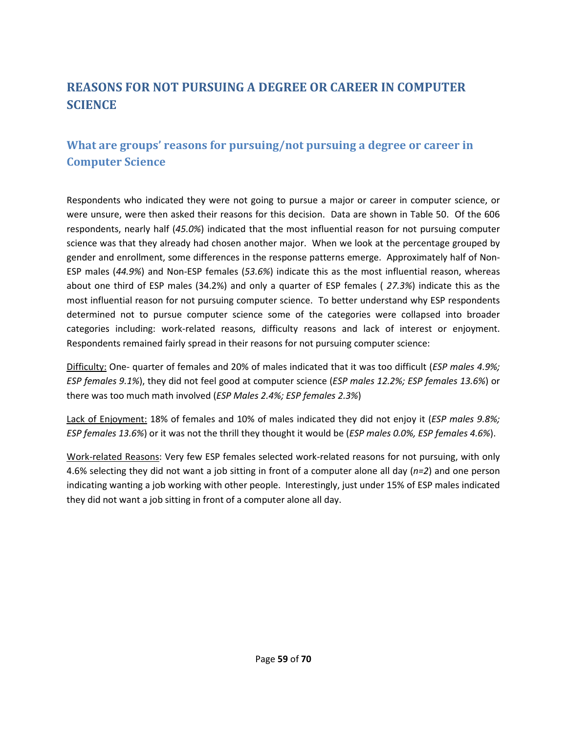# **REASONS FOR NOT PURSUING A DEGREE OR CAREER IN COMPUTER SCIENCE**

# **What are groups' reasons for pursuing/not pursuing a degree or career in Computer Science**

Respondents who indicated they were not going to pursue a major or career in computer science, or were unsure, were then asked their reasons for this decision. Data are shown in Table 50. Of the 606 respondents, nearly half (*45.0%*) indicated that the most influential reason for not pursuing computer science was that they already had chosen another major. When we look at the percentage grouped by gender and enrollment, some differences in the response patterns emerge. Approximately half of Non-ESP males (*44.9%*) and Non-ESP females (*53.6%*) indicate this as the most influential reason, whereas about one third of ESP males (34.2%) and only a quarter of ESP females ( *27.3%*) indicate this as the most influential reason for not pursuing computer science. To better understand why ESP respondents determined not to pursue computer science some of the categories were collapsed into broader categories including: work-related reasons, difficulty reasons and lack of interest or enjoyment. Respondents remained fairly spread in their reasons for not pursuing computer science:

Difficulty: One- quarter of females and 20% of males indicated that it was too difficult (*ESP males 4.9%; ESP females 9.1%*), they did not feel good at computer science (*ESP males 12.2%; ESP females 13.6%*) or there was too much math involved (*ESP Males 2.4%; ESP females 2.3%*)

Lack of Enjoyment: 18% of females and 10% of males indicated they did not enjoy it (*ESP males 9.8%; ESP females 13.6%*) or it was not the thrill they thought it would be (*ESP males 0.0%, ESP females 4.6%*).

Work-related Reasons: Very few ESP females selected work-related reasons for not pursuing, with only 4.6% selecting they did not want a job sitting in front of a computer alone all day (*n=2*) and one person indicating wanting a job working with other people. Interestingly, just under 15% of ESP males indicated they did not want a job sitting in front of a computer alone all day.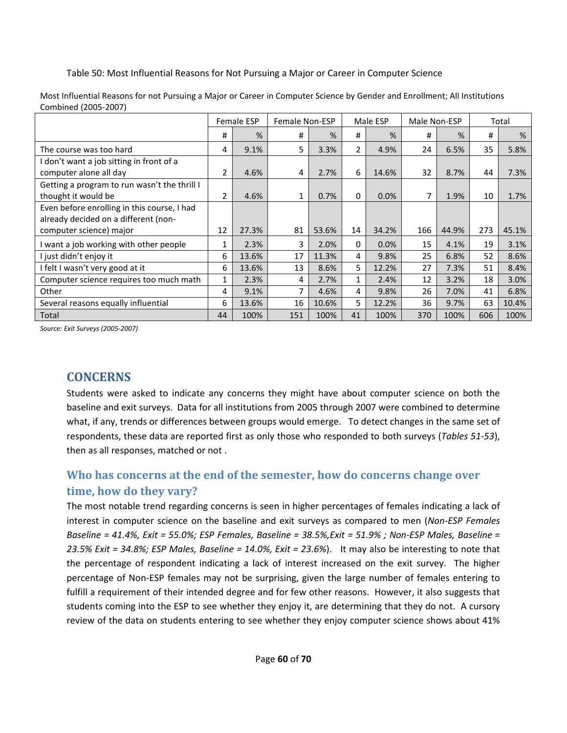Table 50: Most Influential Reasons for Not Pursuing a Major or Career in Computer Science

|                                              |    | <b>Female ESP</b> | Female Non-ESP |       |                | Male ESP | Male Non-ESP |       |     | Total |
|----------------------------------------------|----|-------------------|----------------|-------|----------------|----------|--------------|-------|-----|-------|
|                                              | #  | %                 | #              | %     | #              | %        | #            | %     | #   | %     |
| The course was too hard                      | 4  | 9.1%              | 5              | 3.3%  | $\overline{2}$ | 4.9%     | 24           | 6.5%  | 35  | 5.8%  |
| I don't want a job sitting in front of a     |    |                   |                |       |                |          |              |       |     |       |
| computer alone all day                       | 2  | 4.6%              | 4              | 2.7%  | 6              | 14.6%    | 32           | 8.7%  | 44  | 7.3%  |
| Getting a program to run wasn't the thrill I |    |                   |                |       |                |          |              |       |     |       |
| thought it would be                          | 2  | 4.6%              | 1              | 0.7%  | $\mathbf{0}$   | 0.0%     |              | 1.9%  | 10  | 1.7%  |
| Even before enrolling in this course, I had  |    |                   |                |       |                |          |              |       |     |       |
| already decided on a different (non-         |    |                   |                |       |                |          |              |       |     |       |
| computer science) major                      | 12 | 27.3%             | 81             | 53.6% | 14             | 34.2%    | 166          | 44.9% | 273 | 45.1% |
| I want a job working with other people       | 1  | 2.3%              | 3              | 2.0%  | $\mathbf{0}$   | 0.0%     | 15           | 4.1%  | 19  | 3.1%  |
| I just didn't enjoy it                       | 6  | 13.6%             | 17             | 11.3% | 4              | 9.8%     | 25           | 6.8%  | 52  | 8.6%  |
| I felt I wasn't very good at it              | 6  | 13.6%             | 13             | 8.6%  | 5              | 12.2%    | 27           | 7.3%  | 51  | 8.4%  |
| Computer science requires too much math      | 1  | 2.3%              | 4              | 2.7%  | 1              | 2.4%     | 12           | 3.2%  | 18  | 3.0%  |
| Other                                        | 4  | 9.1%              | 7              | 4.6%  | 4              | 9.8%     | 26           | 7.0%  | 41  | 6.8%  |
| Several reasons equally influential          | 6  | 13.6%             | 16             | 10.6% | 5              | 12.2%    | 36           | 9.7%  | 63  | 10.4% |
| Total                                        | 44 | 100%              | 151            | 100%  | 41             | 100%     | 370          | 100%  | 606 | 100%  |

Most Influential Reasons for not Pursuing a Major or Career in Computer Science by Gender and Enrollment; All Institutions Combined (2005-2007)

*Source: Exit Surveys (2005-2007)* 

# **CONCERNS**

Students were asked to indicate any concerns they might have about computer science on both the baseline and exit surveys. Data for all institutions from 2005 through 2007 were combined to determine what, if any, trends or differences between groups would emerge. To detect changes in the same set of respondents, these data are reported first as only those who responded to both surveys (*Tables 51-53*), then as all responses, matched or not .

# **Who has concerns at the end of the semester, how do concerns change over time, how do they vary?**

The most notable trend regarding concerns is seen in higher percentages of females indicating a lack of interest in computer science on the baseline and exit surveys as compared to men (*Non-ESP Females Baseline = 41.4%, Exit = 55.0%; ESP Females, Baseline = 38.5%,Exit = 51.9% ; Non-ESP Males, Baseline = 23.5% Exit = 34.8%; ESP Males, Baseline = 14.0%, Exit = 23.6%*). It may also be interesting to note that the percentage of respondent indicating a lack of interest increased on the exit survey. The higher percentage of Non-ESP females may not be surprising, given the large number of females entering to fulfill a requirement of their intended degree and for few other reasons. However, it also suggests that students coming into the ESP to see whether they enjoy it, are determining that they do not. A cursory review of the data on students entering to see whether they enjoy computer science shows about 41%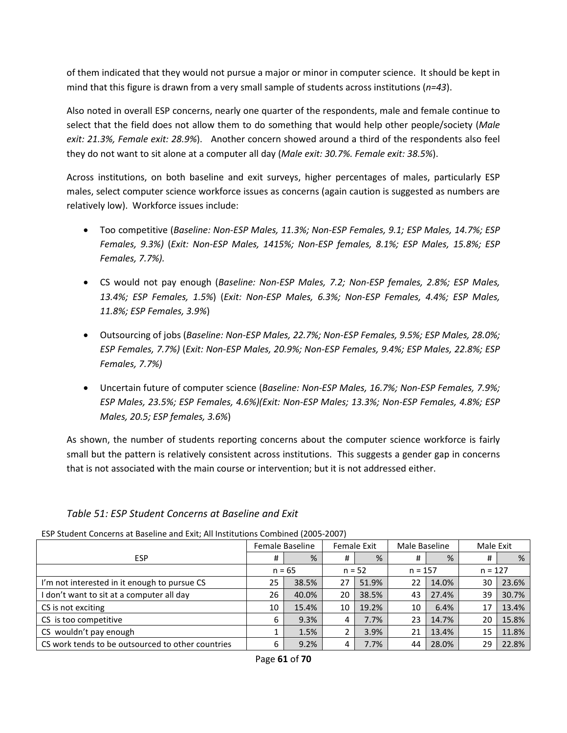of them indicated that they would not pursue a major or minor in computer science. It should be kept in mind that this figure is drawn from a very small sample of students across institutions (*n=43*).

Also noted in overall ESP concerns, nearly one quarter of the respondents, male and female continue to select that the field does not allow them to do something that would help other people/society (*Male exit: 21.3%, Female exit: 28.9%*). Another concern showed around a third of the respondents also feel they do not want to sit alone at a computer all day (*Male exit: 30.7%. Female exit: 38.5%*).

Across institutions, on both baseline and exit surveys, higher percentages of males, particularly ESP males, select computer science workforce issues as concerns (again caution is suggested as numbers are relatively low). Workforce issues include:

- Too competitive (*Baseline: Non-ESP Males, 11.3%; Non-ESP Females, 9.1; ESP Males, 14.7%; ESP Females, 9.3%)* (*Exit: Non-ESP Males, 1415%; Non-ESP females, 8.1%; ESP Males, 15.8%; ESP Females, 7.7%).*
- CS would not pay enough (*Baseline: Non-ESP Males, 7.2; Non-ESP females, 2.8%; ESP Males, 13.4%; ESP Females, 1.5%*) (*Exit: Non-ESP Males, 6.3%; Non-ESP Females, 4.4%; ESP Males, 11.8%; ESP Females, 3.9%*)
- Outsourcing of jobs (*Baseline: Non-ESP Males, 22.7%; Non-ESP Females, 9.5%; ESP Males, 28.0%; ESP Females, 7.7%)* (*Exit: Non-ESP Males, 20.9%; Non-ESP Females, 9.4%; ESP Males, 22.8%; ESP Females, 7.7%)*
- Uncertain future of computer science (*Baseline: Non-ESP Males, 16.7%; Non-ESP Females, 7.9%; ESP Males, 23.5%; ESP Females, 4.6%)(Exit: Non-ESP Males; 13.3%; Non-ESP Females, 4.8%; ESP Males, 20.5; ESP females, 3.6%*)

As shown, the number of students reporting concerns about the computer science workforce is fairly small but the pattern is relatively consistent across institutions. This suggests a gender gap in concerns that is not associated with the main course or intervention; but it is not addressed either.

| LJF JUUCHIL CONCENIIS AL DASCHIIC ANU LAIL, AII MISULUUDIIS COMMITEU (200J-2007) |    |                 |    |             |           |               |           |           |  |  |  |  |
|----------------------------------------------------------------------------------|----|-----------------|----|-------------|-----------|---------------|-----------|-----------|--|--|--|--|
|                                                                                  |    | Female Baseline |    | Female Exit |           | Male Baseline |           | Male Exit |  |  |  |  |
| <b>ESP</b>                                                                       | #  | %               | #  | %           | #         | %             | #         | %         |  |  |  |  |
|                                                                                  |    | $n = 65$        |    | $n = 52$    | $n = 157$ |               | $n = 127$ |           |  |  |  |  |
| I'm not interested in it enough to pursue CS                                     | 25 | 38.5%           | 27 | 51.9%       | 22        | 14.0%         | 30        | 23.6%     |  |  |  |  |
| I don't want to sit at a computer all day                                        | 26 | 40.0%           | 20 | 38.5%       | 43        | 27.4%         | 39        | 30.7%     |  |  |  |  |
| CS is not exciting                                                               | 10 | 15.4%           | 10 | 19.2%       | 10        | 6.4%          | 17        | 13.4%     |  |  |  |  |
| CS is too competitive                                                            | 6  | 9.3%            | 4  | 7.7%        | 23        | 14.7%         | 20        | 15.8%     |  |  |  |  |
| CS wouldn't pay enough                                                           |    | 1.5%            | ำ  | 3.9%        | 21        | 13.4%         | 15        | 11.8%     |  |  |  |  |
| CS work tends to be outsourced to other countries                                | 6  | 9.2%            | 4  | 7.7%        | 44        | 28.0%         | 29        | 22.8%     |  |  |  |  |

## *Table 51: ESP Student Concerns at Baseline and Exit*

ESP Student Concerns at Baseline and Exit; All Institutions Combined (2005-2007)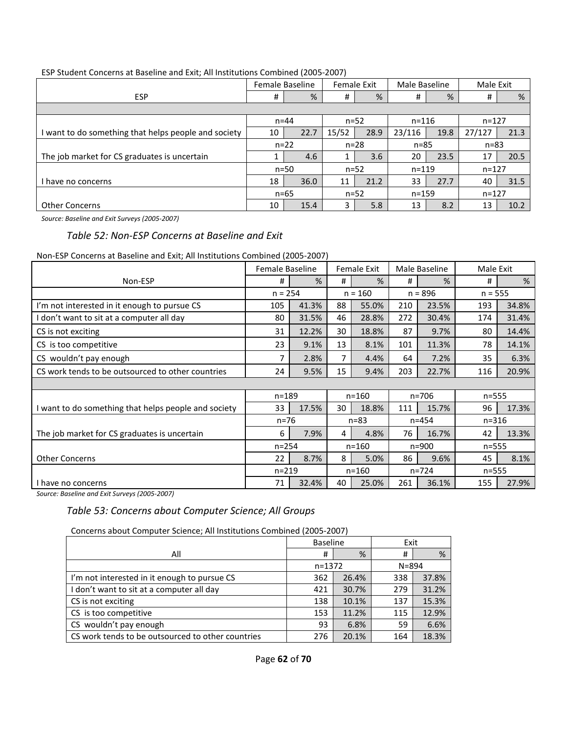|                                                    |          | Female Baseline |       | Female Exit | Male Baseline |      | Male Exit |      |  |  |  |
|----------------------------------------------------|----------|-----------------|-------|-------------|---------------|------|-----------|------|--|--|--|
| <b>ESP</b>                                         | #        | %               | #     | %           | #             | %    | #         | %    |  |  |  |
|                                                    |          |                 |       |             |               |      |           |      |  |  |  |
|                                                    |          | $n = 44$        |       | $n = 52$    | $n = 116$     |      | $n = 127$ |      |  |  |  |
| want to do something that helps people and society | 10       | 22.7            | 15/52 | 28.9        | 23/116        | 19.8 | 27/127    | 21.3 |  |  |  |
|                                                    |          | $n = 22$        |       | $n=28$      | $n = 85$      |      | $n = 83$  |      |  |  |  |
| The job market for CS graduates is uncertain       |          | 4.6             |       | 3.6         | 20            | 23.5 | 17        | 20.5 |  |  |  |
|                                                    |          | $n=50$          |       | $n=52$      | $n = 119$     |      | $n = 127$ |      |  |  |  |
| l have no concerns                                 | 18       | 36.0            | 11    | 21.2        | 33            | 27.7 | 40        | 31.5 |  |  |  |
|                                                    | $n = 65$ |                 |       | $n = 52$    | $n = 159$     |      | $n = 127$ |      |  |  |  |
| <b>Other Concerns</b>                              | 10       | 15.4            | 3.    | 5.8         | 13            | 8.2  | 13        | 10.2 |  |  |  |

#### ESP Student Concerns at Baseline and Exit; All Institutions Combined (2005-2007)

*Source: Baseline and Exit Surveys (2005-2007)* 

#### *Table 52: Non-ESP Concerns at Baseline and Exit*

#### Non-ESP Concerns at Baseline and Exit; All Institutions Combined (2005-2007)

|                                                    | <b>Female Baseline</b> |       |           | Female Exit |           | Male Baseline | Male Exit |       |
|----------------------------------------------------|------------------------|-------|-----------|-------------|-----------|---------------|-----------|-------|
| Non-ESP                                            | #                      | %     | #         | %           | #         | %             | #         | %     |
|                                                    | $n = 254$              |       |           | $n = 160$   |           | $n = 896$     | $n = 555$ |       |
| I'm not interested in it enough to pursue CS       | 105                    | 41.3% | 88        | 55.0%       | 210       | 23.5%         | 193       | 34.8% |
| don't want to sit at a computer all day            | 80                     | 31.5% | 46        | 28.8%       | 272       | 30.4%         | 174       | 31.4% |
| CS is not exciting                                 | 31                     | 12.2% | 30        | 18.8%       | 87        | 9.7%          | 80        | 14.4% |
| CS is too competitive                              | 23                     | 9.1%  | 13        | 8.1%        | 101       | 11.3%         | 78        | 14.1% |
| CS wouldn't pay enough                             | 7                      | 2.8%  | 7         | 4.4%        | 64        | 7.2%          | 35        | 6.3%  |
| CS work tends to be outsourced to other countries  | 24                     | 9.5%  | 15        | 9.4%        | 203       | 22.7%         | 116       | 20.9% |
|                                                    |                        |       |           |             |           |               |           |       |
|                                                    | $n = 189$              |       | $n = 160$ |             | $n = 706$ |               | $n = 555$ |       |
| want to do something that helps people and society | 33                     | 17.5% | 30        | 18.8%       | 111       | 15.7%         | 96        | 17.3% |
|                                                    | $n = 76$               |       |           | $n = 83$    |           | $n = 454$     | $n = 316$ |       |
| The job market for CS graduates is uncertain       | 6                      | 7.9%  | 4         | 4.8%        | 76        | 16.7%         | 42        | 13.3% |
|                                                    | $n = 254$              |       |           | $n = 160$   |           | $n = 900$     | $n = 555$ |       |
| <b>Other Concerns</b>                              | 22                     | 8.7%  | 8         | 5.0%        | 86        | 9.6%          | 45        | 8.1%  |
|                                                    | $n = 219$              |       | $n = 160$ |             | $n = 724$ |               | $n = 555$ |       |
| have no concerns                                   | 71                     | 32.4% | 40        | 25.0%       | 261       | 36.1%         | 155       | 27.9% |

*Source: Baseline and Exit Surveys (2005-2007)*

## *Table 53: Concerns about Computer Science; All Groups*

Concerns about Computer Science; All Institutions Combined (2005-2007)

|                                                   | <b>Baseline</b> |       | Exit      |       |  |
|---------------------------------------------------|-----------------|-------|-----------|-------|--|
| All                                               | #               | %     | #         | %     |  |
|                                                   | $n = 1372$      |       | $N = 894$ |       |  |
| I'm not interested in it enough to pursue CS      | 362             | 26.4% | 338       | 37.8% |  |
| I don't want to sit at a computer all day         | 421             | 30.7% | 279       | 31.2% |  |
| CS is not exciting                                | 138             | 10.1% | 137       | 15.3% |  |
| CS is too competitive                             | 153             | 11.2% | 115       | 12.9% |  |
| CS wouldn't pay enough                            | 93              | 6.8%  | 59        | 6.6%  |  |
| CS work tends to be outsourced to other countries | 276             | 20.1% | 164       | 18.3% |  |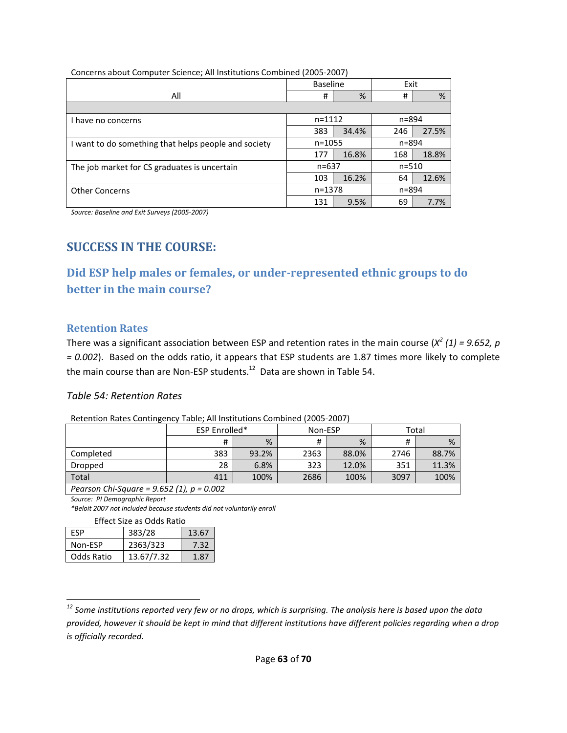|                                                      | <b>Baseline</b> |       | Exit      |       |  |
|------------------------------------------------------|-----------------|-------|-----------|-------|--|
| All                                                  | #               | %     | #         | %     |  |
|                                                      |                 |       |           |       |  |
| I have no concerns                                   | $n = 1112$      |       | n=894     |       |  |
|                                                      | 383             | 34.4% | 246       | 27.5% |  |
| I want to do something that helps people and society | $n = 1055$      |       | $n = 894$ |       |  |
|                                                      | 177             | 16.8% | 168       | 18.8% |  |
| The job market for CS graduates is uncertain         | $n = 637$       |       | $n = 510$ |       |  |
|                                                      | 103             | 16.2% | 64        | 12.6% |  |
| <b>Other Concerns</b>                                | $n = 1378$      |       | $n = 894$ |       |  |
|                                                      | 131             | 9.5%  | 69        | 7.7%  |  |

Concerns about Computer Science; All Institutions Combined (2005-2007)

*Source: Baseline and Exit Surveys (2005-2007)*

# **SUCCESS IN THE COURSE:**

**Did ESP help males or females, or under-represented ethnic groups to do better in the main course?** 

#### **Retention Rates**

There was a significant association between ESP and retention rates in the main course  $(X^2(1) = 9.652, p$ *= 0.002*). Based on the odds ratio, it appears that ESP students are 1.87 times more likely to complete the main course than are Non-ESP students.<sup>12</sup> Data are shown in Table 54.

#### *Table 54: Retention Rates*

|                                         | <b>ESP Enrolled*</b> |       | Non-ESP |       | Total |       |  |  |
|-----------------------------------------|----------------------|-------|---------|-------|-------|-------|--|--|
|                                         | #                    | %     | #       | %     |       | %     |  |  |
| Completed                               | 383                  | 93.2% | 2363    | 88.0% | 2746  | 88.7% |  |  |
| Dropped                                 | 28                   | 6.8%  | 323     | 12.0% | 351   | 11.3% |  |  |
| Total                                   | 411                  | 100%  | 2686    | 100%  | 3097  | 100%  |  |  |
| $Dearcon Chi Squara - 0.652(1) = 0.002$ |                      |       |         |       |       |       |  |  |

Retention Rates Contingency Table; All Institutions Combined (2005-2007)

*Pearson Chi-Square = 9.652 (1), p = 0.002* 

*Source: PI Demographic Report*

 $\overline{\phantom{0}}$ 

*\*Beloit 2007 not included because students did not voluntarily enroll* 

Effect Size as Odds Ratio

| FSP        | 383/28     | 13.67 |
|------------|------------|-------|
| Non-ESP    | 2363/323   | 7.32  |
| Odds Ratio | 13.67/7.32 | 1.87  |

*<sup>12</sup> Some institutions reported very few or no drops, which is surprising. The analysis here is based upon the data provided, however it should be kept in mind that different institutions have different policies regarding when a drop is officially recorded.*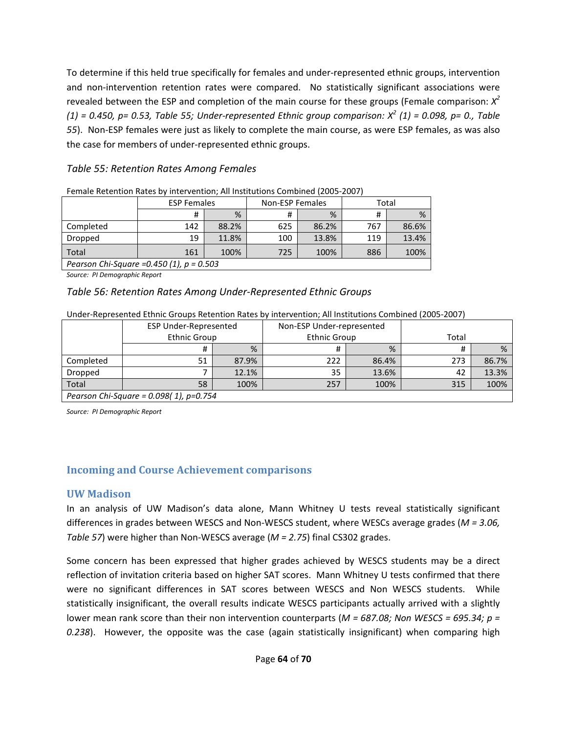To determine if this held true specifically for females and under-represented ethnic groups, intervention and non-intervention retention rates were compared. No statistically significant associations were revealed between the ESP and completion of the main course for these groups (Female comparison: *X 2 (1) = 0.450, p= 0.53, Table 55; Under-represented Ethnic group comparison: X<sup>2</sup> (1) = 0.098, p= 0., Table 55*). Non-ESP females were just as likely to complete the main course, as were ESP females, as was also the case for members of under-represented ethnic groups.

## *Table 55: Retention Rates Among Females*

|                                             | <b>ESP Females</b> |       | <b>Non-ESP Females</b> |       | Total |       |  |
|---------------------------------------------|--------------------|-------|------------------------|-------|-------|-------|--|
|                                             | #                  | %     | #                      | %     | #     | %     |  |
| Completed                                   | 142                | 88.2% | 625                    | 86.2% | 767   | 86.6% |  |
| Dropped                                     | 19                 | 11.8% | 100                    | 13.8% | 119   | 13.4% |  |
| Total                                       | 161                | 100%  | 725                    | 100%  | 886   | 100%  |  |
| Pearson Chi-Saugre = $0.450(1)$ n = $0.503$ |                    |       |                        |       |       |       |  |

| Female Retention Rates by intervention; All Institutions Combined (2005-2007) |  |  |
|-------------------------------------------------------------------------------|--|--|
|                                                                               |  |  |

*Pearson Chi-Square =0.450 (1), p = 0.503* 

*Source: PI Demographic Report*

#### *Table 56: Retention Rates Among Under-Represented Ethnic Groups*

#### Under-Represented Ethnic Groups Retention Rates by intervention; All Institutions Combined (2005-2007)

|                                           | <b>ESP Under-Represented</b><br><b>Ethnic Group</b> |       | Non-ESP Under-represented |       |       |       |  |
|-------------------------------------------|-----------------------------------------------------|-------|---------------------------|-------|-------|-------|--|
|                                           |                                                     |       | <b>Ethnic Group</b>       |       | Total |       |  |
|                                           |                                                     | %     |                           | %     |       | %     |  |
| Completed                                 | 51                                                  | 87.9% | 222                       | 86.4% | 273   | 86.7% |  |
| Dropped                                   |                                                     | 12.1% | 35                        | 13.6% | 42    | 13.3% |  |
| Total                                     | 58                                                  | 100%  | 257                       | 100%  | 315   | 100%  |  |
| Pearson Chi-Square = $0.098(1)$ , p=0.754 |                                                     |       |                           |       |       |       |  |

*Source: PI Demographic Report*

## **Incoming and Course Achievement comparisons**

### **UW Madison**

In an analysis of UW Madison's data alone, Mann Whitney U tests reveal statistically significant differences in grades between WESCS and Non-WESCS student, where WESCs average grades (*M = 3.06, Table 57*) were higher than Non-WESCS average (*M = 2.75*) final CS302 grades.

Some concern has been expressed that higher grades achieved by WESCS students may be a direct reflection of invitation criteria based on higher SAT scores. Mann Whitney U tests confirmed that there were no significant differences in SAT scores between WESCS and Non WESCS students. While statistically insignificant, the overall results indicate WESCS participants actually arrived with a slightly lower mean rank score than their non intervention counterparts (*M = 687.08; Non WESCS = 695.34; p = 0.238*). However, the opposite was the case (again statistically insignificant) when comparing high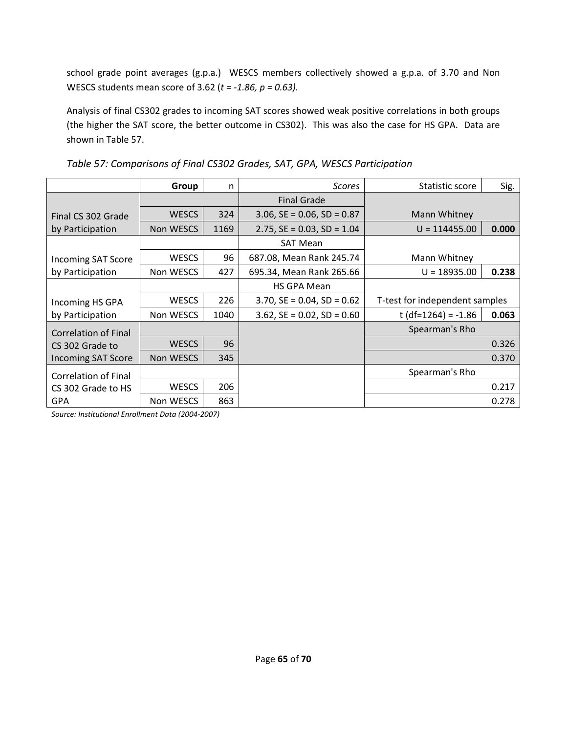school grade point averages (g.p.a.) WESCS members collectively showed a g.p.a. of 3.70 and Non WESCS students mean score of 3.62 (*t = -1.86, p = 0.63).*

Analysis of final CS302 grades to incoming SAT scores showed weak positive correlations in both groups (the higher the SAT score, the better outcome in CS302). This was also the case for HS GPA. Data are shown in Table 57.

|                             | Group        | n    | <b>Scores</b>                 | Statistic score                | Sig.  |
|-----------------------------|--------------|------|-------------------------------|--------------------------------|-------|
|                             |              |      | <b>Final Grade</b>            |                                |       |
| Final CS 302 Grade          | <b>WESCS</b> | 324  | $3.06$ , SE = 0.06, SD = 0.87 | Mann Whitney                   |       |
| by Participation            | Non WESCS    | 1169 | $2.75$ , SE = 0.03, SD = 1.04 | $U = 114455.00$                | 0.000 |
|                             |              |      | <b>SAT Mean</b>               |                                |       |
| <b>Incoming SAT Score</b>   | <b>WESCS</b> | 96   | 687.08, Mean Rank 245.74      | Mann Whitney                   |       |
| by Participation            | Non WESCS    | 427  | 695.34, Mean Rank 265.66      | $U = 18935.00$                 | 0.238 |
|                             |              |      | <b>HS GPA Mean</b>            |                                |       |
| Incoming HS GPA             | <b>WESCS</b> | 226  | $3.70$ , SE = 0.04, SD = 0.62 | T-test for independent samples |       |
| by Participation            | Non WESCS    | 1040 | $3.62$ , SE = 0.02, SD = 0.60 | t (df=1264) = $-1.86$          | 0.063 |
| Correlation of Final        |              |      |                               | Spearman's Rho                 |       |
| CS 302 Grade to             | <b>WESCS</b> | 96   |                               |                                | 0.326 |
| <b>Incoming SAT Score</b>   | Non WESCS    | 345  |                               |                                | 0.370 |
| <b>Correlation of Final</b> |              |      |                               | Spearman's Rho                 |       |
| CS 302 Grade to HS          | <b>WESCS</b> | 206  |                               |                                | 0.217 |
| <b>GPA</b>                  | Non WESCS    | 863  |                               |                                | 0.278 |

*Table 57: Comparisons of Final CS302 Grades, SAT, GPA, WESCS Participation* 

*Source: Institutional Enrollment Data (2004-2007)*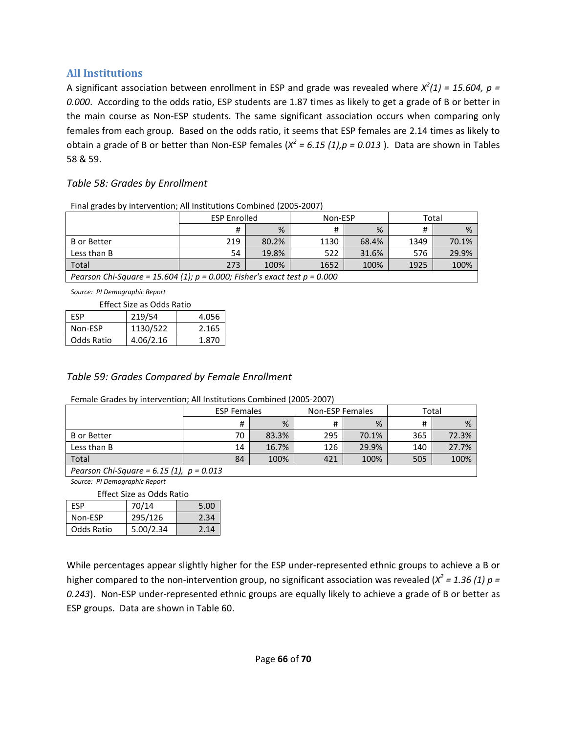## **All Institutions**

A significant association between enrollment in ESP and grade was revealed where  $X^2(1) = 15.604$ ,  $p =$ *0.000*. According to the odds ratio, ESP students are 1.87 times as likely to get a grade of B or better in the main course as Non-ESP students. The same significant association occurs when comparing only females from each group. Based on the odds ratio, it seems that ESP females are 2.14 times as likely to obtain a grade of B or better than Non-ESP females (*X 2 = 6.15 (1),p = 0.013* ). Data are shown in Tables 58 & 59.

### *Table 58: Grades by Enrollment*

| Thiai Riades by Intervention, All Institutions combined (2003-2007)            |                     |       |         |       |       |       |  |
|--------------------------------------------------------------------------------|---------------------|-------|---------|-------|-------|-------|--|
|                                                                                | <b>ESP Enrolled</b> |       | Non-ESP |       | Total |       |  |
|                                                                                |                     | %     |         | %     |       | %     |  |
| <b>B</b> or Better                                                             | 219                 | 80.2% | 1130    | 68.4% | 1349  | 70.1% |  |
| Less than B                                                                    | 54                  | 19.8% | 522     | 31.6% | 576   | 29.9% |  |
| Total                                                                          | 273                 | 100%  | 1652    | 100%  | 1925  | 100%  |  |
| Pearson Chi-Square = 15.604 (1); $p = 0.000$ ; Fisher's exact test $p = 0.000$ |                     |       |         |       |       |       |  |

Final grades by intervention; All Institutions Combined (2005-2007)

*Source: PI Demographic Report*

Effect Size as Odds Ratio

| FSP        | 219/54    | 4.056 |
|------------|-----------|-------|
| Non-ESP    | 1130/522  | 2.165 |
| Odds Ratio | 4.06/2.16 | 1.870 |

### *Table 59: Grades Compared by Female Enrollment*

Female Grades by intervention; All Institutions Combined (2005-2007)

|                                                 | <b>ESP Females</b> |       | Non-ESP Females |       | Total |       |  |
|-------------------------------------------------|--------------------|-------|-----------------|-------|-------|-------|--|
|                                                 | #                  | %     |                 | %     |       | %     |  |
| <b>B</b> or Better                              | 70                 | 83.3% | 295             | 70.1% | 365   | 72.3% |  |
| Less than B                                     | 14                 | 16.7% | 126             | 29.9% | 140   | 27.7% |  |
| Total                                           | 84                 | 100%  | 421             | 100%  | 505   | 100%  |  |
| <b>Degrson Chi-Square - 6.15/1)</b> $n - 0.013$ |                    |       |                 |       |       |       |  |

*Pearson Chi-Square = 6.15 (1), p = 0.013 Source: PI Demographic Report*

Effect Size as Odds Ratio

| Lifect Size as Ouus Ratio |           |      |  |  |  |  |  |
|---------------------------|-----------|------|--|--|--|--|--|
| FSP                       | 70/14     | 5.00 |  |  |  |  |  |
| Non-ESP                   | 295/126   | 2.34 |  |  |  |  |  |
| Odds Ratio                | 5.00/2.34 | 2.14 |  |  |  |  |  |

While percentages appear slightly higher for the ESP under-represented ethnic groups to achieve a B or higher compared to the non-intervention group, no significant association was revealed ( $X^2$  = 1.36 (1)  $p =$ *0.243*). Non-ESP under-represented ethnic groups are equally likely to achieve a grade of B or better as ESP groups. Data are shown in Table 60.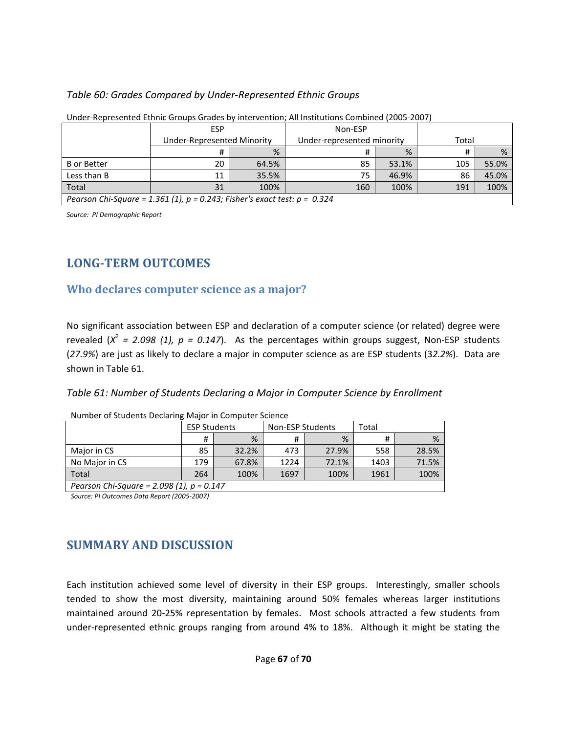#### *Table 60: Grades Compared by Under-Represented Ethnic Groups*

| <u>Under nepresented Ethine Urbaps Urdacs by Intervention, Am institutions compiled (2005-2007)</u> |                            |       |                            |       |     |       |  |
|-----------------------------------------------------------------------------------------------------|----------------------------|-------|----------------------------|-------|-----|-------|--|
|                                                                                                     | ESP                        |       | Non-ESP                    |       |     |       |  |
|                                                                                                     | Under-Represented Minority |       | Under-represented minority | Total |     |       |  |
|                                                                                                     | Ħ                          | %     |                            | %     |     | %     |  |
| <b>B</b> or Better                                                                                  | 20                         | 64.5% | 85                         | 53.1% | 105 | 55.0% |  |
| Less than B                                                                                         | 11                         | 35.5% | 75                         | 46.9% | 86  | 45.0% |  |
| Total                                                                                               | 31                         | 100%  | 160                        | 100%  | 191 | 100%  |  |
| Pearson Chi-Square = 1.361 (1), $p = 0.243$ ; Fisher's exact test: $p = 0.324$                      |                            |       |                            |       |     |       |  |

Under-Represented Ethnic Groups Grades by intervention; All Institutions Combined (2005-2007)

*Source: PI Demographic Report*

# **LONG-TERM OUTCOMES**

# **Who declares computer science as a major?**

No significant association between ESP and declaration of a computer science (or related) degree were revealed  $(X^2 = 2.098 (1), p = 0.147)$ . As the percentages within groups suggest, Non-ESP students (*27.9%*) are just as likely to declare a major in computer science as are ESP students (3*2.2%*). Data are shown in Table 61.

| Table 61: Number of Students Declaring a Major in Computer Science by Enrollment |  |  |  |
|----------------------------------------------------------------------------------|--|--|--|
|                                                                                  |  |  |  |

|                                             | <b>ESP Students</b> |       | Non-ESP Students |       | Total |       |
|---------------------------------------------|---------------------|-------|------------------|-------|-------|-------|
|                                             | #                   | %     | #                | %     | #     | %     |
| Major in CS                                 | 85                  | 32.2% | 473              | 27.9% | 558   | 28.5% |
| No Major in CS                              | 179                 | 67.8% | 1224             | 72.1% | 1403  | 71.5% |
| Total                                       | 264                 | 100%  | 1697             | 100%  | 1961  | 100%  |
| Pearson Chi-Square = 2.098 (1), $p = 0.147$ |                     |       |                  |       |       |       |

Number of Students Declaring Major in Computer Science

*Source: PI Outcomes Data Report (2005-2007)*

# **SUMMARY AND DISCUSSION**

Each institution achieved some level of diversity in their ESP groups. Interestingly, smaller schools tended to show the most diversity, maintaining around 50% females whereas larger institutions maintained around 20-25% representation by females. Most schools attracted a few students from under-represented ethnic groups ranging from around 4% to 18%. Although it might be stating the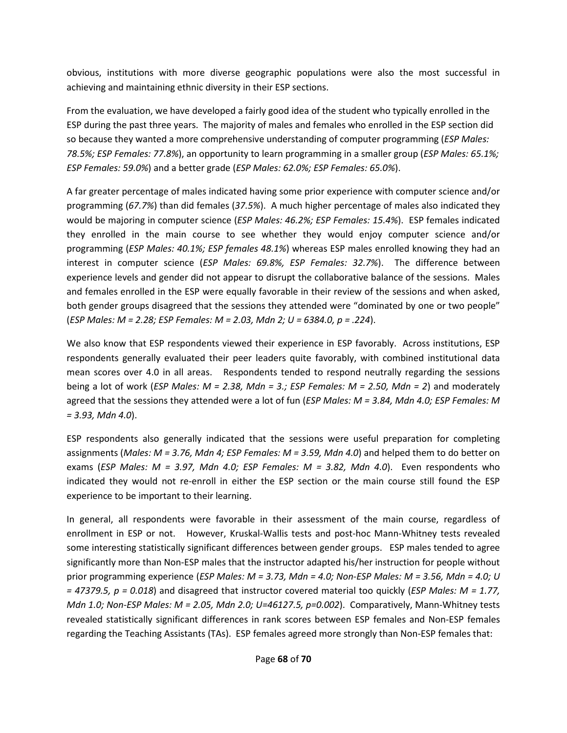obvious, institutions with more diverse geographic populations were also the most successful in achieving and maintaining ethnic diversity in their ESP sections.

From the evaluation, we have developed a fairly good idea of the student who typically enrolled in the ESP during the past three years. The majority of males and females who enrolled in the ESP section did so because they wanted a more comprehensive understanding of computer programming (*ESP Males: 78.5%; ESP Females: 77.8%*), an opportunity to learn programming in a smaller group (*ESP Males: 65.1%; ESP Females: 59.0%*) and a better grade (*ESP Males: 62.0%; ESP Females: 65.0%*).

A far greater percentage of males indicated having some prior experience with computer science and/or programming (*67.7%*) than did females (*37.5%*). A much higher percentage of males also indicated they would be majoring in computer science (*ESP Males: 46.2%; ESP Females: 15.4%*). ESP females indicated they enrolled in the main course to see whether they would enjoy computer science and/or programming (*ESP Males: 40.1%; ESP females 48.1%*) whereas ESP males enrolled knowing they had an interest in computer science (*ESP Males: 69.8%, ESP Females: 32.7%*). The difference between experience levels and gender did not appear to disrupt the collaborative balance of the sessions. Males and females enrolled in the ESP were equally favorable in their review of the sessions and when asked, both gender groups disagreed that the sessions they attended were "dominated by one or two people" (*ESP Males: M = 2.28; ESP Females: M = 2.03, Mdn 2; U = 6384.0, p = .224*).

We also know that ESP respondents viewed their experience in ESP favorably. Across institutions, ESP respondents generally evaluated their peer leaders quite favorably, with combined institutional data mean scores over 4.0 in all areas. Respondents tended to respond neutrally regarding the sessions being a lot of work (*ESP Males: M = 2.38, Mdn = 3.; ESP Females: M = 2.50, Mdn = 2*) and moderately agreed that the sessions they attended were a lot of fun (*ESP Males: M = 3.84, Mdn 4.0; ESP Females: M = 3.93, Mdn 4.0*).

ESP respondents also generally indicated that the sessions were useful preparation for completing assignments (*Males: M = 3.76, Mdn 4; ESP Females: M = 3.59, Mdn 4.0*) and helped them to do better on exams (*ESP Males: M = 3.97, Mdn 4.0; ESP Females: M = 3.82, Mdn 4.0*). Even respondents who indicated they would not re-enroll in either the ESP section or the main course still found the ESP experience to be important to their learning.

In general, all respondents were favorable in their assessment of the main course, regardless of enrollment in ESP or not. However, Kruskal-Wallis tests and post-hoc Mann-Whitney tests revealed some interesting statistically significant differences between gender groups. ESP males tended to agree significantly more than Non-ESP males that the instructor adapted his/her instruction for people without prior programming experience (*ESP Males: M = 3.73, Mdn = 4.0; Non-ESP Males: M = 3.56, Mdn = 4.0; U = 47379.5, p = 0.018*) and disagreed that instructor covered material too quickly (*ESP Males: M = 1.77, Mdn 1.0; Non-ESP Males: M = 2.05, Mdn 2.0; U=46127.5, p=0.002*). Comparatively, Mann-Whitney tests revealed statistically significant differences in rank scores between ESP females and Non-ESP females regarding the Teaching Assistants (TAs). ESP females agreed more strongly than Non-ESP females that: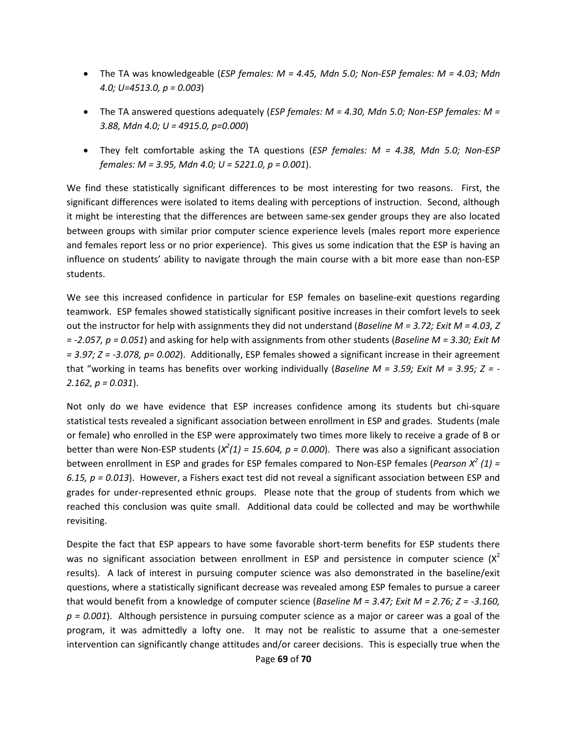- The TA was knowledgeable (*ESP females: M = 4.45, Mdn 5.0; Non-ESP females: M = 4.03; Mdn 4.0; U=4513.0, p = 0.003*)
- The TA answered questions adequately (*ESP females: M = 4.30, Mdn 5.0; Non-ESP females: M = 3.88, Mdn 4.0; U = 4915.0, p=0.000*)
- They felt comfortable asking the TA questions (*ESP females: M = 4.38, Mdn 5.0; Non-ESP females: M = 3.95, Mdn 4.0; U = 5221.0, p = 0.001*).

We find these statistically significant differences to be most interesting for two reasons. First, the significant differences were isolated to items dealing with perceptions of instruction. Second, although it might be interesting that the differences are between same-sex gender groups they are also located between groups with similar prior computer science experience levels (males report more experience and females report less or no prior experience). This gives us some indication that the ESP is having an influence on students' ability to navigate through the main course with a bit more ease than non-ESP students.

We see this increased confidence in particular for ESP females on baseline-exit questions regarding teamwork. ESP females showed statistically significant positive increases in their comfort levels to seek out the instructor for help with assignments they did not understand (*Baseline M = 3.72; Exit M = 4.03, Z = -2.057, p = 0.051*) and asking for help with assignments from other students (*Baseline M = 3.30; Exit M = 3.97; Z = -3.078, p= 0.002*). Additionally, ESP females showed a significant increase in their agreement that "working in teams has benefits over working individually (*Baseline M = 3.59; Exit M = 3.95; Z = - 2.162, p = 0.031*).

Not only do we have evidence that ESP increases confidence among its students but chi-square statistical tests revealed a significant association between enrollment in ESP and grades. Students (male or female) who enrolled in the ESP were approximately two times more likely to receive a grade of B or better than were Non-ESP students  $(X^2(1) = 15.604, p = 0.000)$ . There was also a significant association between enrollment in ESP and grades for ESP females compared to Non-ESP females (*Pearson X<sup>2</sup> (1) = 6.15, p = 0.013*). However, a Fishers exact test did not reveal a significant association between ESP and grades for under-represented ethnic groups. Please note that the group of students from which we reached this conclusion was quite small. Additional data could be collected and may be worthwhile revisiting.

Despite the fact that ESP appears to have some favorable short-term benefits for ESP students there was no significant association between enrollment in ESP and persistence in computer science  $(X^2)$ results). A lack of interest in pursuing computer science was also demonstrated in the baseline/exit questions, where a statistically significant decrease was revealed among ESP females to pursue a career that would benefit from a knowledge of computer science (*Baseline M = 3.47; Exit M = 2.76; Z = -3.160, p = 0.001*). Although persistence in pursuing computer science as a major or career was a goal of the program, it was admittedly a lofty one. It may not be realistic to assume that a one-semester intervention can significantly change attitudes and/or career decisions. This is especially true when the